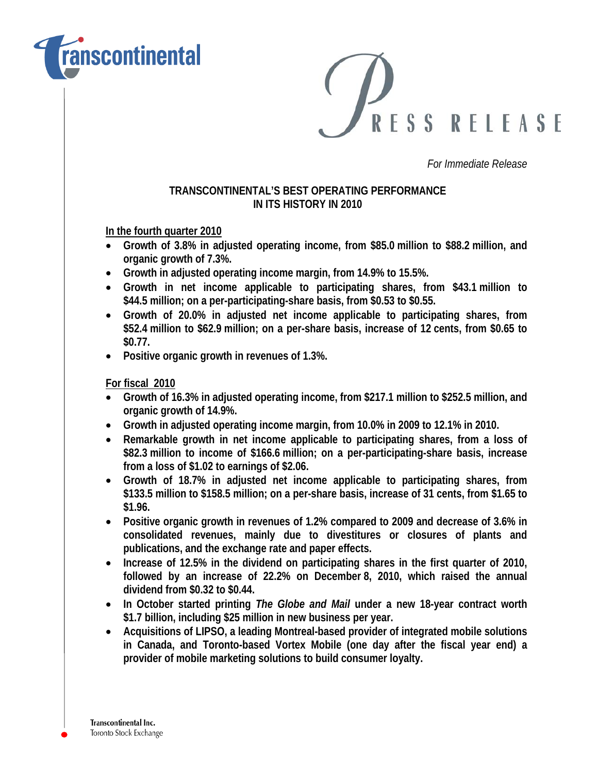

RESS RELEASE

*For Immediate Release* 

## **TRANSCONTINENTAL'S BEST OPERATING PERFORMANCE IN ITS HISTORY IN 2010**

**In the fourth quarter 2010**

- **Growth of 3.8% in adjusted operating income, from \$85.0 million to \$88.2 million, and organic growth of 7.3%.**
- **Growth in adjusted operating income margin, from 14.9% to 15.5%.**
- **Growth in net income applicable to participating shares, from \$43.1 million to \$44.5 million; on a per-participating-share basis, from \$0.53 to \$0.55.**
- **Growth of 20.0% in adjusted net income applicable to participating shares, from \$52.4 million to \$62.9 million; on a per-share basis, increase of 12 cents, from \$0.65 to \$0.77.**
- **Positive organic growth in revenues of 1.3%.**

**For fiscal 2010**

- **Growth of 16.3% in adjusted operating income, from \$217.1 million to \$252.5 million, and organic growth of 14.9%.**
- **Growth in adjusted operating income margin, from 10.0% in 2009 to 12.1% in 2010.**
- **Remarkable growth in net income applicable to participating shares, from a loss of \$82.3 million to income of \$166.6 million; on a per-participating-share basis, increase from a loss of \$1.02 to earnings of \$2.06.**
- **Growth of 18.7% in adjusted net income applicable to participating shares, from \$133.5 million to \$158.5 million; on a per-share basis, increase of 31 cents, from \$1.65 to \$1.96.**
- **Positive organic growth in revenues of 1.2% compared to 2009 and decrease of 3.6% in consolidated revenues, mainly due to divestitures or closures of plants and publications, and the exchange rate and paper effects.**
- **Increase of 12.5% in the dividend on participating shares in the first quarter of 2010, followed by an increase of 22.2% on December 8, 2010, which raised the annual dividend from \$0.32 to \$0.44.**
- **In October started printing** *The Globe and Mail* **under a new 18-year contract worth \$1.7 billion, including \$25 million in new business per year.**
- **Acquisitions of LIPSO, a leading Montreal-based provider of integrated mobile solutions in Canada, and Toronto-based Vortex Mobile (one day after the fiscal year end) a provider of mobile marketing solutions to build consumer loyalty.**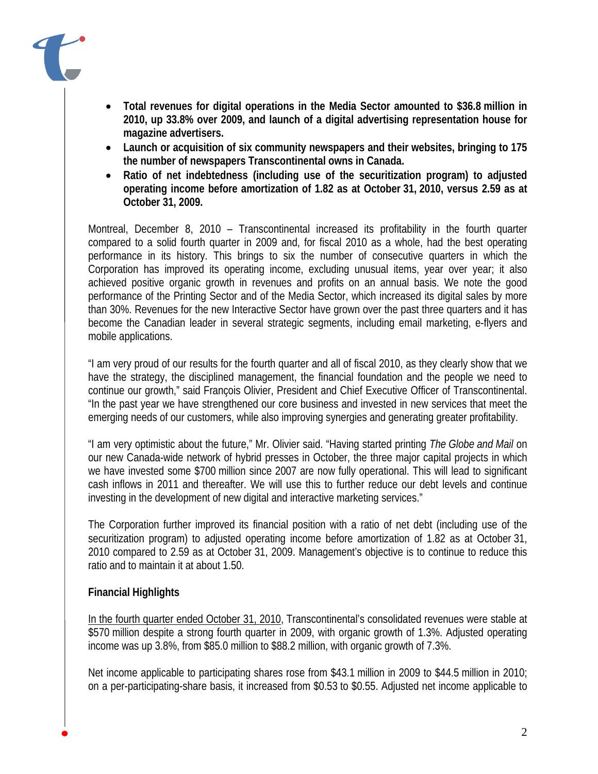

- **Total revenues for digital operations in the Media Sector amounted to \$36.8 million in 2010, up 33.8% over 2009, and launch of a digital advertising representation house for magazine advertisers.**
- **Launch or acquisition of six community newspapers and their websites, bringing to 175 the number of newspapers Transcontinental owns in Canada.**
- **Ratio of net indebtedness (including use of the securitization program) to adjusted operating income before amortization of 1.82 as at October 31, 2010, versus 2.59 as at October 31, 2009.**

Montreal, December 8, 2010 – Transcontinental increased its profitability in the fourth quarter compared to a solid fourth quarter in 2009 and, for fiscal 2010 as a whole, had the best operating performance in its history. This brings to six the number of consecutive quarters in which the Corporation has improved its operating income, excluding unusual items, year over year; it also achieved positive organic growth in revenues and profits on an annual basis. We note the good performance of the Printing Sector and of the Media Sector, which increased its digital sales by more than 30%. Revenues for the new Interactive Sector have grown over the past three quarters and it has become the Canadian leader in several strategic segments, including email marketing, e-flyers and mobile applications.

"I am very proud of our results for the fourth quarter and all of fiscal 2010, as they clearly show that we have the strategy, the disciplined management, the financial foundation and the people we need to continue our growth," said François Olivier, President and Chief Executive Officer of Transcontinental. "In the past year we have strengthened our core business and invested in new services that meet the emerging needs of our customers, while also improving synergies and generating greater profitability.

"I am very optimistic about the future," Mr. Olivier said. "Having started printing *The Globe and Mail* on our new Canada-wide network of hybrid presses in October, the three major capital projects in which we have invested some \$700 million since 2007 are now fully operational. This will lead to significant cash inflows in 2011 and thereafter. We will use this to further reduce our debt levels and continue investing in the development of new digital and interactive marketing services."

The Corporation further improved its financial position with a ratio of net debt (including use of the securitization program) to adjusted operating income before amortization of 1.82 as at October 31, 2010 compared to 2.59 as at October 31, 2009. Management's objective is to continue to reduce this ratio and to maintain it at about 1.50.

## **Financial Highlights**

In the fourth quarter ended October 31, 2010, Transcontinental's consolidated revenues were stable at \$570 million despite a strong fourth quarter in 2009, with organic growth of 1.3%. Adjusted operating income was up 3.8%, from \$85.0 million to \$88.2 million, with organic growth of 7.3%.

Net income applicable to participating shares rose from \$43.1 million in 2009 to \$44.5 million in 2010; on a per-participating-share basis, it increased from \$0.53 to \$0.55. Adjusted net income applicable to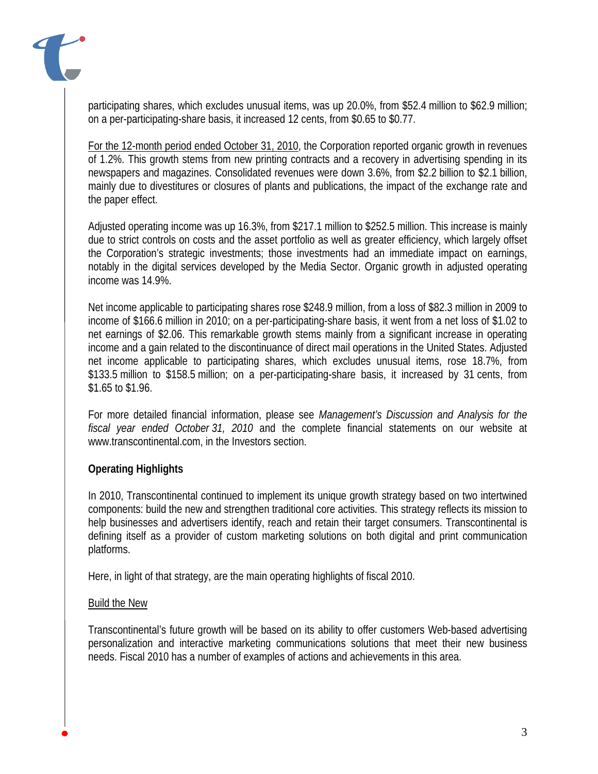

participating shares, which excludes unusual items, was up 20.0%, from \$52.4 million to \$62.9 million; on a per-participating-share basis, it increased 12 cents, from \$0.65 to \$0.77.

For the 12-month period ended October 31, 2010, the Corporation reported organic growth in revenues of 1.2%. This growth stems from new printing contracts and a recovery in advertising spending in its newspapers and magazines. Consolidated revenues were down 3.6%, from \$2.2 billion to \$2.1 billion, mainly due to divestitures or closures of plants and publications, the impact of the exchange rate and the paper effect.

Adjusted operating income was up 16.3%, from \$217.1 million to \$252.5 million. This increase is mainly due to strict controls on costs and the asset portfolio as well as greater efficiency, which largely offset the Corporation's strategic investments; those investments had an immediate impact on earnings, notably in the digital services developed by the Media Sector. Organic growth in adjusted operating income was 14.9%.

Net income applicable to participating shares rose \$248.9 million, from a loss of \$82.3 million in 2009 to income of \$166.6 million in 2010; on a per-participating-share basis, it went from a net loss of \$1.02 to net earnings of \$2.06. This remarkable growth stems mainly from a significant increase in operating income and a gain related to the discontinuance of direct mail operations in the United States. Adjusted net income applicable to participating shares, which excludes unusual items, rose 18.7%, from \$133.5 million to \$158.5 million; on a per-participating-share basis, it increased by 31 cents, from \$1.65 to \$1.96.

For more detailed financial information, please see *Management's Discussion and Analysis for the fiscal year ended October 31, 2010* and the complete financial statements on our website at www.transcontinental.com, in the Investors section.

## **Operating Highlights**

In 2010, Transcontinental continued to implement its unique growth strategy based on two intertwined components: build the new and strengthen traditional core activities. This strategy reflects its mission to help businesses and advertisers identify, reach and retain their target consumers. Transcontinental is defining itself as a provider of custom marketing solutions on both digital and print communication platforms.

Here, in light of that strategy, are the main operating highlights of fiscal 2010.

## Build the New

Transcontinental's future growth will be based on its ability to offer customers Web-based advertising personalization and interactive marketing communications solutions that meet their new business needs. Fiscal 2010 has a number of examples of actions and achievements in this area.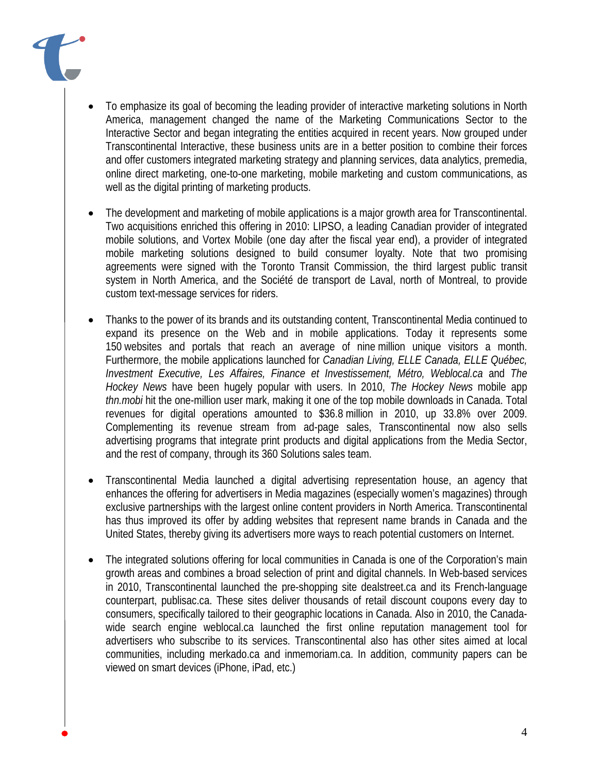

- The development and marketing of mobile applications is a major growth area for Transcontinental. Two acquisitions enriched this offering in 2010: LIPSO, a leading Canadian provider of integrated mobile solutions, and Vortex Mobile (one day after the fiscal year end), a provider of integrated mobile marketing solutions designed to build consumer loyalty. Note that two promising agreements were signed with the Toronto Transit Commission, the third largest public transit system in North America, and the Société de transport de Laval, north of Montreal, to provide custom text-message services for riders.
- Thanks to the power of its brands and its outstanding content, Transcontinental Media continued to expand its presence on the Web and in mobile applications. Today it represents some 150 websites and portals that reach an average of nine million unique visitors a month. Furthermore, the mobile applications launched for *Canadian Living, ELLE Canada, ELLE Québec, Investment Executive, Les Affaires, Finance et Investissement, Métro, Weblocal.ca* and *The Hockey News* have been hugely popular with users. In 2010, *The Hockey News* mobile app *thn.mobi* hit the one-million user mark, making it one of the top mobile downloads in Canada. Total revenues for digital operations amounted to \$36.8 million in 2010, up 33.8% over 2009. Complementing its revenue stream from ad-page sales, Transcontinental now also sells advertising programs that integrate print products and digital applications from the Media Sector, and the rest of company, through its 360 Solutions sales team.
- Transcontinental Media launched a digital advertising representation house, an agency that enhances the offering for advertisers in Media magazines (especially women's magazines) through exclusive partnerships with the largest online content providers in North America. Transcontinental has thus improved its offer by adding websites that represent name brands in Canada and the United States, thereby giving its advertisers more ways to reach potential customers on Internet.
- The integrated solutions offering for local communities in Canada is one of the Corporation's main growth areas and combines a broad selection of print and digital channels. In Web-based services in 2010, Transcontinental launched the pre-shopping site dealstreet.ca and its French-language counterpart, publisac.ca. These sites deliver thousands of retail discount coupons every day to consumers, specifically tailored to their geographic locations in Canada. Also in 2010, the Canadawide search engine weblocal.ca launched the first online reputation management tool for advertisers who subscribe to its services. Transcontinental also has other sites aimed at local communities, including merkado.ca and inmemoriam.ca. In addition, community papers can be viewed on smart devices (iPhone, iPad, etc.)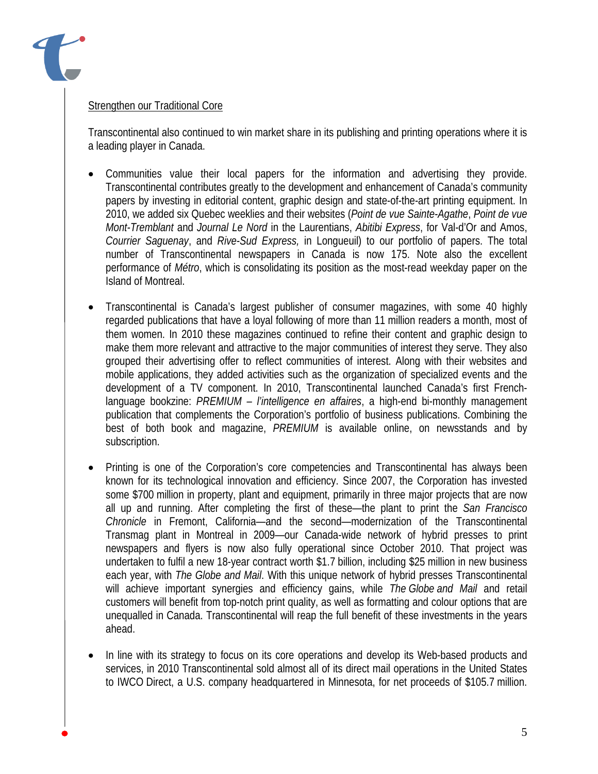

## Strengthen our Traditional Core

Transcontinental also continued to win market share in its publishing and printing operations where it is a leading player in Canada.

- Communities value their local papers for the information and advertising they provide. Transcontinental contributes greatly to the development and enhancement of Canada's community papers by investing in editorial content, graphic design and state-of-the-art printing equipment. In 2010, we added six Quebec weeklies and their websites (*Point de vue Sainte-Agathe*, *Point de vue Mont-Tremblant* and *Journal Le Nord* in the Laurentians, *Abitibi Express*, for Val-d'Or and Amos, *Courrier Saguenay*, and *Rive-Sud Express,* in Longueuil) to our portfolio of papers. The total number of Transcontinental newspapers in Canada is now 175. Note also the excellent performance of *Métro*, which is consolidating its position as the most-read weekday paper on the Island of Montreal.
- Transcontinental is Canada's largest publisher of consumer magazines, with some 40 highly regarded publications that have a loyal following of more than 11 million readers a month, most of them women. In 2010 these magazines continued to refine their content and graphic design to make them more relevant and attractive to the major communities of interest they serve. They also grouped their advertising offer to reflect communities of interest. Along with their websites and mobile applications, they added activities such as the organization of specialized events and the development of a TV component. In 2010, Transcontinental launched Canada's first Frenchlanguage bookzine: *PREMIUM – l'intelligence en affaires*, a high-end bi-monthly management publication that complements the Corporation's portfolio of business publications. Combining the best of both book and magazine, *PREMIUM* is available online, on newsstands and by subscription.
- Printing is one of the Corporation's core competencies and Transcontinental has always been known for its technological innovation and efficiency. Since 2007, the Corporation has invested some \$700 million in property, plant and equipment, primarily in three major projects that are now all up and running. After completing the first of these—the plant to print the *San Francisco Chronicle* in Fremont, California—and the second—modernization of the Transcontinental Transmag plant in Montreal in 2009—our Canada-wide network of hybrid presses to print newspapers and flyers is now also fully operational since October 2010. That project was undertaken to fulfil a new 18-year contract worth \$1.7 billion, including \$25 million in new business each year, with *The Globe and Mail*. With this unique network of hybrid presses Transcontinental will achieve important synergies and efficiency gains, while *The Globe and Mail* and retail customers will benefit from top-notch print quality, as well as formatting and colour options that are unequalled in Canada. Transcontinental will reap the full benefit of these investments in the years ahead.
- In line with its strategy to focus on its core operations and develop its Web-based products and services, in 2010 Transcontinental sold almost all of its direct mail operations in the United States to IWCO Direct, a U.S. company headquartered in Minnesota, for net proceeds of \$105.7 million.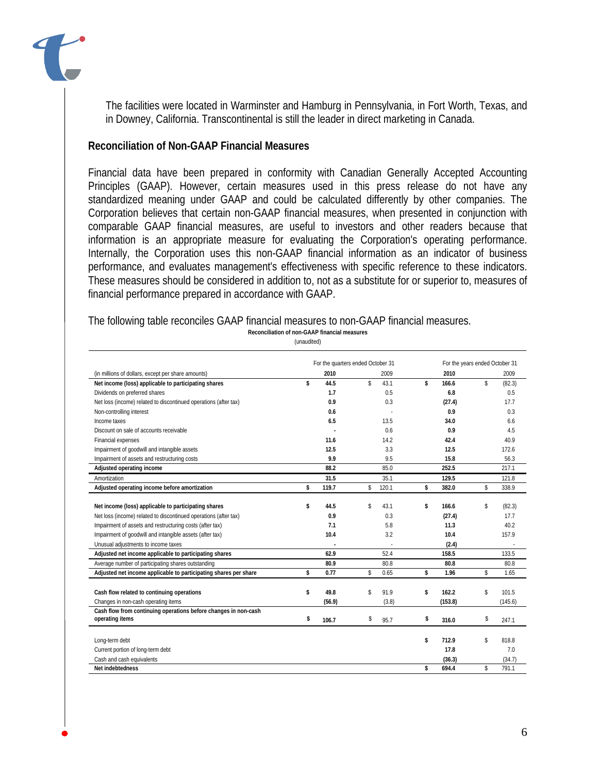

The facilities were located in Warminster and Hamburg in Pennsylvania, in Fort Worth, Texas, and in Downey, California. Transcontinental is still the leader in direct marketing in Canada.

#### **Reconciliation of Non-GAAP Financial Measures**

Financial data have been prepared in conformity with Canadian Generally Accepted Accounting Principles (GAAP). However, certain measures used in this press release do not have any standardized meaning under GAAP and could be calculated differently by other companies. The Corporation believes that certain non-GAAP financial measures, when presented in conjunction with comparable GAAP financial measures, are useful to investors and other readers because that information is an appropriate measure for evaluating the Corporation's operating performance. Internally, the Corporation uses this non-GAAP financial information as an indicator of business performance, and evaluates management's effectiveness with specific reference to these indicators. These measures should be considered in addition to, not as a substitute for or superior to, measures of financial performance prepared in accordance with GAAP.

The following table reconciles GAAP financial measures to non-GAAP financial measures.

**Reconciliation of non-GAAP financial measures**

(unaudited)

|                                                                  | For the quarters ended October 31 |             |             |    | For the years ended October 31 |  |  |
|------------------------------------------------------------------|-----------------------------------|-------------|-------------|----|--------------------------------|--|--|
| (in millions of dollars, except per share amounts)               | 2010                              | 2009        | 2010        |    | 2009                           |  |  |
| Net income (loss) applicable to participating shares             | \$<br>44.5                        | \$<br>43.1  | \$<br>166.6 | \$ | (82.3)                         |  |  |
| Dividends on preferred shares                                    | 1.7                               | 0.5         | 6.8         |    | 0.5                            |  |  |
| Net loss (income) related to discontinued operations (after tax) | 0.9                               | 0.3         | (27.4)      |    | 17.7                           |  |  |
| Non-controlling interest                                         | 0.6                               |             | 0.9         |    | 0.3                            |  |  |
| Income taxes                                                     | 6.5                               | 13.5        | 34.0        |    | 6.6                            |  |  |
| Discount on sale of accounts receivable                          |                                   | 0.6         | 0.9         |    | 4.5                            |  |  |
| Financial expenses                                               | 11.6                              | 14.2        | 42.4        |    | 40.9                           |  |  |
| Impairment of goodwill and intangible assets                     | 12.5                              | 3.3         | 12.5        |    | 172.6                          |  |  |
| Impairment of assets and restructuring costs                     | 9.9                               | 9.5         | 15.8        |    | 56.3                           |  |  |
| Adjusted operating income                                        | 88.2                              | 85.0        | 252.5       |    | 217.1                          |  |  |
| Amortization                                                     | 31.5                              | 35.1        | 129.5       |    | 121.8                          |  |  |
| Adjusted operating income before amortization                    | \$<br>119.7                       | \$<br>120.1 | \$<br>382.0 | \$ | 338.9                          |  |  |
|                                                                  |                                   |             |             |    |                                |  |  |
| Net income (loss) applicable to participating shares             | \$<br>44.5                        | \$<br>43.1  | \$<br>166.6 | \$ | (82.3)                         |  |  |
| Net loss (income) related to discontinued operations (after tax) | 0.9                               | 0.3         | (27.4)      |    | 17.7                           |  |  |
| Impairment of assets and restructuring costs (after tax)         | 7.1                               | 5.8         | 11.3        |    | 40.2                           |  |  |
| Impairment of goodwill and intangible assets (after tax)         | 10.4                              | 3.2         | 10.4        |    | 157.9                          |  |  |
| Unusual adjustments to income taxes                              |                                   |             | (2.4)       |    |                                |  |  |
| Adjusted net income applicable to participating shares           | 62.9                              | 52.4        | 158.5       |    | 133.5                          |  |  |
| Average number of participating shares outstanding               | 80.9                              | 80.8        | 80.8        |    | 80.8                           |  |  |
| Adjusted net income applicable to participating shares per share | \$<br>0.77                        | \$<br>0.65  | \$<br>1.96  | \$ | 1.65                           |  |  |
| Cash flow related to continuing operations                       | \$<br>49.8                        | \$<br>91.9  | \$<br>162.2 | \$ | 101.5                          |  |  |
| Changes in non-cash operating items                              | (56.9)                            | (3.8)       | (153.8)     |    | (145.6)                        |  |  |
| Cash flow from continuing operations before changes in non-cash  |                                   |             |             |    |                                |  |  |
| operating items                                                  | \$<br>106.7                       | \$<br>95.7  | \$<br>316.0 | \$ | 247.1                          |  |  |
|                                                                  |                                   |             |             |    |                                |  |  |
| Long-term debt                                                   |                                   |             | \$<br>712.9 | Ŝ  | 818.8                          |  |  |
| Current portion of long-term debt                                |                                   |             | 17.8        |    | 7.0                            |  |  |
| Cash and cash equivalents                                        |                                   |             | (36.3)      |    | (34.7)                         |  |  |
| Net indebtedness                                                 |                                   |             | \$<br>694.4 | \$ | 791.1                          |  |  |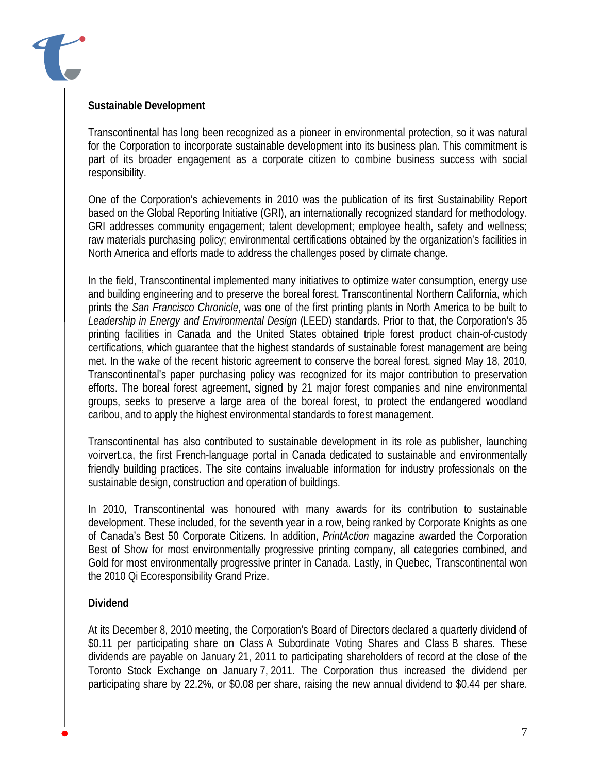

## **Sustainable Development**

Transcontinental has long been recognized as a pioneer in environmental protection, so it was natural for the Corporation to incorporate sustainable development into its business plan. This commitment is part of its broader engagement as a corporate citizen to combine business success with social responsibility.

One of the Corporation's achievements in 2010 was the publication of its first Sustainability Report based on the Global Reporting Initiative (GRI), an internationally recognized standard for methodology. GRI addresses community engagement; talent development; employee health, safety and wellness; raw materials purchasing policy; environmental certifications obtained by the organization's facilities in North America and efforts made to address the challenges posed by climate change.

In the field, Transcontinental implemented many initiatives to optimize water consumption, energy use and building engineering and to preserve the boreal forest. Transcontinental Northern California, which prints the *San Francisco Chronicle*, was one of the first printing plants in North America to be built to *Leadership in Energy and Environmental Design* (LEED) standards. Prior to that, the Corporation's 35 printing facilities in Canada and the United States obtained triple forest product chain-of-custody certifications, which guarantee that the highest standards of sustainable forest management are being met. In the wake of the recent historic agreement to conserve the boreal forest, signed May 18, 2010, Transcontinental's paper purchasing policy was recognized for its major contribution to preservation efforts. The boreal forest agreement, signed by 21 major forest companies and nine environmental groups, seeks to preserve a large area of the boreal forest, to protect the endangered woodland caribou, and to apply the highest environmental standards to forest management.

Transcontinental has also contributed to sustainable development in its role as publisher, launching voirvert.ca, the first French-language portal in Canada dedicated to sustainable and environmentally friendly building practices. The site contains invaluable information for industry professionals on the sustainable design, construction and operation of buildings.

In 2010, Transcontinental was honoured with many awards for its contribution to sustainable development. These included, for the seventh year in a row, being ranked by Corporate Knights as one of Canada's Best 50 Corporate Citizens. In addition, *PrintAction* magazine awarded the Corporation Best of Show for most environmentally progressive printing company, all categories combined, and Gold for most environmentally progressive printer in Canada. Lastly, in Quebec, Transcontinental won the 2010 Qi Ecoresponsibility Grand Prize.

## **Dividend**

At its December 8, 2010 meeting, the Corporation's Board of Directors declared a quarterly dividend of \$0.11 per participating share on Class A Subordinate Voting Shares and Class B shares. These dividends are payable on January 21, 2011 to participating shareholders of record at the close of the Toronto Stock Exchange on January 7, 2011. The Corporation thus increased the dividend per participating share by 22.2%, or \$0.08 per share, raising the new annual dividend to \$0.44 per share.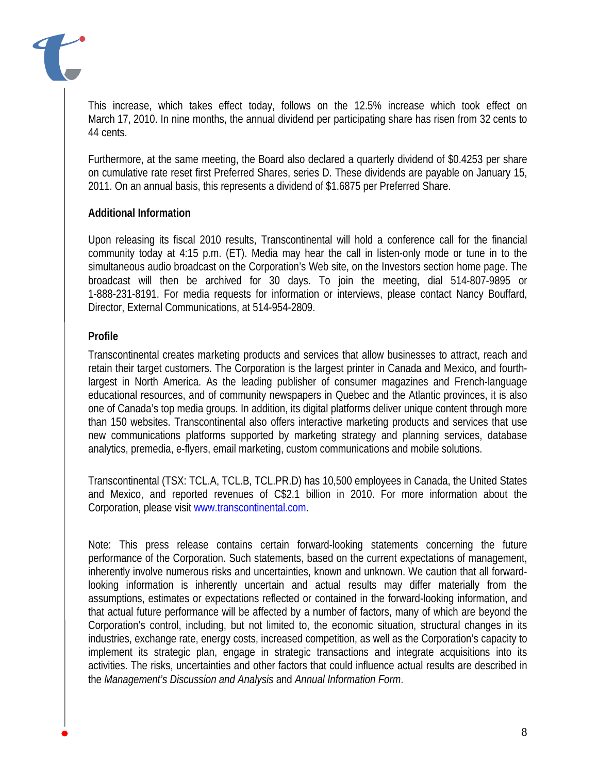

This increase, which takes effect today, follows on the 12.5% increase which took effect on March 17, 2010. In nine months, the annual dividend per participating share has risen from 32 cents to 44 cents.

Furthermore, at the same meeting, the Board also declared a quarterly dividend of \$0.4253 per share on cumulative rate reset first Preferred Shares, series D. These dividends are payable on January 15, 2011. On an annual basis, this represents a dividend of \$1.6875 per Preferred Share.

## **Additional Information**

Upon releasing its fiscal 2010 results, Transcontinental will hold a conference call for the financial community today at 4:15 p.m. (ET). Media may hear the call in listen-only mode or tune in to the simultaneous audio broadcast on the Corporation's Web site, on the Investors section home page. The broadcast will then be archived for 30 days. To join the meeting, dial 514-807-9895 or 1-888-231-8191. For media requests for information or interviews, please contact Nancy Bouffard, Director, External Communications, at 514-954-2809.

## **Profile**

Transcontinental creates marketing products and services that allow businesses to attract, reach and retain their target customers. The Corporation is the largest printer in Canada and Mexico, and fourthlargest in North America. As the leading publisher of consumer magazines and French-language educational resources, and of community newspapers in Quebec and the Atlantic provinces, it is also one of Canada's top media groups. In addition, its digital platforms deliver unique content through more than 150 websites. Transcontinental also offers interactive marketing products and services that use new communications platforms supported by marketing strategy and planning services, database analytics, premedia, e-flyers, email marketing, custom communications and mobile solutions.

Transcontinental (TSX: TCL.A, TCL.B, TCL.PR.D) has 10,500 employees in Canada, the United States and Mexico, and reported revenues of C\$2.1 billion in 2010. For more information about the Corporation, please visit www.transcontinental.com.

Note: This press release contains certain forward-looking statements concerning the future performance of the Corporation. Such statements, based on the current expectations of management, inherently involve numerous risks and uncertainties, known and unknown. We caution that all forwardlooking information is inherently uncertain and actual results may differ materially from the assumptions, estimates or expectations reflected or contained in the forward-looking information, and that actual future performance will be affected by a number of factors, many of which are beyond the Corporation's control, including, but not limited to, the economic situation, structural changes in its industries, exchange rate, energy costs, increased competition, as well as the Corporation's capacity to implement its strategic plan, engage in strategic transactions and integrate acquisitions into its activities. The risks, uncertainties and other factors that could influence actual results are described in the *Management's Discussion and Analysis* and *Annual Information Form*.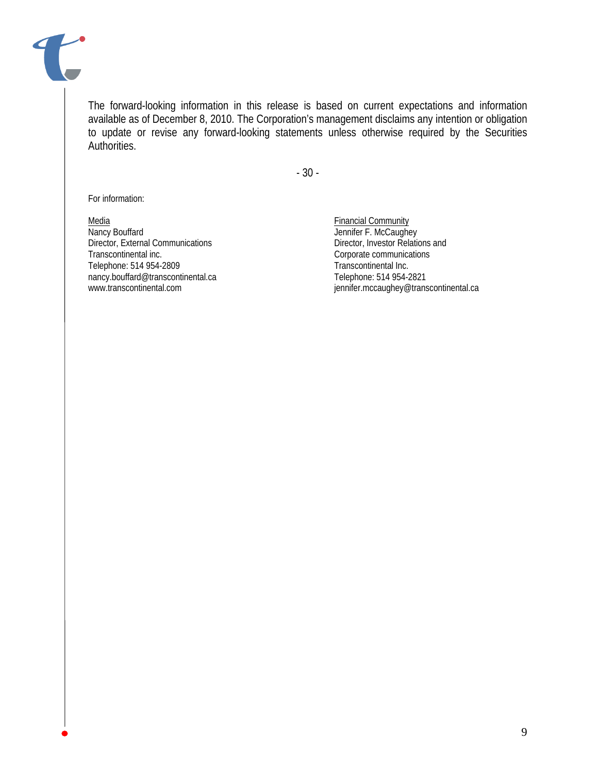

The forward-looking information in this release is based on current expectations and information available as of December 8, 2010. The Corporation's management disclaims any intention or obligation to update or revise any forward-looking statements unless otherwise required by the Securities Authorities.

- 30 -

For information:

Media Financial Community<br>
Nancy Bouffard<br>
Nancy Bouffard Director, External Communications Transcontinental inc.<br>
Telephone: 514 954-2809<br>
Transcontinental Inc. Telephone: 514 954-2809<br>
mancy.bouffard@transcontinental.ca Telephone: 514 954-2821 nancy.bouffard@transcontinental.ca

Jennifer F. McCaughey<br>Director, Investor Relations and www.transcontinental.com intervention of the set of the intervention of the intervention of the intervention of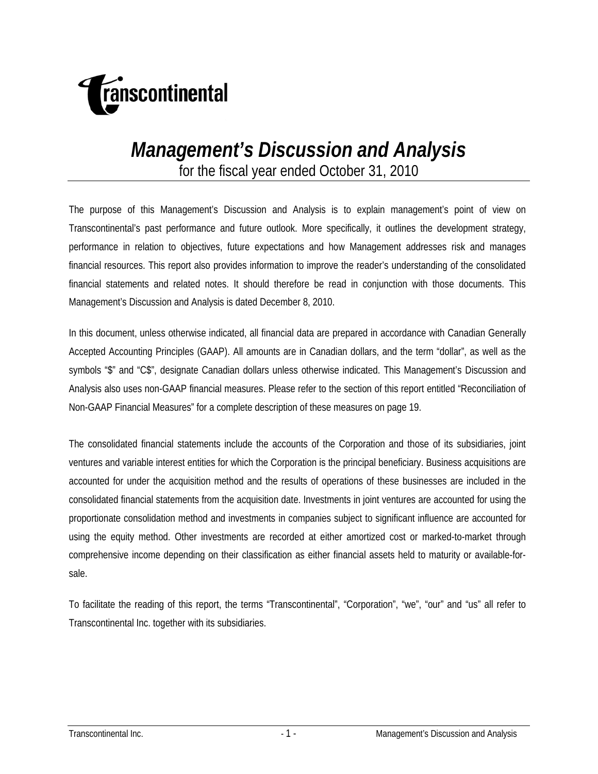

# *Management's Discussion and Analysis*

for the fiscal year ended October 31, 2010

The purpose of this Management's Discussion and Analysis is to explain management's point of view on Transcontinental's past performance and future outlook. More specifically, it outlines the development strategy, performance in relation to objectives, future expectations and how Management addresses risk and manages financial resources. This report also provides information to improve the reader's understanding of the consolidated financial statements and related notes. It should therefore be read in conjunction with those documents. This Management's Discussion and Analysis is dated December 8, 2010.

In this document, unless otherwise indicated, all financial data are prepared in accordance with Canadian Generally Accepted Accounting Principles (GAAP). All amounts are in Canadian dollars, and the term "dollar", as well as the symbols "\$" and "C\$", designate Canadian dollars unless otherwise indicated. This Management's Discussion and Analysis also uses non-GAAP financial measures. Please refer to the section of this report entitled "Reconciliation of Non-GAAP Financial Measures" for a complete description of these measures on page 19.

The consolidated financial statements include the accounts of the Corporation and those of its subsidiaries, joint ventures and variable interest entities for which the Corporation is the principal beneficiary. Business acquisitions are accounted for under the acquisition method and the results of operations of these businesses are included in the consolidated financial statements from the acquisition date. Investments in joint ventures are accounted for using the proportionate consolidation method and investments in companies subject to significant influence are accounted for using the equity method. Other investments are recorded at either amortized cost or marked-to-market through comprehensive income depending on their classification as either financial assets held to maturity or available-forsale.

To facilitate the reading of this report, the terms "Transcontinental", "Corporation", "we", "our" and "us" all refer to Transcontinental Inc. together with its subsidiaries.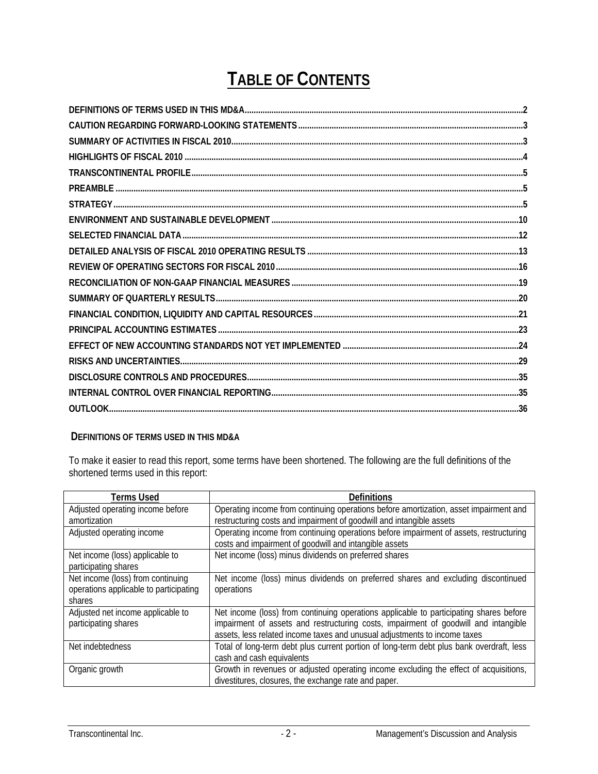## **TABLE OF CONTENTS**

### **DEFINITIONS OF TERMS USED IN THIS MD&A**

To make it easier to read this report, some terms have been shortened. The following are the full definitions of the shortened terms used in this report:

| <b>Terms Used</b>                                                                     | Definitions                                                                                                                                                                                                                                                |
|---------------------------------------------------------------------------------------|------------------------------------------------------------------------------------------------------------------------------------------------------------------------------------------------------------------------------------------------------------|
| Adjusted operating income before<br>amortization                                      | Operating income from continuing operations before amortization, asset impairment and<br>restructuring costs and impairment of goodwill and intangible assets                                                                                              |
| Adjusted operating income                                                             | Operating income from continuing operations before impairment of assets, restructuring<br>costs and impairment of goodwill and intangible assets                                                                                                           |
| Net income (loss) applicable to<br>participating shares                               | Net income (loss) minus dividends on preferred shares                                                                                                                                                                                                      |
| Net income (loss) from continuing<br>operations applicable to participating<br>shares | Net income (loss) minus dividends on preferred shares and excluding discontinued<br>operations                                                                                                                                                             |
| Adjusted net income applicable to<br>participating shares                             | Net income (loss) from continuing operations applicable to participating shares before<br>impairment of assets and restructuring costs, impairment of goodwill and intangible<br>assets, less related income taxes and unusual adjustments to income taxes |
| Net indebtedness                                                                      | Total of long-term debt plus current portion of long-term debt plus bank overdraft, less<br>cash and cash equivalents                                                                                                                                      |
| Organic growth                                                                        | Growth in revenues or adjusted operating income excluding the effect of acquisitions,<br>divestitures, closures, the exchange rate and paper.                                                                                                              |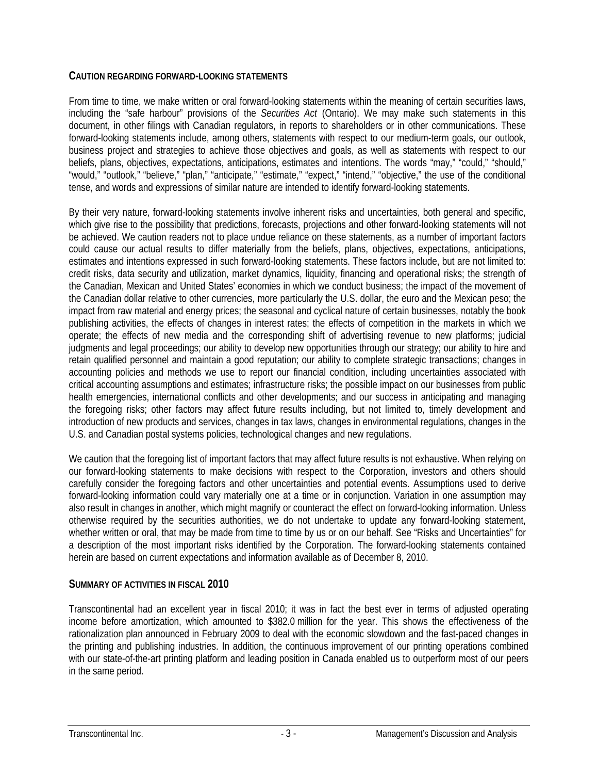## **CAUTION REGARDING FORWARD-LOOKING STATEMENTS**

From time to time, we make written or oral forward-looking statements within the meaning of certain securities laws, including the "safe harbour" provisions of the *Securities Act* (Ontario). We may make such statements in this document, in other filings with Canadian regulators, in reports to shareholders or in other communications. These forward-looking statements include, among others, statements with respect to our medium-term goals, our outlook, business project and strategies to achieve those objectives and goals, as well as statements with respect to our beliefs, plans, objectives, expectations, anticipations, estimates and intentions. The words "may," "could," "should," "would," "outlook," "believe," "plan," "anticipate," "estimate," "expect," "intend," "objective," the use of the conditional tense, and words and expressions of similar nature are intended to identify forward-looking statements.

By their very nature, forward-looking statements involve inherent risks and uncertainties, both general and specific, which give rise to the possibility that predictions, forecasts, projections and other forward-looking statements will not be achieved. We caution readers not to place undue reliance on these statements, as a number of important factors could cause our actual results to differ materially from the beliefs, plans, objectives, expectations, anticipations, estimates and intentions expressed in such forward-looking statements. These factors include, but are not limited to: credit risks, data security and utilization, market dynamics, liquidity, financing and operational risks; the strength of the Canadian, Mexican and United States' economies in which we conduct business; the impact of the movement of the Canadian dollar relative to other currencies, more particularly the U.S. dollar, the euro and the Mexican peso; the impact from raw material and energy prices; the seasonal and cyclical nature of certain businesses, notably the book publishing activities, the effects of changes in interest rates; the effects of competition in the markets in which we operate; the effects of new media and the corresponding shift of advertising revenue to new platforms; judicial judgments and legal proceedings; our ability to develop new opportunities through our strategy; our ability to hire and retain qualified personnel and maintain a good reputation; our ability to complete strategic transactions; changes in accounting policies and methods we use to report our financial condition, including uncertainties associated with critical accounting assumptions and estimates; infrastructure risks; the possible impact on our businesses from public health emergencies, international conflicts and other developments; and our success in anticipating and managing the foregoing risks; other factors may affect future results including, but not limited to, timely development and introduction of new products and services, changes in tax laws, changes in environmental regulations, changes in the U.S. and Canadian postal systems policies, technological changes and new regulations.

We caution that the foregoing list of important factors that may affect future results is not exhaustive. When relying on our forward-looking statements to make decisions with respect to the Corporation, investors and others should carefully consider the foregoing factors and other uncertainties and potential events. Assumptions used to derive forward-looking information could vary materially one at a time or in conjunction. Variation in one assumption may also result in changes in another, which might magnify or counteract the effect on forward-looking information. Unless otherwise required by the securities authorities, we do not undertake to update any forward-looking statement, whether written or oral, that may be made from time to time by us or on our behalf. See "Risks and Uncertainties" for a description of the most important risks identified by the Corporation. The forward-looking statements contained herein are based on current expectations and information available as of December 8, 2010.

## **SUMMARY OF ACTIVITIES IN FISCAL 2010**

Transcontinental had an excellent year in fiscal 2010; it was in fact the best ever in terms of adjusted operating income before amortization, which amounted to \$382.0 million for the year. This shows the effectiveness of the rationalization plan announced in February 2009 to deal with the economic slowdown and the fast-paced changes in the printing and publishing industries. In addition, the continuous improvement of our printing operations combined with our state-of-the-art printing platform and leading position in Canada enabled us to outperform most of our peers in the same period.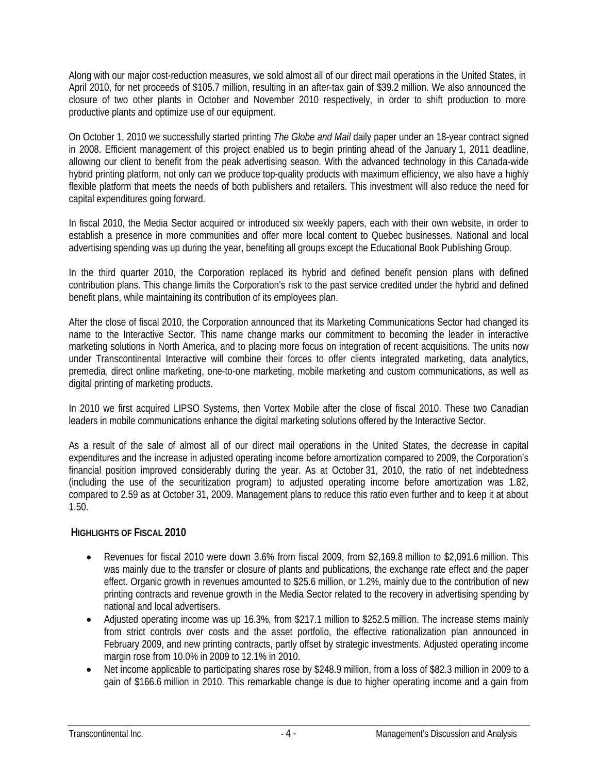Along with our major cost-reduction measures, we sold almost all of our direct mail operations in the United States, in April 2010, for net proceeds of \$105.7 million, resulting in an after-tax gain of \$39.2 million. We also announced the closure of two other plants in October and November 2010 respectively, in order to shift production to more productive plants and optimize use of our equipment.

On October 1, 2010 we successfully started printing *The Globe and Mail* daily paper under an 18-year contract signed in 2008. Efficient management of this project enabled us to begin printing ahead of the January 1, 2011 deadline, allowing our client to benefit from the peak advertising season. With the advanced technology in this Canada-wide hybrid printing platform, not only can we produce top-quality products with maximum efficiency, we also have a highly flexible platform that meets the needs of both publishers and retailers. This investment will also reduce the need for capital expenditures going forward.

In fiscal 2010, the Media Sector acquired or introduced six weekly papers, each with their own website, in order to establish a presence in more communities and offer more local content to Quebec businesses. National and local advertising spending was up during the year, benefiting all groups except the Educational Book Publishing Group.

In the third quarter 2010, the Corporation replaced its hybrid and defined benefit pension plans with defined contribution plans. This change limits the Corporation's risk to the past service credited under the hybrid and defined benefit plans, while maintaining its contribution of its employees plan.

After the close of fiscal 2010, the Corporation announced that its Marketing Communications Sector had changed its name to the Interactive Sector. This name change marks our commitment to becoming the leader in interactive marketing solutions in North America, and to placing more focus on integration of recent acquisitions. The units now under Transcontinental Interactive will combine their forces to offer clients integrated marketing, data analytics, premedia, direct online marketing, one-to-one marketing, mobile marketing and custom communications, as well as digital printing of marketing products.

In 2010 we first acquired LIPSO Systems, then Vortex Mobile after the close of fiscal 2010. These two Canadian leaders in mobile communications enhance the digital marketing solutions offered by the Interactive Sector.

As a result of the sale of almost all of our direct mail operations in the United States, the decrease in capital expenditures and the increase in adjusted operating income before amortization compared to 2009, the Corporation's financial position improved considerably during the year. As at October 31, 2010, the ratio of net indebtedness (including the use of the securitization program) to adjusted operating income before amortization was 1.82, compared to 2.59 as at October 31, 2009. Management plans to reduce this ratio even further and to keep it at about 1.50.

## **HIGHLIGHTS OF FISCAL 2010**

- Revenues for fiscal 2010 were down 3.6% from fiscal 2009, from \$2,169.8 million to \$2,091.6 million. This was mainly due to the transfer or closure of plants and publications, the exchange rate effect and the paper effect. Organic growth in revenues amounted to \$25.6 million, or 1.2%, mainly due to the contribution of new printing contracts and revenue growth in the Media Sector related to the recovery in advertising spending by national and local advertisers.
- Adjusted operating income was up 16.3%, from \$217.1 million to \$252.5 million. The increase stems mainly from strict controls over costs and the asset portfolio, the effective rationalization plan announced in February 2009, and new printing contracts, partly offset by strategic investments. Adjusted operating income margin rose from 10.0% in 2009 to 12.1% in 2010.
- Net income applicable to participating shares rose by \$248.9 million, from a loss of \$82.3 million in 2009 to a gain of \$166.6 million in 2010. This remarkable change is due to higher operating income and a gain from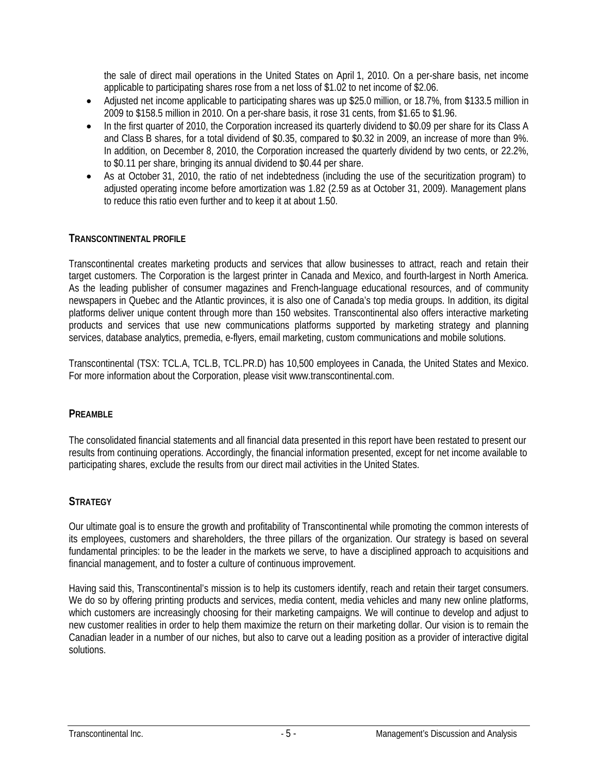the sale of direct mail operations in the United States on April 1, 2010. On a per-share basis, net income applicable to participating shares rose from a net loss of \$1.02 to net income of \$2.06.

- Adjusted net income applicable to participating shares was up \$25.0 million, or 18.7%, from \$133.5 million in 2009 to \$158.5 million in 2010. On a per-share basis, it rose 31 cents, from \$1.65 to \$1.96.
- In the first quarter of 2010, the Corporation increased its quarterly dividend to \$0.09 per share for its Class A and Class B shares, for a total dividend of \$0.35, compared to \$0.32 in 2009, an increase of more than 9%. In addition, on December 8, 2010, the Corporation increased the quarterly dividend by two cents, or 22.2%, to \$0.11 per share, bringing its annual dividend to \$0.44 per share.
- As at October 31, 2010, the ratio of net indebtedness (including the use of the securitization program) to adjusted operating income before amortization was 1.82 (2.59 as at October 31, 2009). Management plans to reduce this ratio even further and to keep it at about 1.50.

## **TRANSCONTINENTAL PROFILE**

Transcontinental creates marketing products and services that allow businesses to attract, reach and retain their target customers. The Corporation is the largest printer in Canada and Mexico, and fourth-largest in North America. As the leading publisher of consumer magazines and French-language educational resources, and of community newspapers in Quebec and the Atlantic provinces, it is also one of Canada's top media groups. In addition, its digital platforms deliver unique content through more than 150 websites. Transcontinental also offers interactive marketing products and services that use new communications platforms supported by marketing strategy and planning services, database analytics, premedia, e-flyers, email marketing, custom communications and mobile solutions.

Transcontinental (TSX: TCL.A, TCL.B, TCL.PR.D) has 10,500 employees in Canada, the United States and Mexico. For more information about the Corporation, please visit www.transcontinental.com.

## **PREAMBLE**

The consolidated financial statements and all financial data presented in this report have been restated to present our results from continuing operations. Accordingly, the financial information presented, except for net income available to participating shares, exclude the results from our direct mail activities in the United States.

## **STRATEGY**

Our ultimate goal is to ensure the growth and profitability of Transcontinental while promoting the common interests of its employees, customers and shareholders, the three pillars of the organization. Our strategy is based on several fundamental principles: to be the leader in the markets we serve, to have a disciplined approach to acquisitions and financial management, and to foster a culture of continuous improvement.

Having said this, Transcontinental's mission is to help its customers identify, reach and retain their target consumers. We do so by offering printing products and services, media content, media vehicles and many new online platforms, which customers are increasingly choosing for their marketing campaigns. We will continue to develop and adjust to new customer realities in order to help them maximize the return on their marketing dollar. Our vision is to remain the Canadian leader in a number of our niches, but also to carve out a leading position as a provider of interactive digital solutions.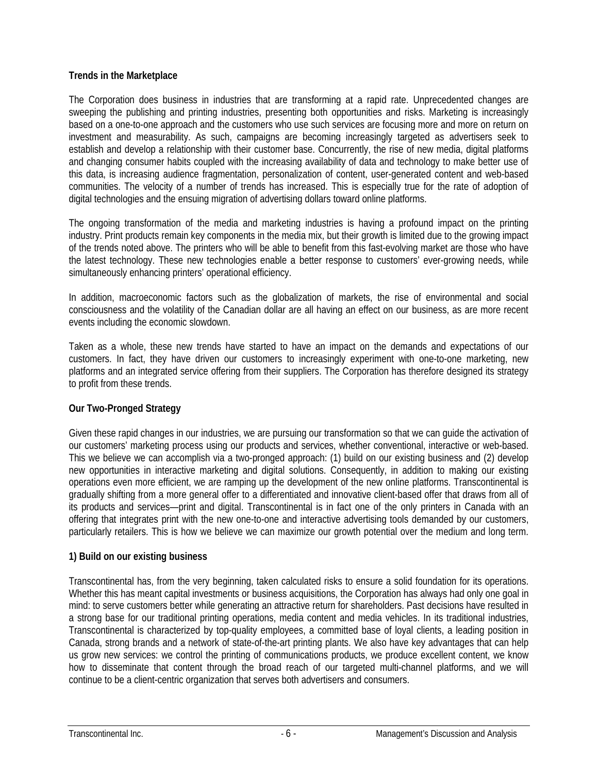## **Trends in the Marketplace**

The Corporation does business in industries that are transforming at a rapid rate. Unprecedented changes are sweeping the publishing and printing industries, presenting both opportunities and risks. Marketing is increasingly based on a one-to-one approach and the customers who use such services are focusing more and more on return on investment and measurability. As such, campaigns are becoming increasingly targeted as advertisers seek to establish and develop a relationship with their customer base. Concurrently, the rise of new media, digital platforms and changing consumer habits coupled with the increasing availability of data and technology to make better use of this data, is increasing audience fragmentation, personalization of content, user-generated content and web-based communities. The velocity of a number of trends has increased. This is especially true for the rate of adoption of digital technologies and the ensuing migration of advertising dollars toward online platforms.

The ongoing transformation of the media and marketing industries is having a profound impact on the printing industry. Print products remain key components in the media mix, but their growth is limited due to the growing impact of the trends noted above. The printers who will be able to benefit from this fast-evolving market are those who have the latest technology. These new technologies enable a better response to customers' ever-growing needs, while simultaneously enhancing printers' operational efficiency.

In addition, macroeconomic factors such as the globalization of markets, the rise of environmental and social consciousness and the volatility of the Canadian dollar are all having an effect on our business, as are more recent events including the economic slowdown.

Taken as a whole, these new trends have started to have an impact on the demands and expectations of our customers. In fact, they have driven our customers to increasingly experiment with one-to-one marketing, new platforms and an integrated service offering from their suppliers. The Corporation has therefore designed its strategy to profit from these trends.

## **Our Two-Pronged Strategy**

Given these rapid changes in our industries, we are pursuing our transformation so that we can guide the activation of our customers' marketing process using our products and services, whether conventional, interactive or web-based. This we believe we can accomplish via a two-pronged approach: (1) build on our existing business and (2) develop new opportunities in interactive marketing and digital solutions. Consequently, in addition to making our existing operations even more efficient, we are ramping up the development of the new online platforms. Transcontinental is gradually shifting from a more general offer to a differentiated and innovative client-based offer that draws from all of its products and services—print and digital. Transcontinental is in fact one of the only printers in Canada with an offering that integrates print with the new one-to-one and interactive advertising tools demanded by our customers, particularly retailers. This is how we believe we can maximize our growth potential over the medium and long term.

## **1) Build on our existing business**

Transcontinental has, from the very beginning, taken calculated risks to ensure a solid foundation for its operations. Whether this has meant capital investments or business acquisitions, the Corporation has always had only one goal in mind: to serve customers better while generating an attractive return for shareholders. Past decisions have resulted in a strong base for our traditional printing operations, media content and media vehicles. In its traditional industries, Transcontinental is characterized by top-quality employees, a committed base of loyal clients, a leading position in Canada, strong brands and a network of state-of-the-art printing plants. We also have key advantages that can help us grow new services: we control the printing of communications products, we produce excellent content, we know how to disseminate that content through the broad reach of our targeted multi-channel platforms, and we will continue to be a client-centric organization that serves both advertisers and consumers.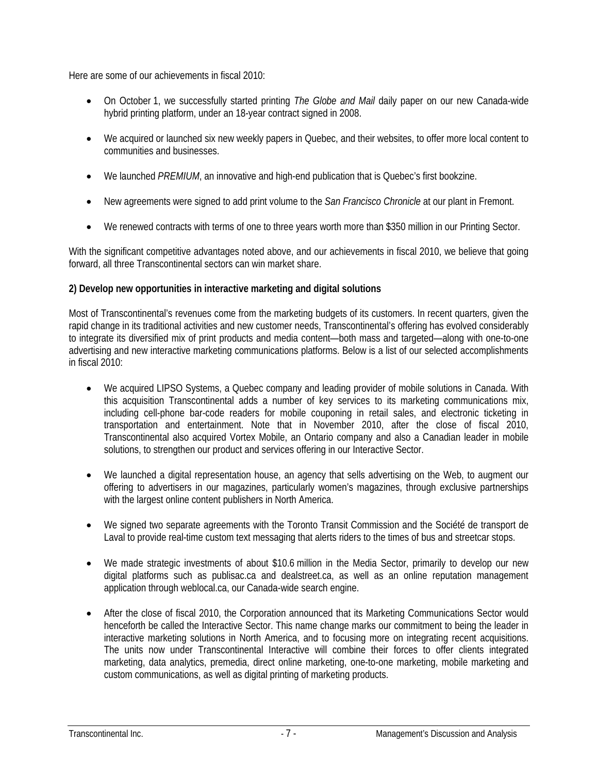Here are some of our achievements in fiscal 2010:

- On October 1, we successfully started printing *The Globe and Mail* daily paper on our new Canada-wide hybrid printing platform, under an 18-year contract signed in 2008.
- We acquired or launched six new weekly papers in Quebec, and their websites, to offer more local content to communities and businesses.
- We launched *PREMIUM*, an innovative and high-end publication that is Quebec's first bookzine.
- New agreements were signed to add print volume to the *San Francisco Chronicle* at our plant in Fremont.
- We renewed contracts with terms of one to three years worth more than \$350 million in our Printing Sector.

With the significant competitive advantages noted above, and our achievements in fiscal 2010, we believe that going forward, all three Transcontinental sectors can win market share.

## **2) Develop new opportunities in interactive marketing and digital solutions**

Most of Transcontinental's revenues come from the marketing budgets of its customers. In recent quarters, given the rapid change in its traditional activities and new customer needs, Transcontinental's offering has evolved considerably to integrate its diversified mix of print products and media content—both mass and targeted—along with one-to-one advertising and new interactive marketing communications platforms. Below is a list of our selected accomplishments in fiscal 2010:

- We acquired LIPSO Systems, a Quebec company and leading provider of mobile solutions in Canada. With this acquisition Transcontinental adds a number of key services to its marketing communications mix, including cell-phone bar-code readers for mobile couponing in retail sales, and electronic ticketing in transportation and entertainment. Note that in November 2010, after the close of fiscal 2010, Transcontinental also acquired Vortex Mobile, an Ontario company and also a Canadian leader in mobile solutions, to strengthen our product and services offering in our Interactive Sector.
- We launched a digital representation house, an agency that sells advertising on the Web, to augment our offering to advertisers in our magazines, particularly women's magazines, through exclusive partnerships with the largest online content publishers in North America.
- We signed two separate agreements with the Toronto Transit Commission and the Société de transport de Laval to provide real-time custom text messaging that alerts riders to the times of bus and streetcar stops.
- We made strategic investments of about \$10.6 million in the Media Sector, primarily to develop our new digital platforms such as publisac.ca and dealstreet.ca, as well as an online reputation management application through weblocal.ca, our Canada-wide search engine.
- After the close of fiscal 2010, the Corporation announced that its Marketing Communications Sector would henceforth be called the Interactive Sector. This name change marks our commitment to being the leader in interactive marketing solutions in North America, and to focusing more on integrating recent acquisitions. The units now under Transcontinental Interactive will combine their forces to offer clients integrated marketing, data analytics, premedia, direct online marketing, one-to-one marketing, mobile marketing and custom communications, as well as digital printing of marketing products.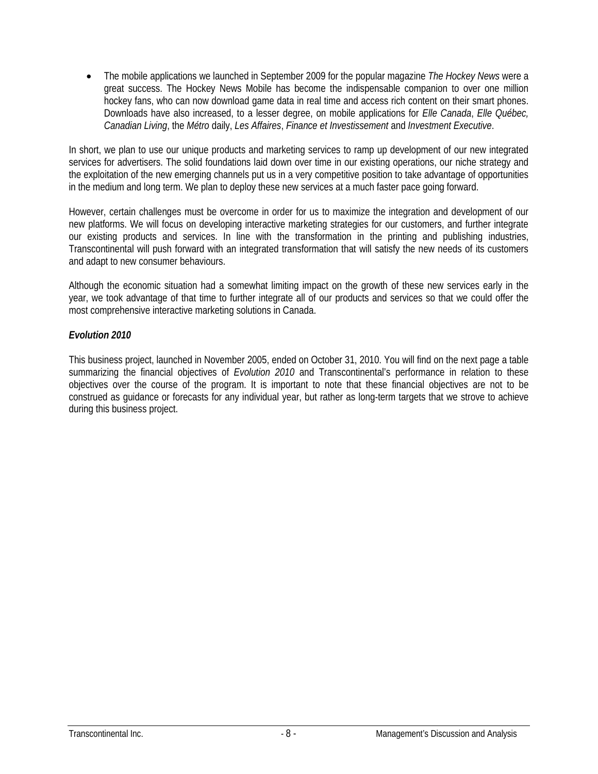The mobile applications we launched in September 2009 for the popular magazine *The Hockey News* were a great success. The Hockey News Mobile has become the indispensable companion to over one million hockey fans, who can now download game data in real time and access rich content on their smart phones. Downloads have also increased, to a lesser degree, on mobile applications for *Elle Canada*, *Elle Québec, Canadian Living*, the *Métro* daily, *Les Affaires*, *Finance et Investissement* and *Investment Executive*.

In short, we plan to use our unique products and marketing services to ramp up development of our new integrated services for advertisers. The solid foundations laid down over time in our existing operations, our niche strategy and the exploitation of the new emerging channels put us in a very competitive position to take advantage of opportunities in the medium and long term. We plan to deploy these new services at a much faster pace going forward.

However, certain challenges must be overcome in order for us to maximize the integration and development of our new platforms. We will focus on developing interactive marketing strategies for our customers, and further integrate our existing products and services. In line with the transformation in the printing and publishing industries, Transcontinental will push forward with an integrated transformation that will satisfy the new needs of its customers and adapt to new consumer behaviours.

Although the economic situation had a somewhat limiting impact on the growth of these new services early in the year, we took advantage of that time to further integrate all of our products and services so that we could offer the most comprehensive interactive marketing solutions in Canada.

## *Evolution 2010*

This business project, launched in November 2005, ended on October 31, 2010. You will find on the next page a table summarizing the financial objectives of *Evolution 2010* and Transcontinental's performance in relation to these objectives over the course of the program. It is important to note that these financial objectives are not to be construed as guidance or forecasts for any individual year, but rather as long-term targets that we strove to achieve during this business project.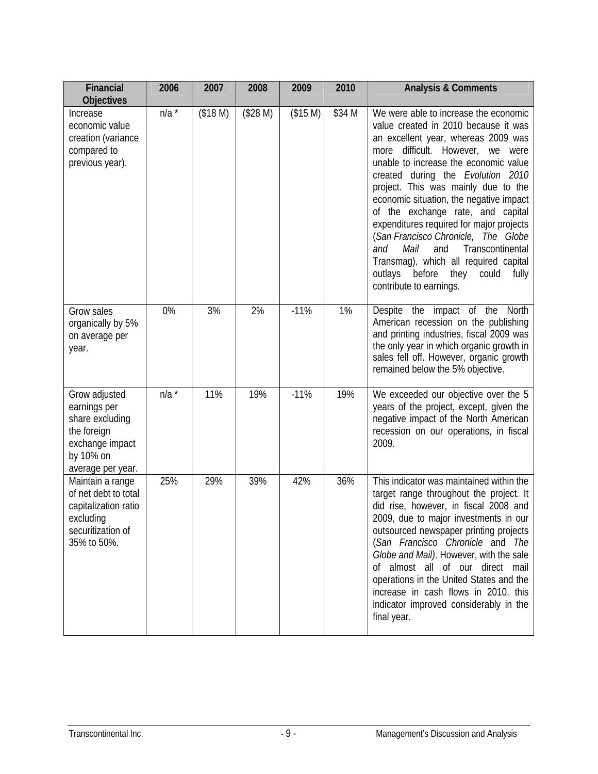| <b>Financial</b><br><b>Objectives</b>                                                                                | 2006    | 2007     | 2008     | 2009     | 2010   | <b>Analysis &amp; Comments</b>                                                                                                                                                                                                                                                                                                                                                                                                                                                                                                                                                                                            |
|----------------------------------------------------------------------------------------------------------------------|---------|----------|----------|----------|--------|---------------------------------------------------------------------------------------------------------------------------------------------------------------------------------------------------------------------------------------------------------------------------------------------------------------------------------------------------------------------------------------------------------------------------------------------------------------------------------------------------------------------------------------------------------------------------------------------------------------------------|
| Increase<br>economic value<br>creation (variance<br>compared to<br>previous year).                                   | n/a     | (\$18 M) | (\$28 M) | (\$15 M) | \$34 M | We were able to increase the economic<br>value created in 2010 because it was<br>an excellent year, whereas 2009 was<br>difficult.<br>However,<br>we<br>more<br>were<br>unable to increase the economic value<br>created during the Evolution 2010<br>project. This was mainly due to the<br>economic situation, the negative impact<br>of the exchange rate, and capital<br>expenditures required for major projects<br>(San Francisco Chronicle, The Globe<br>Mail<br>Transcontinental<br>and<br>and<br>Transmag), which all required capital<br>before<br>they<br>outlays<br>could<br>fully<br>contribute to earnings. |
| Grow sales<br>organically by 5%<br>on average per<br>year.                                                           | 0%      | 3%       | 2%       | $-11%$   | 1%     | Despite the impact of the North<br>American recession on the publishing<br>and printing industries, fiscal 2009 was<br>the only year in which organic growth in<br>sales fell off. However, organic growth<br>remained below the 5% objective.                                                                                                                                                                                                                                                                                                                                                                            |
| Grow adjusted<br>earnings per<br>share excluding<br>the foreign<br>exchange impact<br>by 10% on<br>average per year. | $n/a^*$ | 11%      | 19%      | $-11%$   | 19%    | We exceeded our objective over the 5<br>years of the project, except, given the<br>negative impact of the North American<br>recession on our operations, in fiscal<br>2009.                                                                                                                                                                                                                                                                                                                                                                                                                                               |
| Maintain a range<br>of net debt to total<br>capitalization ratio<br>excluding<br>securitization of<br>35% to 50%.    | 25%     | 29%      | 39%      | 42%      | 36%    | This indicator was maintained within the<br>target range throughout the project. It<br>did rise, however, in fiscal 2008 and<br>2009, due to major investments in our<br>outsourced newspaper printing projects<br>(San Francisco Chronicle and The<br>Globe and Mail). However, with the sale<br>of almost all of our direct mail<br>operations in the United States and the<br>increase in cash flows in 2010, this<br>indicator improved considerably in the<br>final year.                                                                                                                                            |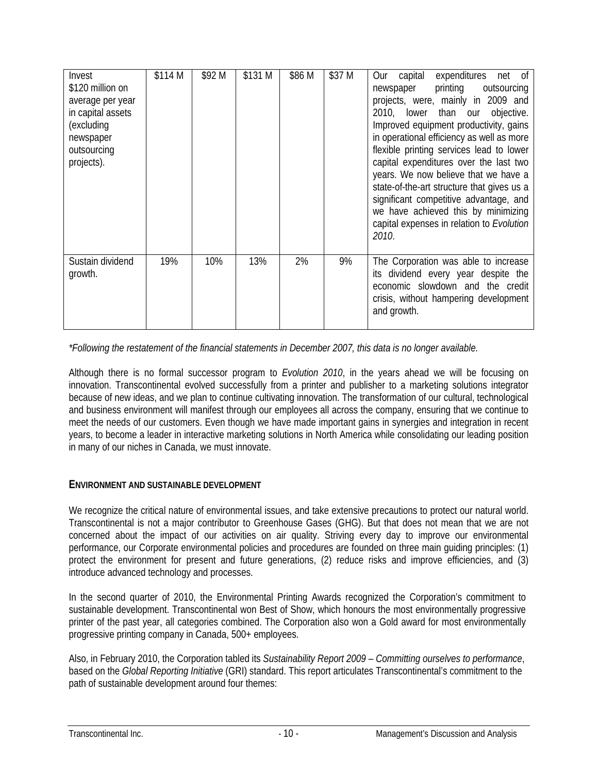| Invest<br>\$120 million on<br>average per year<br>in capital assets<br>(excluding<br>newspaper<br>outsourcing<br>projects). | \$114 M | \$92 M | \$131 M | \$86 M | \$37 M | expenditures<br>capital<br>net of<br><b>Our</b><br>printing<br>outsourcing<br>newspaper<br>projects, were, mainly in 2009 and<br>lower<br>than our objective.<br>2010,<br>Improved equipment productivity, gains<br>in operational efficiency as well as more<br>flexible printing services lead to lower<br>capital expenditures over the last two<br>years. We now believe that we have a<br>state-of-the-art structure that gives us a<br>significant competitive advantage, and<br>we have achieved this by minimizing<br>capital expenses in relation to Evolution<br>2010. |
|-----------------------------------------------------------------------------------------------------------------------------|---------|--------|---------|--------|--------|----------------------------------------------------------------------------------------------------------------------------------------------------------------------------------------------------------------------------------------------------------------------------------------------------------------------------------------------------------------------------------------------------------------------------------------------------------------------------------------------------------------------------------------------------------------------------------|
| Sustain dividend<br>growth.                                                                                                 | 19%     | 10%    | 13%     | 2%     | 9%     | The Corporation was able to increase<br>its dividend every year despite the<br>economic slowdown and the credit<br>crisis, without hampering development<br>and growth.                                                                                                                                                                                                                                                                                                                                                                                                          |

*\*Following the restatement of the financial statements in December 2007, this data is no longer available.* 

Although there is no formal successor program to *Evolution 2010*, in the years ahead we will be focusing on innovation. Transcontinental evolved successfully from a printer and publisher to a marketing solutions integrator because of new ideas, and we plan to continue cultivating innovation. The transformation of our cultural, technological and business environment will manifest through our employees all across the company, ensuring that we continue to meet the needs of our customers. Even though we have made important gains in synergies and integration in recent years, to become a leader in interactive marketing solutions in North America while consolidating our leading position in many of our niches in Canada, we must innovate.

## **ENVIRONMENT AND SUSTAINABLE DEVELOPMENT**

We recognize the critical nature of environmental issues, and take extensive precautions to protect our natural world. Transcontinental is not a major contributor to Greenhouse Gases (GHG). But that does not mean that we are not concerned about the impact of our activities on air quality. Striving every day to improve our environmental performance, our Corporate environmental policies and procedures are founded on three main guiding principles: (1) protect the environment for present and future generations, (2) reduce risks and improve efficiencies, and (3) introduce advanced technology and processes.

In the second quarter of 2010, the Environmental Printing Awards recognized the Corporation's commitment to sustainable development. Transcontinental won Best of Show, which honours the most environmentally progressive printer of the past year, all categories combined. The Corporation also won a Gold award for most environmentally progressive printing company in Canada, 500+ employees.

Also, in February 2010, the Corporation tabled its *Sustainability Report 2009 – Committing ourselves to performance*, based on the *Global Reporting Initiative* (GRI) standard. This report articulates Transcontinental's commitment to the path of sustainable development around four themes: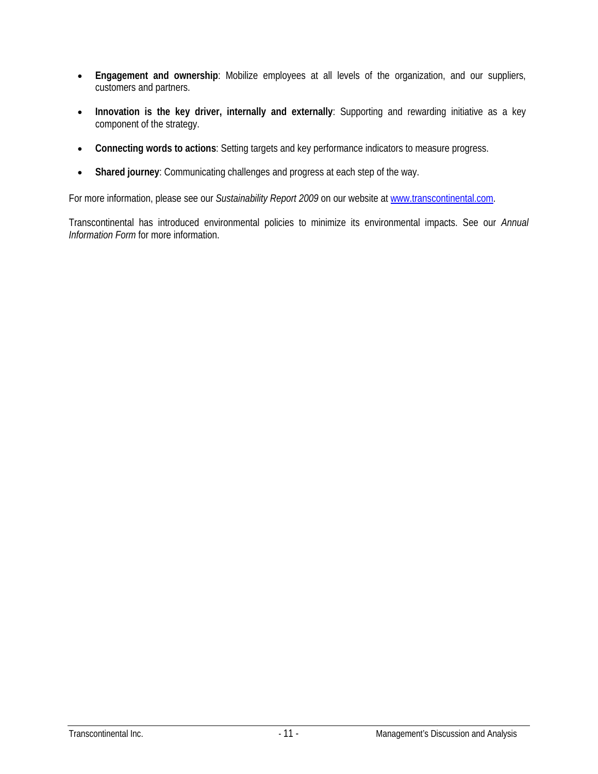- **Engagement and ownership**: Mobilize employees at all levels of the organization, and our suppliers, customers and partners.
- **Innovation is the key driver, internally and externally**: Supporting and rewarding initiative as a key component of the strategy.
- **Connecting words to actions**: Setting targets and key performance indicators to measure progress.
- **Shared journey**: Communicating challenges and progress at each step of the way.

For more information, please see our *Sustainability Report 2009* on our website at www.transcontinental.com.

Transcontinental has introduced environmental policies to minimize its environmental impacts. See our *Annual Information Form* for more information.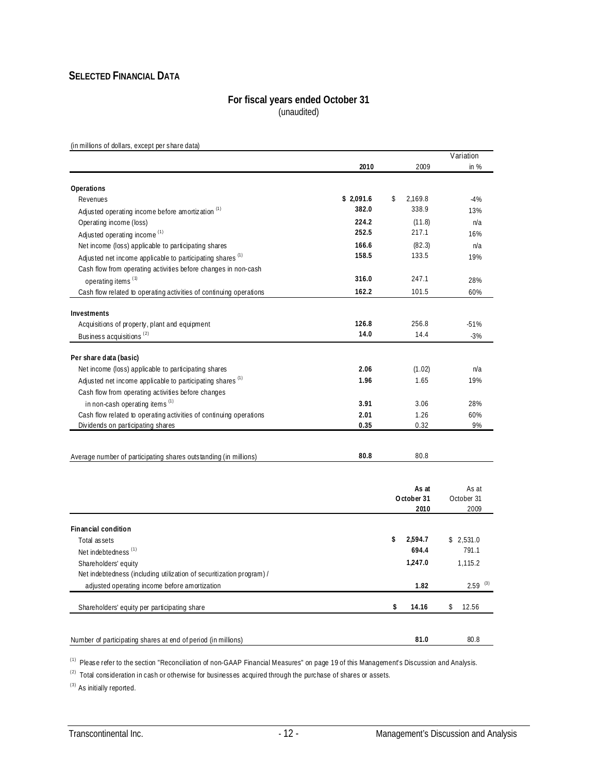## **SELECTED FINANCIAL DATA**

#### **For fiscal years ended October 31** (unaudited)

(in millions of dollars, except per share data)

|                                                                       |           |               | Variation             |
|-----------------------------------------------------------------------|-----------|---------------|-----------------------|
|                                                                       | 2010      | 2009          | in $%$                |
|                                                                       |           |               |                       |
| Operations<br>Revenues                                                | \$2,091.6 | \$<br>2,169.8 | $-4%$                 |
| Adjusted operating income before amortization <sup>(1)</sup>          | 382.0     | 338.9         | 13%                   |
| Operating income (loss)                                               | 224.2     | (11.8)        | n/a                   |
| Adjusted operating income <sup>(1)</sup>                              | 252.5     | 217.1         | 16%                   |
| Net income (loss) applicable to participating shares                  | 166.6     | (82.3)        | n/a                   |
| Adjusted net income applicable to participating shares <sup>(1)</sup> | 158.5     | 133.5         | 19%                   |
| Cash flow from operating activities before changes in non-cash        |           |               |                       |
|                                                                       | 316.0     | 247.1         | 28%                   |
| operating items <sup>(1)</sup>                                        | 162.2     | 101.5         |                       |
| Cash flow related to operating activities of continuing operations    |           |               | 60%                   |
| Investments                                                           |           |               |                       |
| Acquisitions of property, plant and equipment                         | 126.8     | 256.8         | $-51%$                |
| Business acquisitions <sup>(2)</sup>                                  | 14.0      | 14.4          | $-3%$                 |
|                                                                       |           |               |                       |
| Per share data (basic)                                                |           |               |                       |
| Net income (loss) applicable to participating shares                  | 2.06      | (1.02)        | n/a                   |
| Adjusted net income applicable to participating shares <sup>(1)</sup> | 1.96      | 1.65          | 19%                   |
| Cash flow from operating activities before changes                    |           |               |                       |
| in non-cash operating items <sup>(1)</sup>                            | 3.91      | 3.06          | 28%                   |
| Cash flow related to operating activities of continuing operations    | 2.01      | 1.26          | 60%                   |
| Dividends on participating shares                                     | 0.35      | 0.32          | 9%                    |
|                                                                       |           |               |                       |
| Average number of participating shares outstanding (in millions)      | 80.8      | 80.8          |                       |
|                                                                       |           |               |                       |
|                                                                       |           | As at         | As at                 |
|                                                                       |           | October 31    | October 31            |
|                                                                       |           | 2010          | 2009                  |
| Financial condition                                                   |           |               |                       |
| Total assets                                                          |           | \$<br>2,594.7 | \$2,531.0             |
| Net indebtedness <sup>(1)</sup>                                       |           | 694.4         | 791.1                 |
| Shareholders' equity                                                  |           | 1,247.0       | 1,115.2               |
| Net indebtedness (including utilization of securitization program) /  |           |               |                       |
| adjusted operating income before amortization                         |           | 1.82          | $2.59$ <sup>(3)</sup> |
| Shareholders' equity per participating share                          |           | \$<br>14.16   | 12.56<br>\$           |
|                                                                       |           |               |                       |
|                                                                       |           |               |                       |
| Number of participating shares at end of period (in millions)         |           | 81.0          | 80.8                  |

(1) Please refer to the section "Reconciliation of non-GAAP Financial Measures" on page 19 of this Management's Discussion and Analysis.

(2) Total consideration in cash or otherwise for businesses acquired through the purchase of shares or assets.

(3) As initially reported.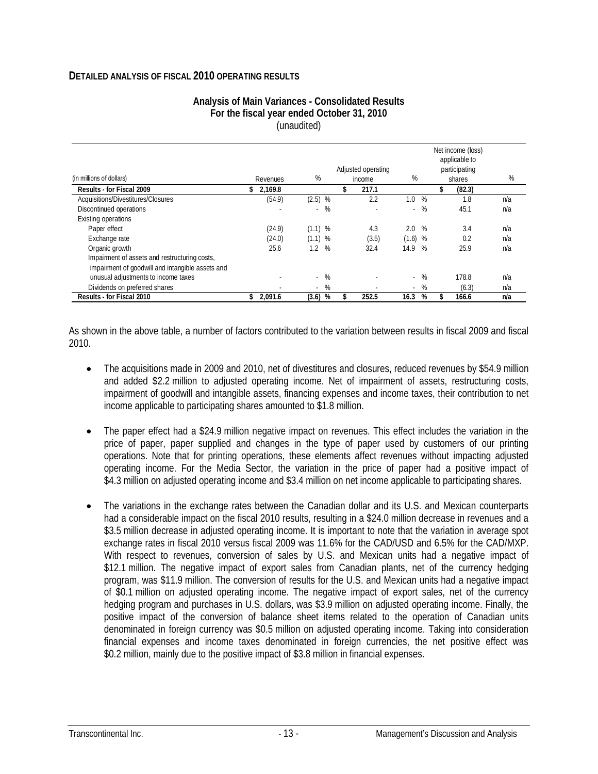#### **DETAILED ANALYSIS OF FISCAL 2010 OPERATING RESULTS**

|                                                  |                |             | Net income (loss)  |               |               |        |     |  |  |  |  |
|--------------------------------------------------|----------------|-------------|--------------------|---------------|---------------|--------|-----|--|--|--|--|
|                                                  |                |             |                    | applicable to |               |        |     |  |  |  |  |
|                                                  |                |             | Adjusted operating |               | participating |        |     |  |  |  |  |
| (in millions of dollars)                         | Revenues       | %           | income             | %             |               | shares | %   |  |  |  |  |
| Results - for Fiscal 2009                        | 2.169.8<br>\$. |             | 217.1              |               |               | (82.3) |     |  |  |  |  |
| Acquisitions/Divestitures/Closures               | (54.9)         | $(2.5)$ %   | 2.2                | 1.0           | %             | 1.8    | n/a |  |  |  |  |
| Discontinued operations                          |                | %<br>$\sim$ |                    | $\sim$        | %             | 45.1   | n/a |  |  |  |  |
| Existing operations                              |                |             |                    |               |               |        |     |  |  |  |  |
| Paper effect                                     | (24.9)         | $(1.1)$ %   | 4.3                | 2.0<br>%      |               | 3.4    | n/a |  |  |  |  |
| Exchange rate                                    | (24.0)         | $(1.1)$ %   | (3.5)              | $(1.6)$ %     |               | 0.2    | n/a |  |  |  |  |
| Organic growth                                   | 25.6           | 1.2%        | 32.4               | 14.9          | %             | 25.9   | n/a |  |  |  |  |
| Impairment of assets and restructuring costs,    |                |             |                    |               |               |        |     |  |  |  |  |
| impairment of goodwill and intangible assets and |                |             |                    |               |               |        |     |  |  |  |  |
| unusual adjustments to income taxes              |                | $-$ %       |                    | $\sim$        | %             | 178.8  | n/a |  |  |  |  |
| Dividends on preferred shares                    |                | $-$ %       |                    | $\sim$        | %             | (6.3)  | n/a |  |  |  |  |
| Results - for Fiscal 2010                        | 2,091.6<br>\$  | (3.6)<br>%  | 252.5              | 16.3          | %             | 166.6  | n/a |  |  |  |  |

#### **Analysis of Main Variances - Consolidated Results For the fiscal year ended October 31, 2010**  (unaudited)

As shown in the above table, a number of factors contributed to the variation between results in fiscal 2009 and fiscal 2010.

- The acquisitions made in 2009 and 2010, net of divestitures and closures, reduced revenues by \$54.9 million and added \$2.2 million to adjusted operating income. Net of impairment of assets, restructuring costs, impairment of goodwill and intangible assets, financing expenses and income taxes, their contribution to net income applicable to participating shares amounted to \$1.8 million.
- The paper effect had a \$24.9 million negative impact on revenues. This effect includes the variation in the price of paper, paper supplied and changes in the type of paper used by customers of our printing operations. Note that for printing operations, these elements affect revenues without impacting adjusted operating income. For the Media Sector, the variation in the price of paper had a positive impact of \$4.3 million on adjusted operating income and \$3.4 million on net income applicable to participating shares.
- The variations in the exchange rates between the Canadian dollar and its U.S. and Mexican counterparts had a considerable impact on the fiscal 2010 results, resulting in a \$24.0 million decrease in revenues and a \$3.5 million decrease in adjusted operating income. It is important to note that the variation in average spot exchange rates in fiscal 2010 versus fiscal 2009 was 11.6% for the CAD/USD and 6.5% for the CAD/MXP. With respect to revenues, conversion of sales by U.S. and Mexican units had a negative impact of \$12.1 million. The negative impact of export sales from Canadian plants, net of the currency hedging program, was \$11.9 million. The conversion of results for the U.S. and Mexican units had a negative impact of \$0.1 million on adjusted operating income. The negative impact of export sales, net of the currency hedging program and purchases in U.S. dollars, was \$3.9 million on adjusted operating income. Finally, the positive impact of the conversion of balance sheet items related to the operation of Canadian units denominated in foreign currency was \$0.5 million on adjusted operating income. Taking into consideration financial expenses and income taxes denominated in foreign currencies, the net positive effect was \$0.2 million, mainly due to the positive impact of \$3.8 million in financial expenses.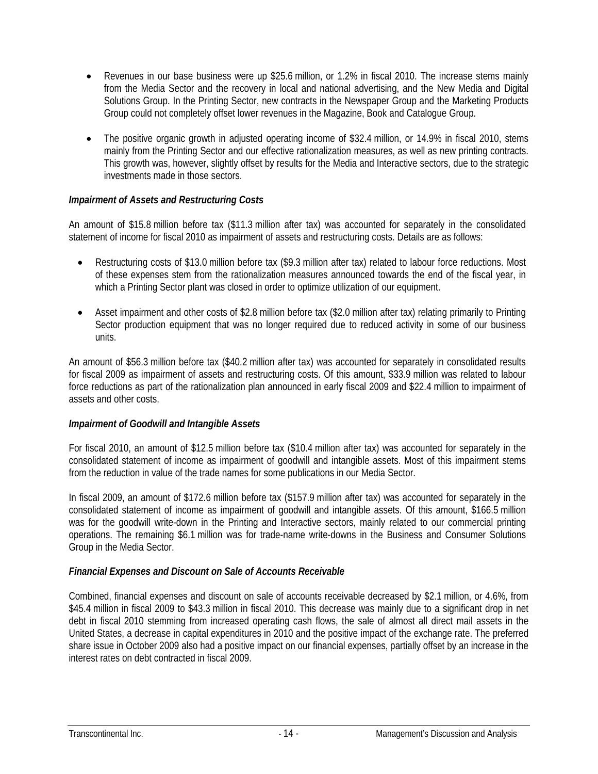- Revenues in our base business were up \$25.6 million, or 1.2% in fiscal 2010. The increase stems mainly from the Media Sector and the recovery in local and national advertising, and the New Media and Digital Solutions Group. In the Printing Sector, new contracts in the Newspaper Group and the Marketing Products Group could not completely offset lower revenues in the Magazine, Book and Catalogue Group.
- The positive organic growth in adjusted operating income of \$32.4 million, or 14.9% in fiscal 2010, stems mainly from the Printing Sector and our effective rationalization measures, as well as new printing contracts. This growth was, however, slightly offset by results for the Media and Interactive sectors, due to the strategic investments made in those sectors.

## *Impairment of Assets and Restructuring Costs*

An amount of \$15.8 million before tax (\$11.3 million after tax) was accounted for separately in the consolidated statement of income for fiscal 2010 as impairment of assets and restructuring costs. Details are as follows:

- Restructuring costs of \$13.0 million before tax (\$9.3 million after tax) related to labour force reductions. Most of these expenses stem from the rationalization measures announced towards the end of the fiscal year, in which a Printing Sector plant was closed in order to optimize utilization of our equipment.
- Asset impairment and other costs of \$2.8 million before tax (\$2.0 million after tax) relating primarily to Printing Sector production equipment that was no longer required due to reduced activity in some of our business units.

An amount of \$56.3 million before tax (\$40.2 million after tax) was accounted for separately in consolidated results for fiscal 2009 as impairment of assets and restructuring costs. Of this amount, \$33.9 million was related to labour force reductions as part of the rationalization plan announced in early fiscal 2009 and \$22.4 million to impairment of assets and other costs.

#### *Impairment of Goodwill and Intangible Assets*

For fiscal 2010, an amount of \$12.5 million before tax (\$10.4 million after tax) was accounted for separately in the consolidated statement of income as impairment of goodwill and intangible assets. Most of this impairment stems from the reduction in value of the trade names for some publications in our Media Sector.

In fiscal 2009, an amount of \$172.6 million before tax (\$157.9 million after tax) was accounted for separately in the consolidated statement of income as impairment of goodwill and intangible assets. Of this amount, \$166.5 million was for the goodwill write-down in the Printing and Interactive sectors, mainly related to our commercial printing operations. The remaining \$6.1 million was for trade-name write-downs in the Business and Consumer Solutions Group in the Media Sector.

#### *Financial Expenses and Discount on Sale of Accounts Receivable*

Combined, financial expenses and discount on sale of accounts receivable decreased by \$2.1 million, or 4.6%, from \$45.4 million in fiscal 2009 to \$43.3 million in fiscal 2010. This decrease was mainly due to a significant drop in net debt in fiscal 2010 stemming from increased operating cash flows, the sale of almost all direct mail assets in the United States, a decrease in capital expenditures in 2010 and the positive impact of the exchange rate. The preferred share issue in October 2009 also had a positive impact on our financial expenses, partially offset by an increase in the interest rates on debt contracted in fiscal 2009.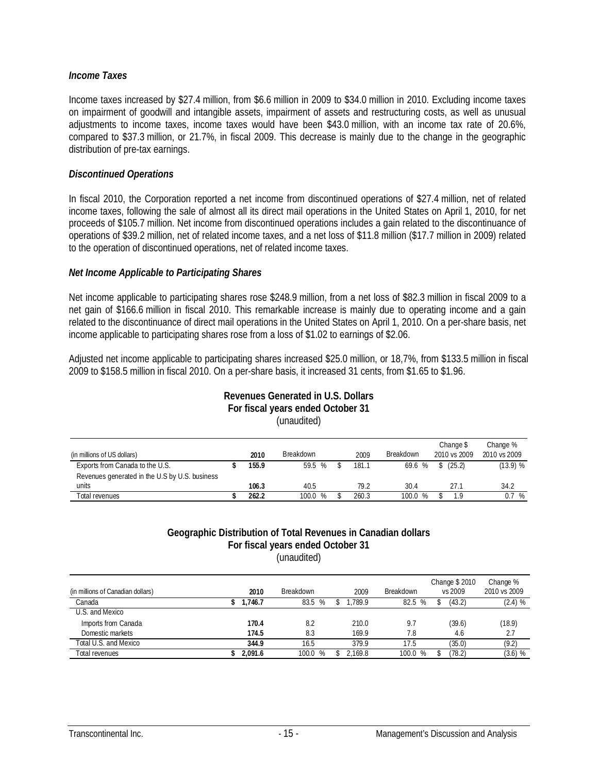#### *Income Taxes*

Income taxes increased by \$27.4 million, from \$6.6 million in 2009 to \$34.0 million in 2010. Excluding income taxes on impairment of goodwill and intangible assets, impairment of assets and restructuring costs, as well as unusual adjustments to income taxes, income taxes would have been \$43.0 million, with an income tax rate of 20.6%, compared to \$37.3 million, or 21.7%, in fiscal 2009. This decrease is mainly due to the change in the geographic distribution of pre-tax earnings.

#### *Discontinued Operations*

In fiscal 2010, the Corporation reported a net income from discontinued operations of \$27.4 million, net of related income taxes, following the sale of almost all its direct mail operations in the United States on April 1, 2010, for net proceeds of \$105.7 million. Net income from discontinued operations includes a gain related to the discontinuance of operations of \$39.2 million, net of related income taxes, and a net loss of \$11.8 million (\$17.7 million in 2009) related to the operation of discontinued operations, net of related income taxes.

#### *Net Income Applicable to Participating Shares*

Net income applicable to participating shares rose \$248.9 million, from a net loss of \$82.3 million in fiscal 2009 to a net gain of \$166.6 million in fiscal 2010. This remarkable increase is mainly due to operating income and a gain related to the discontinuance of direct mail operations in the United States on April 1, 2010. On a per-share basis, net income applicable to participating shares rose from a loss of \$1.02 to earnings of \$2.06.

Adjusted net income applicable to participating shares increased \$25.0 million, or 18,7%, from \$133.5 million in fiscal 2009 to \$158.5 million in fiscal 2010. On a per-share basis, it increased 31 cents, from \$1.65 to \$1.96.

**Revenues Generated in U.S. Dollars** 

| For fiscal years ended October 31<br>(unaudited)                                  |  |       |            |  |       |           |                           |                          |  |  |  |  |  |
|-----------------------------------------------------------------------------------|--|-------|------------|--|-------|-----------|---------------------------|--------------------------|--|--|--|--|--|
| (in millions of US dollars)                                                       |  | 2010  | Breakdown  |  | 2009  | Breakdown | Change \$<br>2010 vs 2009 | Change %<br>2010 vs 2009 |  |  |  |  |  |
| Exports from Canada to the U.S.<br>Revenues generated in the U.S by U.S. business |  | 155.9 | 59.5 %     |  | 181.1 | 69.6 %    | \$(25.2)                  | (13.9) %                 |  |  |  |  |  |
| units                                                                             |  | 106.3 | 40.5       |  | 79.2  | 30.4      | 27.1                      | 34.2                     |  |  |  |  |  |
| Total revenues                                                                    |  | 262.2 | 100.0<br>% |  | 260.3 | 100.0 %   | 1.9                       | 0.7<br>%                 |  |  |  |  |  |

#### **Geographic Distribution of Total Revenues in Canadian dollars For fiscal years ended October 31**  (unaudited)

|                                   |         |                  |         |                  | Change \$ 2010 | Change %     |
|-----------------------------------|---------|------------------|---------|------------------|----------------|--------------|
| (in millions of Canadian dollars) | 2010    | <b>Breakdown</b> | 2009    | <b>Breakdown</b> | vs 2009        | 2010 vs 2009 |
| Canada                            | 1.746.7 | 83.5 %           | .789.9  | 82.5 %           | (43.2)         | (2.4) %      |
| U.S. and Mexico                   |         |                  |         |                  |                |              |
| Imports from Canada               | 170.4   | 8.2              | 210.0   | 9.7              | (39.6)         | (18.9)       |
| Domestic markets                  | 174.5   | 8.3              | 169.9   | 7.8              | 4.6            | 2.7          |
| Total U.S. and Mexico             | 344.9   | 16.5             | 379.9   | 17.5             | (35.0)         | (9.2)        |
| <b>Total revenues</b>             | 2.091.6 | 100.0<br>%       | 2.169.8 | 100.0<br>%       | (78.2)         | $(3.6)$ %    |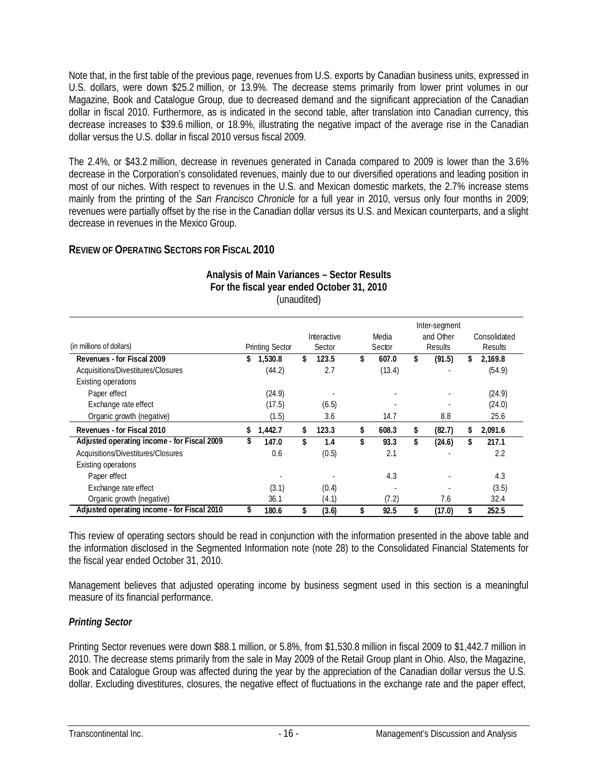Note that, in the first table of the previous page, revenues from U.S. exports by Canadian business units, expressed in U.S. dollars, were down \$25.2 million, or 13.9%. The decrease stems primarily from lower print volumes in our Magazine, Book and Catalogue Group, due to decreased demand and the significant appreciation of the Canadian dollar in fiscal 2010. Furthermore, as is indicated in the second table, after translation into Canadian currency, this decrease increases to \$39.6 million, or 18.9%, illustrating the negative impact of the average rise in the Canadian dollar versus the U.S. dollar in fiscal 2010 versus fiscal 2009.

The 2.4%, or \$43.2 million, decrease in revenues generated in Canada compared to 2009 is lower than the 3.6% decrease in the Corporation's consolidated revenues, mainly due to our diversified operations and leading position in most of our niches. With respect to revenues in the U.S. and Mexican domestic markets, the 2.7% increase stems mainly from the printing of the *San Francisco Chronicle* for a full year in 2010, versus only four months in 2009; revenues were partially offset by the rise in the Canadian dollar versus its U.S. and Mexican counterparts, and a slight decrease in revenues in the Mexico Group.

## **REVIEW OF OPERATING SECTORS FOR FISCAL 2010**

|                                             |                        |                    | Inter-segment |        |                |           |    |              |  |  |
|---------------------------------------------|------------------------|--------------------|---------------|--------|----------------|-----------|----|--------------|--|--|
|                                             |                        | <b>Interactive</b> | Media         |        |                | and Other |    | Consolidated |  |  |
| (in millions of dollars)                    | <b>Printing Sector</b> | Sector             |               | Sector | <b>Results</b> |           |    | Results      |  |  |
| Revenues - for Fiscal 2009                  | \$<br>1,530.8          | \$<br>123.5        | \$            | 607.0  | \$             | (91.5)    | \$ | 2,169.8      |  |  |
| Acquisitions/Divestitures/Closures          | (44.2)                 | 2.7                |               | (13.4) |                |           |    | (54.9)       |  |  |
| <b>Existing operations</b>                  |                        |                    |               |        |                |           |    |              |  |  |
| Paper effect                                | (24.9)                 |                    |               |        |                |           |    | (24.9)       |  |  |
| Exchange rate effect                        | (17.5)                 | (6.5)              |               |        |                |           |    | (24.0)       |  |  |
| Organic growth (negative)                   | (1.5)                  | 3.6                |               | 14.7   |                | 8.8       |    | 25.6         |  |  |
| Revenues - for Fiscal 2010                  | \$<br>1,442.7          | \$<br>123.3        | \$            | 608.3  | \$             | (82.7)    | \$ | 2,091.6      |  |  |
| Adjusted operating income - for Fiscal 2009 | \$<br>147.0            | \$<br>1.4          | \$            | 93.3   | \$             | (24.6)    | \$ | 217.1        |  |  |
| Acquisitions/Divestitures/Closures          | 0.6                    | (0.5)              |               | 2.1    |                | ٠         |    | 2.2          |  |  |
| Existing operations                         |                        |                    |               |        |                |           |    |              |  |  |
| Paper effect                                |                        |                    |               | 4.3    |                |           |    | 4.3          |  |  |
| Exchange rate effect                        | (3.1)                  | (0.4)              |               |        |                |           |    | (3.5)        |  |  |
| Organic growth (negative)                   | 36.1                   | (4.1)              |               | (7.2)  |                | 7.6       |    | 32.4         |  |  |
| Adjusted operating income - for Fiscal 2010 | 180.6                  | \$<br>(3.6)        | \$            | 92.5   |                | (17.0)    | \$ | 252.5        |  |  |

#### **Analysis of Main Variances – Sector Results For the fiscal year ended October 31, 2010**  (unaudited)

This review of operating sectors should be read in conjunction with the information presented in the above table and the information disclosed in the Segmented Information note (note 28) to the Consolidated Financial Statements for the fiscal year ended October 31, 2010.

Management believes that adjusted operating income by business segment used in this section is a meaningful measure of its financial performance.

## *Printing Sector*

Printing Sector revenues were down \$88.1 million, or 5.8%, from \$1,530.8 million in fiscal 2009 to \$1,442.7 million in 2010. The decrease stems primarily from the sale in May 2009 of the Retail Group plant in Ohio. Also, the Magazine, Book and Catalogue Group was affected during the year by the appreciation of the Canadian dollar versus the U.S. dollar. Excluding divestitures, closures, the negative effect of fluctuations in the exchange rate and the paper effect,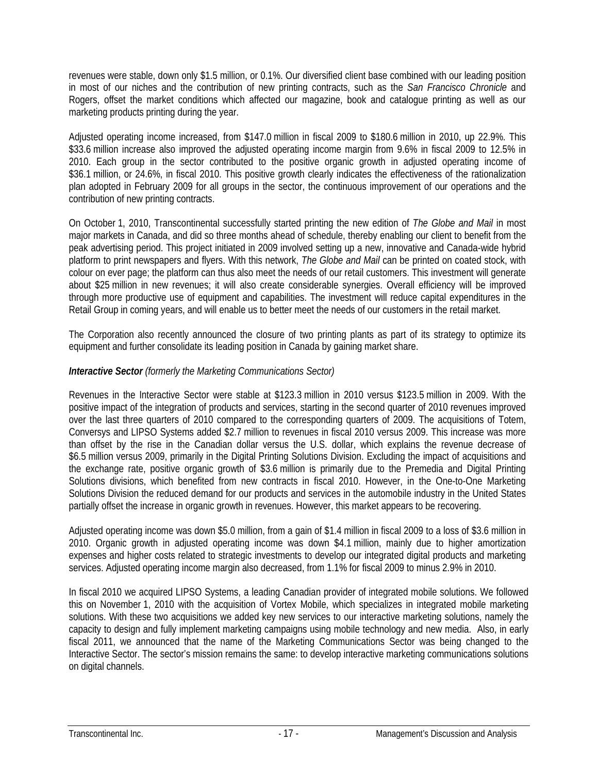revenues were stable, down only \$1.5 million, or 0.1%. Our diversified client base combined with our leading position in most of our niches and the contribution of new printing contracts, such as the *San Francisco Chronicle* and Rogers, offset the market conditions which affected our magazine, book and catalogue printing as well as our marketing products printing during the year.

Adjusted operating income increased, from \$147.0 million in fiscal 2009 to \$180.6 million in 2010, up 22.9%. This \$33.6 million increase also improved the adjusted operating income margin from 9.6% in fiscal 2009 to 12.5% in 2010. Each group in the sector contributed to the positive organic growth in adjusted operating income of \$36.1 million, or 24.6%, in fiscal 2010. This positive growth clearly indicates the effectiveness of the rationalization plan adopted in February 2009 for all groups in the sector, the continuous improvement of our operations and the contribution of new printing contracts.

On October 1, 2010, Transcontinental successfully started printing the new edition of *The Globe and Mail* in most major markets in Canada, and did so three months ahead of schedule, thereby enabling our client to benefit from the peak advertising period. This project initiated in 2009 involved setting up a new, innovative and Canada-wide hybrid platform to print newspapers and flyers. With this network, *The Globe and Mail* can be printed on coated stock, with colour on ever page; the platform can thus also meet the needs of our retail customers. This investment will generate about \$25 million in new revenues; it will also create considerable synergies. Overall efficiency will be improved through more productive use of equipment and capabilities. The investment will reduce capital expenditures in the Retail Group in coming years, and will enable us to better meet the needs of our customers in the retail market.

The Corporation also recently announced the closure of two printing plants as part of its strategy to optimize its equipment and further consolidate its leading position in Canada by gaining market share.

## *Interactive Sector (formerly the Marketing Communications Sector)*

Revenues in the Interactive Sector were stable at \$123.3 million in 2010 versus \$123.5 million in 2009. With the positive impact of the integration of products and services, starting in the second quarter of 2010 revenues improved over the last three quarters of 2010 compared to the corresponding quarters of 2009. The acquisitions of Totem, Conversys and LIPSO Systems added \$2.7 million to revenues in fiscal 2010 versus 2009. This increase was more than offset by the rise in the Canadian dollar versus the U.S. dollar, which explains the revenue decrease of \$6.5 million versus 2009, primarily in the Digital Printing Solutions Division. Excluding the impact of acquisitions and the exchange rate, positive organic growth of \$3.6 million is primarily due to the Premedia and Digital Printing Solutions divisions, which benefited from new contracts in fiscal 2010. However, in the One-to-One Marketing Solutions Division the reduced demand for our products and services in the automobile industry in the United States partially offset the increase in organic growth in revenues. However, this market appears to be recovering.

Adjusted operating income was down \$5.0 million, from a gain of \$1.4 million in fiscal 2009 to a loss of \$3.6 million in 2010. Organic growth in adjusted operating income was down \$4.1 million, mainly due to higher amortization expenses and higher costs related to strategic investments to develop our integrated digital products and marketing services. Adjusted operating income margin also decreased, from 1.1% for fiscal 2009 to minus 2.9% in 2010.

In fiscal 2010 we acquired LIPSO Systems, a leading Canadian provider of integrated mobile solutions. We followed this on November 1, 2010 with the acquisition of Vortex Mobile, which specializes in integrated mobile marketing solutions. With these two acquisitions we added key new services to our interactive marketing solutions, namely the capacity to design and fully implement marketing campaigns using mobile technology and new media. Also, in early fiscal 2011, we announced that the name of the Marketing Communications Sector was being changed to the Interactive Sector. The sector's mission remains the same: to develop interactive marketing communications solutions on digital channels.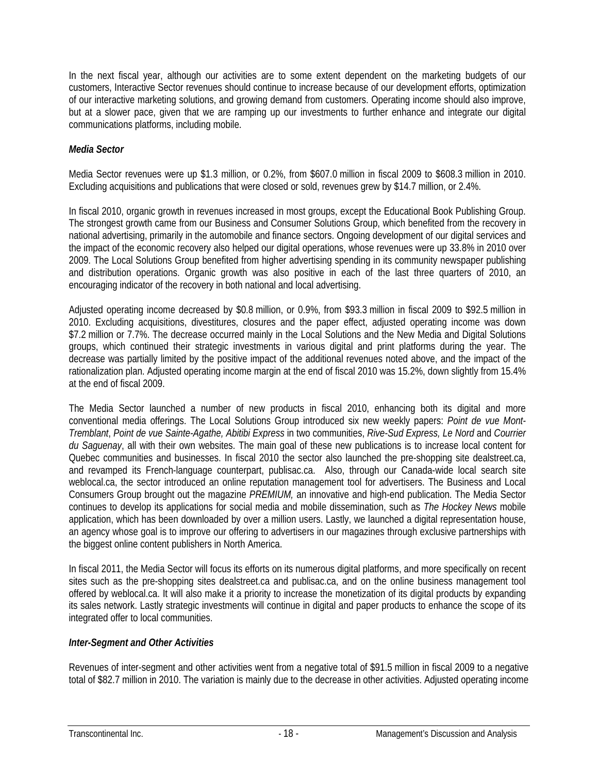In the next fiscal year, although our activities are to some extent dependent on the marketing budgets of our customers, Interactive Sector revenues should continue to increase because of our development efforts, optimization of our interactive marketing solutions, and growing demand from customers. Operating income should also improve, but at a slower pace, given that we are ramping up our investments to further enhance and integrate our digital communications platforms, including mobile.

## *Media Sector*

Media Sector revenues were up \$1.3 million, or 0.2%, from \$607.0 million in fiscal 2009 to \$608.3 million in 2010. Excluding acquisitions and publications that were closed or sold, revenues grew by \$14.7 million, or 2.4%.

In fiscal 2010, organic growth in revenues increased in most groups, except the Educational Book Publishing Group. The strongest growth came from our Business and Consumer Solutions Group, which benefited from the recovery in national advertising, primarily in the automobile and finance sectors. Ongoing development of our digital services and the impact of the economic recovery also helped our digital operations, whose revenues were up 33.8% in 2010 over 2009. The Local Solutions Group benefited from higher advertising spending in its community newspaper publishing and distribution operations. Organic growth was also positive in each of the last three quarters of 2010, an encouraging indicator of the recovery in both national and local advertising.

Adjusted operating income decreased by \$0.8 million, or 0.9%, from \$93.3 million in fiscal 2009 to \$92.5 million in 2010. Excluding acquisitions, divestitures, closures and the paper effect, adjusted operating income was down \$7.2 million or 7.7%. The decrease occurred mainly in the Local Solutions and the New Media and Digital Solutions groups, which continued their strategic investments in various digital and print platforms during the year. The decrease was partially limited by the positive impact of the additional revenues noted above, and the impact of the rationalization plan. Adjusted operating income margin at the end of fiscal 2010 was 15.2%, down slightly from 15.4% at the end of fiscal 2009.

The Media Sector launched a number of new products in fiscal 2010, enhancing both its digital and more conventional media offerings. The Local Solutions Group introduced six new weekly papers: *Point de vue Mont-Tremblant*, *Point de vue Sainte-Agathe, Abitibi Express* in two communities, *Rive-Sud Express, Le Nord* and *Courrier du Saguenay*, all with their own websites. The main goal of these new publications is to increase local content for Quebec communities and businesses. In fiscal 2010 the sector also launched the pre-shopping site dealstreet.ca, and revamped its French-language counterpart, publisac.ca. Also, through our Canada-wide local search site weblocal.ca, the sector introduced an online reputation management tool for advertisers. The Business and Local Consumers Group brought out the magazine *PREMIUM,* an innovative and high-end publication. The Media Sector continues to develop its applications for social media and mobile dissemination, such as *The Hockey News* mobile application, which has been downloaded by over a million users. Lastly, we launched a digital representation house, an agency whose goal is to improve our offering to advertisers in our magazines through exclusive partnerships with the biggest online content publishers in North America.

In fiscal 2011, the Media Sector will focus its efforts on its numerous digital platforms, and more specifically on recent sites such as the pre-shopping sites dealstreet.ca and publisac.ca, and on the online business management tool offered by weblocal.ca. It will also make it a priority to increase the monetization of its digital products by expanding its sales network. Lastly strategic investments will continue in digital and paper products to enhance the scope of its integrated offer to local communities.

#### *Inter-Segment and Other Activities*

Revenues of inter-segment and other activities went from a negative total of \$91.5 million in fiscal 2009 to a negative total of \$82.7 million in 2010. The variation is mainly due to the decrease in other activities. Adjusted operating income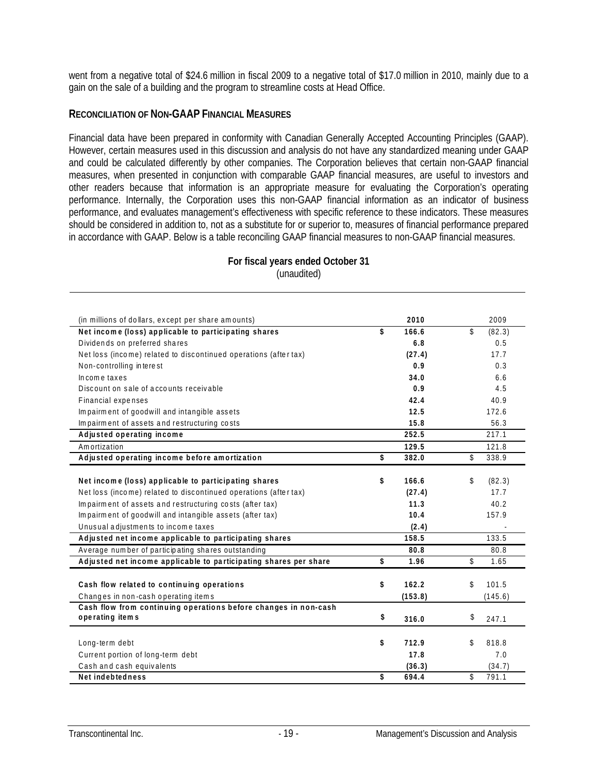went from a negative total of \$24.6 million in fiscal 2009 to a negative total of \$17.0 million in 2010, mainly due to a gain on the sale of a building and the program to streamline costs at Head Office.

#### **RECONCILIATION OF NON-GAAP FINANCIAL MEASURES**

Financial data have been prepared in conformity with Canadian Generally Accepted Accounting Principles (GAAP). However, certain measures used in this discussion and analysis do not have any standardized meaning under GAAP and could be calculated differently by other companies. The Corporation believes that certain non-GAAP financial measures, when presented in conjunction with comparable GAAP financial measures, are useful to investors and other readers because that information is an appropriate measure for evaluating the Corporation's operating performance. Internally, the Corporation uses this non-GAAP financial information as an indicator of business performance, and evaluates management's effectiveness with specific reference to these indicators. These measures should be considered in addition to, not as a substitute for or superior to, measures of financial performance prepared in accordance with GAAP. Below is a table reconciling GAAP financial measures to non-GAAP financial measures.

| (in millions of dollars, except per share amounts)               | 2010        | 2009         |
|------------------------------------------------------------------|-------------|--------------|
| Net income (loss) applicable to participating shares             | \$<br>166.6 | \$<br>(82.3) |
| Dividends on preferred shares                                    | 6.8         | 0.5          |
| Net loss (income) related to discontinued operations (after tax) | (27.4)      | 17.7         |
| Non-controlling interest                                         | 0.9         | 0.3          |
| Income taxes                                                     | 34.0        | 6.6          |
| Discount on sale of accounts receivable                          | 0.9         | 4.5          |
| Financial expenses                                               | 42.4        | 40.9         |
| Impairment of goodwill and intangible assets                     | 12.5        | 172.6        |
| Impairment of assets and restructuring costs                     | 15.8        | 56.3         |
| Adjusted operating income                                        | 252.5       | 217.1        |
| Amortization                                                     | 129.5       | 121.8        |
| Adjusted operating income before amortization                    | \$<br>382.0 | \$<br>338.9  |
| Net income (loss) applicable to participating shares             | \$<br>166.6 | \$<br>(82.3) |
| Net loss (income) related to discontinued operations (after tax) | (27.4)      | 17.7         |
| Impairment of assets and restructuring costs (after tax)         | 11.3        | 40.2         |
| Impairment of goodwill and intangible assets (after tax)         | 10.4        | 157.9        |
| Unusual adjustments to income taxes                              | (2.4)       |              |
| Adjusted net income applicable to participating shares           | 158.5       | 133.5        |
| Average number of participating shares outstanding               | 80.8        | 80.8         |
| Adjusted net income applicable to participating shares per share | \$<br>1.96  | \$<br>1.65   |
| Cash flow related to continuing operations                       | \$<br>162.2 | \$<br>101.5  |
| Changes in non-cash operating items                              | (153.8)     | (145.6)      |
| Cash flow from continuing operations before changes in non-cash  |             |              |
| operating items                                                  | \$<br>316.0 | \$<br>247.1  |
|                                                                  |             |              |
| Long-term debt                                                   | \$<br>712.9 | \$<br>818.8  |
| Current portion of long-term debt                                | 17.8        | 7.0          |
| Cash and cash equivalents                                        | (36.3)      | (34.7)       |
| Net indebtedness                                                 | \$<br>694.4 | \$<br>791.1  |

#### **For fiscal years ended October 31**  (unaudited)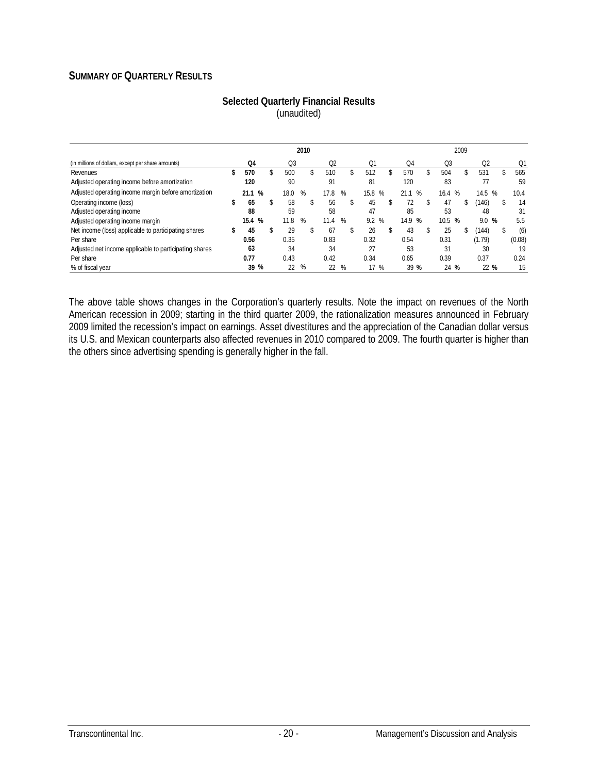## **SUMMARY OF QUARTERLY RESULTS**

|                                                        | 2010 |           |    |      |   |                |   |    | 2009   |        |      |      |     |                |    |        |
|--------------------------------------------------------|------|-----------|----|------|---|----------------|---|----|--------|--------|------|------|-----|----------------|----|--------|
| (in millions of dollars, except per share amounts)     |      | Q4        |    | Q3   |   | O <sub>2</sub> |   |    | Q1     | Q4     |      | Q3   |     | Q <sub>2</sub> |    | Q1     |
| Revenues                                               | S    | 570       |    | 500  |   | 510            |   | \$ | 512    | 570    | \$   | 504  | \$. | 531            | \$ | 565    |
| Adjusted operating income before amortization          |      | 120       |    | 90   |   | 91             |   |    | 81     | 120    |      | 83   |     | 77             |    | 59     |
| Adjusted operating income margin before amortization   |      | %<br>21.1 |    | 18.0 | % | 17.8           | % |    | 15.8 % | 21.1   | $\%$ | 16.4 | %   | 14.5           | %  | 10.4   |
| Operating income (loss)                                | \$   | 65        | \$ | 58   |   | 56             |   | \$ | 45     | 72     | \$   | 47   | \$  | (146)          | \$ | 14     |
| Adjusted operating income                              |      | 88        |    | 59   |   | 58             |   |    | 47     | 85     |      | 53   |     | 48             |    | 31     |
| Adjusted operating income margin                       |      | %<br>15.4 |    | 11.8 | ℅ | 11.4           | % |    | 9.2%   | 14.9 % |      | 10.5 | %   | 9.0            | %  | 5.5    |
| Net income (loss) applicable to participating shares   | S    | 45        | \$ | 29   |   | 67             |   |    | 26     | 43     | \$   | 25   | \$  | (144)          | \$ | (6)    |
| Per share                                              |      | 0.56      |    | 0.35 |   | 0.83           |   |    | 0.32   | 0.54   |      | 0.31 |     | (1.79)         |    | (0.08) |
| Adjusted net income applicable to participating shares |      | 63        |    | 34   |   | 34             |   |    | 27     | 53     |      | 31   |     | 30             |    | 19     |
| Per share                                              |      | 0.77      |    | 0.43 |   | 0.42           |   |    | 0.34   | 0.65   |      | 0.39 |     | 0.37           |    | 0.24   |
| % of fiscal year                                       |      | 39 %      |    | 22   | % | 22             | % |    | 17 %   | 39 %   |      | 24   | %   | 22 %           |    | 15     |

#### **Selected Quarterly Financial Results**  (unaudited)

The above table shows changes in the Corporation's quarterly results. Note the impact on revenues of the North American recession in 2009; starting in the third quarter 2009, the rationalization measures announced in February 2009 limited the recession's impact on earnings. Asset divestitures and the appreciation of the Canadian dollar versus its U.S. and Mexican counterparts also affected revenues in 2010 compared to 2009. The fourth quarter is higher than the others since advertising spending is generally higher in the fall.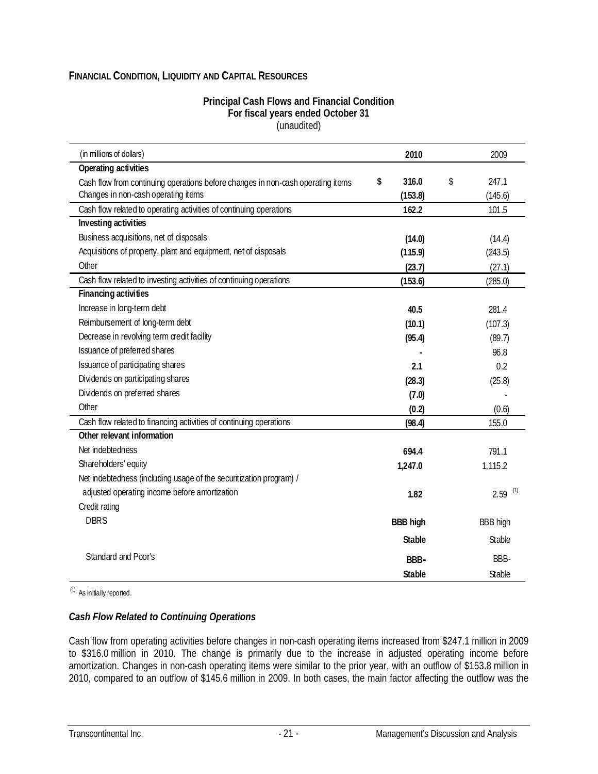## **FINANCIAL CONDITION, LIQUIDITY AND CAPITAL RESOURCES**

#### **Principal Cash Flows and Financial Condition For fiscal years ended October 31**  (unaudited)

| (in millions of dollars)                                                        | 2010            | 2009            |
|---------------------------------------------------------------------------------|-----------------|-----------------|
| Operating activities                                                            |                 |                 |
| Cash flow from continuing operations before changes in non-cash operating items | 316.0<br>\$     | \$<br>247.1     |
| Changes in non-cash operating items                                             | (153.8)         | (145.6)         |
| Cash flow related to operating activities of continuing operations              | 162.2           | 101.5           |
| Investing activities                                                            |                 |                 |
| Business acquisitions, net of disposals                                         | (14.0)          | (14.4)          |
| Acquisitions of property, plant and equipment, net of disposals                 | (115.9)         | (243.5)         |
| Other                                                                           | (23.7)          | (27.1)          |
| Cash flow related to investing activities of continuing operations              | (153.6)         | (285.0)         |
| <b>Financing activities</b>                                                     |                 |                 |
| Increase in long-term debt                                                      | 40.5            | 281.4           |
| Reimbursement of long-term debt                                                 | (10.1)          | (107.3)         |
| Decrease in revolving term credit facility                                      | (95.4)          | (89.7)          |
| Issuance of preferred shares                                                    |                 | 96.8            |
| Issuance of participating shares                                                | 2.1             | 0.2             |
| Dividends on participating shares                                               | (28.3)          | (25.8)          |
| Dividends on preferred shares                                                   | (7.0)           |                 |
| Other                                                                           | (0.2)           | (0.6)           |
| Cash flow related to financing activities of continuing operations              | (98.4)          | 155.0           |
| Other relevant information                                                      |                 |                 |
| Net indebtedness                                                                | 694.4           | 791.1           |
| Shareholders' equity                                                            | 1,247.0         | 1,115.2         |
| Net indebtedness (including usage of the securitization program) /              |                 |                 |
| adjusted operating income before amortization                                   | 1.82            | (1)<br>2.59     |
| Credit rating                                                                   |                 |                 |
| <b>DBRS</b>                                                                     | <b>BBB high</b> | <b>BBB high</b> |
|                                                                                 | <b>Stable</b>   | Stable          |
| Standard and Poor's                                                             | BBB-            | BBB-            |
|                                                                                 | <b>Stable</b>   | Stable          |

(1) As initially reported.

#### *Cash Flow Related to Continuing Operations*

Cash flow from operating activities before changes in non-cash operating items increased from \$247.1 million in 2009 to \$316.0 million in 2010. The change is primarily due to the increase in adjusted operating income before amortization. Changes in non-cash operating items were similar to the prior year, with an outflow of \$153.8 million in 2010, compared to an outflow of \$145.6 million in 2009. In both cases, the main factor affecting the outflow was the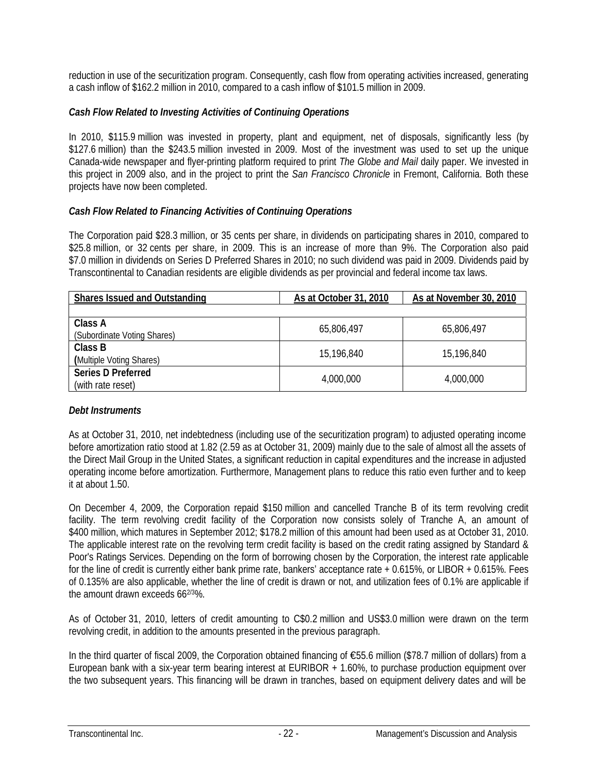reduction in use of the securitization program. Consequently, cash flow from operating activities increased, generating a cash inflow of \$162.2 million in 2010, compared to a cash inflow of \$101.5 million in 2009.

## *Cash Flow Related to Investing Activities of Continuing Operations*

In 2010, \$115.9 million was invested in property, plant and equipment, net of disposals, significantly less (by \$127.6 million) than the \$243.5 million invested in 2009. Most of the investment was used to set up the unique Canada-wide newspaper and flyer-printing platform required to print *The Globe and Mail* daily paper. We invested in this project in 2009 also, and in the project to print the *San Francisco Chronicle* in Fremont, California. Both these projects have now been completed.

## *Cash Flow Related to Financing Activities of Continuing Operations*

The Corporation paid \$28.3 million, or 35 cents per share, in dividends on participating shares in 2010, compared to \$25.8 million, or 32 cents per share, in 2009. This is an increase of more than 9%. The Corporation also paid \$7.0 million in dividends on Series D Preferred Shares in 2010; no such dividend was paid in 2009. Dividends paid by Transcontinental to Canadian residents are eligible dividends as per provincial and federal income tax laws.

| <b>Shares Issued and Outstanding</b>           | As at October 31, 2010 | As at November 30, 2010 |
|------------------------------------------------|------------------------|-------------------------|
|                                                |                        |                         |
| Class A<br>(Subordinate Voting Shares)         | 65,806,497             | 65,806,497              |
| Class B<br>(Multiple Voting Shares)            | 15,196,840             | 15,196,840              |
| <b>Series D Preferred</b><br>(with rate reset) | 4,000,000              | 4,000,000               |

## *Debt Instruments*

As at October 31, 2010, net indebtedness (including use of the securitization program) to adjusted operating income before amortization ratio stood at 1.82 (2.59 as at October 31, 2009) mainly due to the sale of almost all the assets of the Direct Mail Group in the United States, a significant reduction in capital expenditures and the increase in adjusted operating income before amortization. Furthermore, Management plans to reduce this ratio even further and to keep it at about 1.50.

On December 4, 2009, the Corporation repaid \$150 million and cancelled Tranche B of its term revolving credit facility. The term revolving credit facility of the Corporation now consists solely of Tranche A, an amount of \$400 million, which matures in September 2012; \$178.2 million of this amount had been used as at October 31, 2010. The applicable interest rate on the revolving term credit facility is based on the credit rating assigned by Standard & Poor's Ratings Services. Depending on the form of borrowing chosen by the Corporation, the interest rate applicable for the line of credit is currently either bank prime rate, bankers' acceptance rate + 0.615%, or LIBOR + 0.615%. Fees of 0.135% are also applicable, whether the line of credit is drawn or not, and utilization fees of 0.1% are applicable if the amount drawn exceeds 662/3%.

As of October 31, 2010, letters of credit amounting to C\$0.2 million and US\$3.0 million were drawn on the term revolving credit, in addition to the amounts presented in the previous paragraph.

In the third quarter of fiscal 2009, the Corporation obtained financing of €55.6 million (\$78.7 million of dollars) from a European bank with a six-year term bearing interest at EURIBOR + 1.60%, to purchase production equipment over the two subsequent years. This financing will be drawn in tranches, based on equipment delivery dates and will be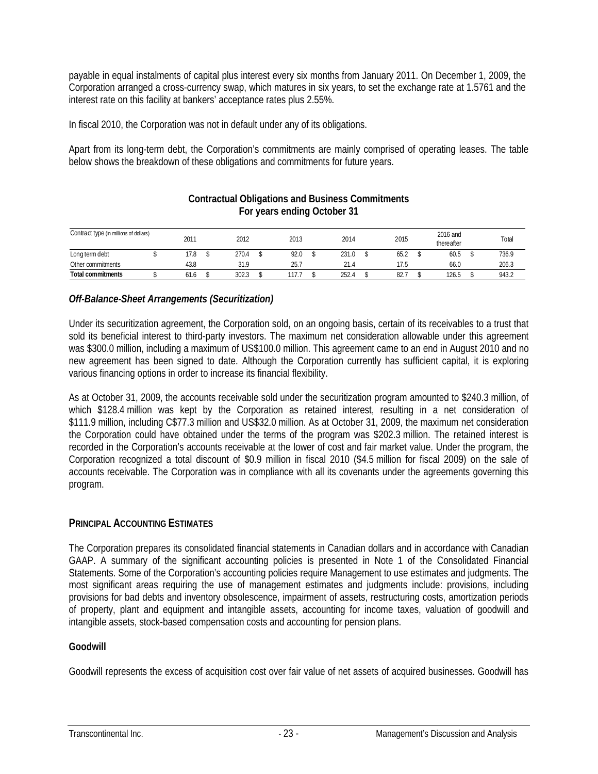payable in equal instalments of capital plus interest every six months from January 2011. On December 1, 2009, the Corporation arranged a cross-currency swap, which matures in six years, to set the exchange rate at 1.5761 and the interest rate on this facility at bankers' acceptance rates plus 2.55%.

In fiscal 2010, the Corporation was not in default under any of its obligations.

Apart from its long-term debt, the Corporation's commitments are mainly comprised of operating leases. The table below shows the breakdown of these obligations and commitments for future years.

| Contract type (in millions of dollars) | 2011 | 2012  | 2013  | 2014  | 2015 | 2016 and<br>thereafter | Total |
|----------------------------------------|------|-------|-------|-------|------|------------------------|-------|
| Long term debt                         | 17.8 | 270.4 | 92.0  | 231.0 | 65.2 | 60.5                   | 736.9 |
| Other commitments                      | 43.8 | 31.9  | 25.7  | 21.4  | 17.5 | 66.0                   | 206.3 |
| <b>Total commitments</b>               | 61.6 | 302.3 | 117.7 | 252.4 | 82.7 | 126.5                  | 943.2 |

#### **Contractual Obligations and Business Commitments For years ending October 31**

## *Off-Balance-Sheet Arrangements (Securitization)*

Under its securitization agreement, the Corporation sold, on an ongoing basis, certain of its receivables to a trust that sold its beneficial interest to third-party investors. The maximum net consideration allowable under this agreement was \$300.0 million, including a maximum of US\$100.0 million. This agreement came to an end in August 2010 and no new agreement has been signed to date. Although the Corporation currently has sufficient capital, it is exploring various financing options in order to increase its financial flexibility.

As at October 31, 2009, the accounts receivable sold under the securitization program amounted to \$240.3 million, of which \$128.4 million was kept by the Corporation as retained interest, resulting in a net consideration of \$111.9 million, including C\$77.3 million and US\$32.0 million. As at October 31, 2009, the maximum net consideration the Corporation could have obtained under the terms of the program was \$202.3 million. The retained interest is recorded in the Corporation's accounts receivable at the lower of cost and fair market value. Under the program, the Corporation recognized a total discount of \$0.9 million in fiscal 2010 (\$4.5 million for fiscal 2009) on the sale of accounts receivable. The Corporation was in compliance with all its covenants under the agreements governing this program.

## **PRINCIPAL ACCOUNTING ESTIMATES**

The Corporation prepares its consolidated financial statements in Canadian dollars and in accordance with Canadian GAAP. A summary of the significant accounting policies is presented in Note 1 of the Consolidated Financial Statements. Some of the Corporation's accounting policies require Management to use estimates and judgments. The most significant areas requiring the use of management estimates and judgments include: provisions, including provisions for bad debts and inventory obsolescence, impairment of assets, restructuring costs, amortization periods of property, plant and equipment and intangible assets, accounting for income taxes, valuation of goodwill and intangible assets, stock-based compensation costs and accounting for pension plans.

## **Goodwill**

Goodwill represents the excess of acquisition cost over fair value of net assets of acquired businesses. Goodwill has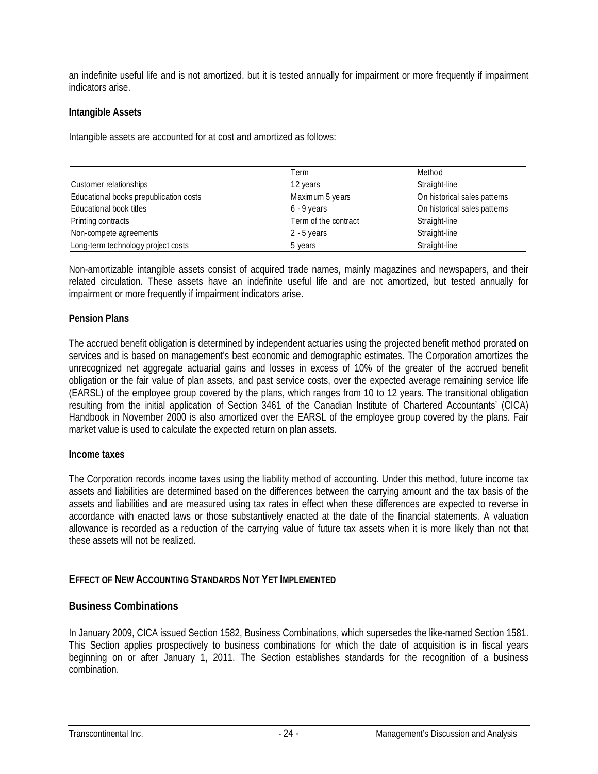an indefinite useful life and is not amortized, but it is tested annually for impairment or more frequently if impairment indicators arise.

#### **Intangible Assets**

Intangible assets are accounted for at cost and amortized as follows:

|                                        | Term                 | Method                       |
|----------------------------------------|----------------------|------------------------------|
| Customer relationships                 | 12 years             | Straight-line                |
| Educational books prepublication costs | Maximum 5 years      | On historical sales patterns |
| Educational book titles                | $6 - 9$ years        | On historical sales patterns |
| Printing contracts                     | Term of the contract | Straight-line                |
| Non-compete agreements                 | $2 - 5$ years        | Straight-line                |
| Long-term technology project costs     | 5 years              | Straight-line                |

Non-amortizable intangible assets consist of acquired trade names, mainly magazines and newspapers, and their related circulation. These assets have an indefinite useful life and are not amortized, but tested annually for impairment or more frequently if impairment indicators arise.

#### **Pension Plans**

The accrued benefit obligation is determined by independent actuaries using the projected benefit method prorated on services and is based on management's best economic and demographic estimates. The Corporation amortizes the unrecognized net aggregate actuarial gains and losses in excess of 10% of the greater of the accrued benefit obligation or the fair value of plan assets, and past service costs, over the expected average remaining service life (EARSL) of the employee group covered by the plans, which ranges from 10 to 12 years. The transitional obligation resulting from the initial application of Section 3461 of the Canadian Institute of Chartered Accountants' (CICA) Handbook in November 2000 is also amortized over the EARSL of the employee group covered by the plans. Fair market value is used to calculate the expected return on plan assets.

#### **Income taxes**

The Corporation records income taxes using the liability method of accounting. Under this method, future income tax assets and liabilities are determined based on the differences between the carrying amount and the tax basis of the assets and liabilities and are measured using tax rates in effect when these differences are expected to reverse in accordance with enacted laws or those substantively enacted at the date of the financial statements. A valuation allowance is recorded as a reduction of the carrying value of future tax assets when it is more likely than not that these assets will not be realized.

#### **EFFECT OF NEW ACCOUNTING STANDARDS NOT YET IMPLEMENTED**

#### **Business Combinations**

In January 2009, CICA issued Section 1582, Business Combinations, which supersedes the like-named Section 1581. This Section applies prospectively to business combinations for which the date of acquisition is in fiscal years beginning on or after January 1, 2011. The Section establishes standards for the recognition of a business combination.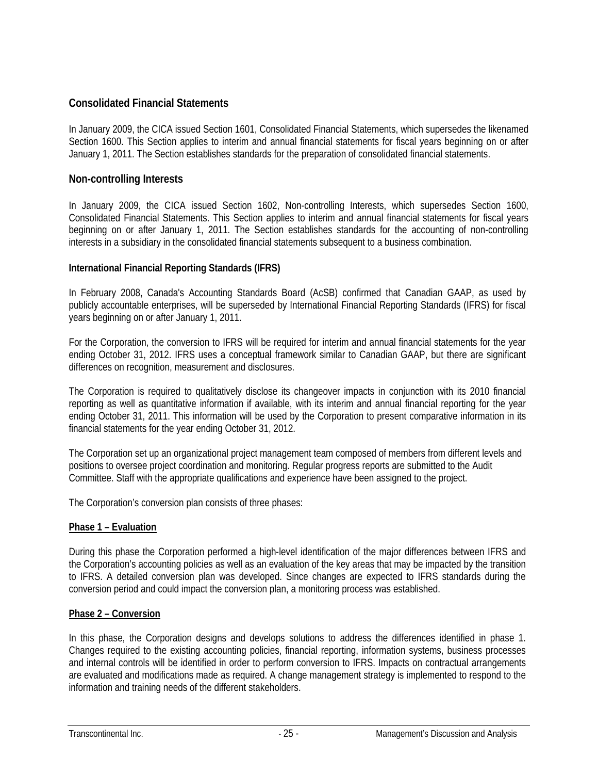## **Consolidated Financial Statements**

In January 2009, the CICA issued Section 1601, Consolidated Financial Statements, which supersedes the likenamed Section 1600. This Section applies to interim and annual financial statements for fiscal years beginning on or after January 1, 2011. The Section establishes standards for the preparation of consolidated financial statements.

## **Non-controlling Interests**

In January 2009, the CICA issued Section 1602, Non-controlling Interests, which supersedes Section 1600, Consolidated Financial Statements. This Section applies to interim and annual financial statements for fiscal years beginning on or after January 1, 2011. The Section establishes standards for the accounting of non-controlling interests in a subsidiary in the consolidated financial statements subsequent to a business combination.

## **International Financial Reporting Standards (IFRS)**

In February 2008, Canada's Accounting Standards Board (AcSB) confirmed that Canadian GAAP, as used by publicly accountable enterprises, will be superseded by International Financial Reporting Standards (IFRS) for fiscal years beginning on or after January 1, 2011.

For the Corporation, the conversion to IFRS will be required for interim and annual financial statements for the year ending October 31, 2012. IFRS uses a conceptual framework similar to Canadian GAAP, but there are significant differences on recognition, measurement and disclosures.

The Corporation is required to qualitatively disclose its changeover impacts in conjunction with its 2010 financial reporting as well as quantitative information if available, with its interim and annual financial reporting for the year ending October 31, 2011. This information will be used by the Corporation to present comparative information in its financial statements for the year ending October 31, 2012.

The Corporation set up an organizational project management team composed of members from different levels and positions to oversee project coordination and monitoring. Regular progress reports are submitted to the Audit Committee. Staff with the appropriate qualifications and experience have been assigned to the project.

The Corporation's conversion plan consists of three phases:

## **Phase 1 – Evaluation**

During this phase the Corporation performed a high-level identification of the major differences between IFRS and the Corporation's accounting policies as well as an evaluation of the key areas that may be impacted by the transition to IFRS. A detailed conversion plan was developed. Since changes are expected to IFRS standards during the conversion period and could impact the conversion plan, a monitoring process was established.

## **Phase 2 – Conversion**

In this phase, the Corporation designs and develops solutions to address the differences identified in phase 1. Changes required to the existing accounting policies, financial reporting, information systems, business processes and internal controls will be identified in order to perform conversion to IFRS. Impacts on contractual arrangements are evaluated and modifications made as required. A change management strategy is implemented to respond to the information and training needs of the different stakeholders.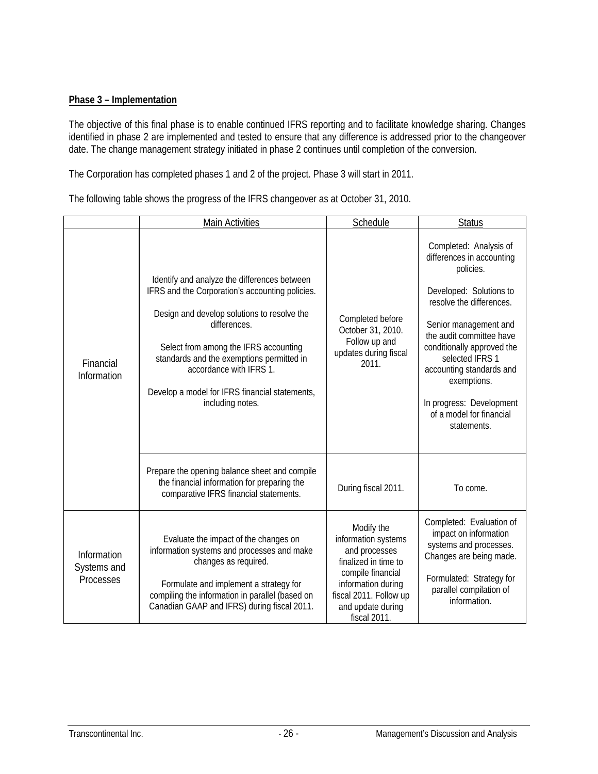## **Phase 3 – Implementation**

The objective of this final phase is to enable continued IFRS reporting and to facilitate knowledge sharing. Changes identified in phase 2 are implemented and tested to ensure that any difference is addressed prior to the changeover date. The change management strategy initiated in phase 2 continues until completion of the conversion.

The Corporation has completed phases 1 and 2 of the project. Phase 3 will start in 2011.

The following table shows the progress of the IFRS changeover as at October 31, 2010.

|                                         | <b>Main Activities</b>                                                                                                                                                                                                                                                                                                                                                                                                                   | Schedule                                                                                                                                                                             | <b>Status</b>                                                                                                                                                                                                                                                                                                                                   |  |  |
|-----------------------------------------|------------------------------------------------------------------------------------------------------------------------------------------------------------------------------------------------------------------------------------------------------------------------------------------------------------------------------------------------------------------------------------------------------------------------------------------|--------------------------------------------------------------------------------------------------------------------------------------------------------------------------------------|-------------------------------------------------------------------------------------------------------------------------------------------------------------------------------------------------------------------------------------------------------------------------------------------------------------------------------------------------|--|--|
| Financial<br>Information                | Identify and analyze the differences between<br>IFRS and the Corporation's accounting policies.<br>Design and develop solutions to resolve the<br>Completed before<br>differences.<br>October 31, 2010.<br>Follow up and<br>Select from among the IFRS accounting<br>updates during fiscal<br>standards and the exemptions permitted in<br>accordance with IFRS 1.<br>Develop a model for IFRS financial statements,<br>including notes. |                                                                                                                                                                                      | Completed: Analysis of<br>differences in accounting<br>policies.<br>Developed: Solutions to<br>resolve the differences.<br>Senior management and<br>the audit committee have<br>conditionally approved the<br>selected IFRS 1<br>accounting standards and<br>exemptions.<br>In progress: Development<br>of a model for financial<br>statements. |  |  |
|                                         | Prepare the opening balance sheet and compile<br>the financial information for preparing the<br>comparative IFRS financial statements.                                                                                                                                                                                                                                                                                                   | During fiscal 2011.                                                                                                                                                                  | To come.                                                                                                                                                                                                                                                                                                                                        |  |  |
| Information<br>Systems and<br>Processes | Evaluate the impact of the changes on<br>information systems and processes and make<br>changes as required.<br>Formulate and implement a strategy for<br>compiling the information in parallel (based on<br>Canadian GAAP and IFRS) during fiscal 2011.                                                                                                                                                                                  | Modify the<br>information systems<br>and processes<br>finalized in time to<br>compile financial<br>information during<br>fiscal 2011. Follow up<br>and update during<br>fiscal 2011. | Completed: Evaluation of<br>impact on information<br>systems and processes.<br>Changes are being made.<br>Formulated: Strategy for<br>parallel compilation of<br>information.                                                                                                                                                                   |  |  |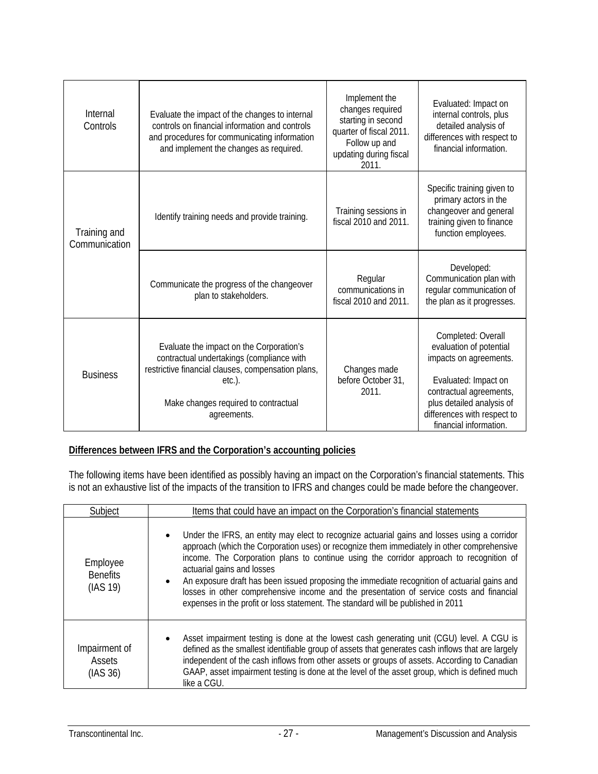| Internal<br>Controls          | Evaluate the impact of the changes to internal<br>controls on financial information and controls<br>and procedures for communicating information<br>and implement the changes as required.                      | Implement the<br>changes required<br>starting in second<br>quarter of fiscal 2011.<br>Follow up and<br>updating during fiscal<br>2011. | Evaluated: Impact on<br>internal controls, plus<br>detailed analysis of<br>differences with respect to<br>financial information.                                                                                 |  |
|-------------------------------|-----------------------------------------------------------------------------------------------------------------------------------------------------------------------------------------------------------------|----------------------------------------------------------------------------------------------------------------------------------------|------------------------------------------------------------------------------------------------------------------------------------------------------------------------------------------------------------------|--|
| Training and<br>Communication | Identify training needs and provide training.                                                                                                                                                                   | Training sessions in<br>fiscal 2010 and 2011.                                                                                          | Specific training given to<br>primary actors in the<br>changeover and general<br>training given to finance<br>function employees.                                                                                |  |
|                               | Communicate the progress of the changeover<br>plan to stakeholders.                                                                                                                                             | Regular<br>communications in<br>fiscal 2010 and 2011.                                                                                  | Developed:<br>Communication plan with<br>regular communication of<br>the plan as it progresses.                                                                                                                  |  |
| <b>Business</b>               | Evaluate the impact on the Corporation's<br>contractual undertakings (compliance with<br>restrictive financial clauses, compensation plans,<br>$etc.$ ).<br>Make changes required to contractual<br>agreements. | Changes made<br>before October 31,<br>2011.                                                                                            | Completed: Overall<br>evaluation of potential<br>impacts on agreements.<br>Evaluated: Impact on<br>contractual agreements,<br>plus detailed analysis of<br>differences with respect to<br>financial information. |  |

#### **Differences between IFRS and the Corporation's accounting policies**

The following items have been identified as possibly having an impact on the Corporation's financial statements. This is not an exhaustive list of the impacts of the transition to IFRS and changes could be made before the changeover.

| Subiect                                 | Items that could have an impact on the Corporation's financial statements                                                                                                                                                                                                                                                                                                                                                                                                                                                                                                                           |
|-----------------------------------------|-----------------------------------------------------------------------------------------------------------------------------------------------------------------------------------------------------------------------------------------------------------------------------------------------------------------------------------------------------------------------------------------------------------------------------------------------------------------------------------------------------------------------------------------------------------------------------------------------------|
| Employee<br><b>Benefits</b><br>(IAS 19) | Under the IFRS, an entity may elect to recognize actuarial gains and losses using a corridor<br>approach (which the Corporation uses) or recognize them immediately in other comprehensive<br>income. The Corporation plans to continue using the corridor approach to recognition of<br>actuarial gains and losses<br>An exposure draft has been issued proposing the immediate recognition of actuarial gains and<br>losses in other comprehensive income and the presentation of service costs and financial<br>expenses in the profit or loss statement. The standard will be published in 2011 |
| Impairment of<br>Assets<br>(IAS 36)     | Asset impairment testing is done at the lowest cash generating unit (CGU) level. A CGU is<br>defined as the smallest identifiable group of assets that generates cash inflows that are largely<br>independent of the cash inflows from other assets or groups of assets. According to Canadian<br>GAAP, asset impairment testing is done at the level of the asset group, which is defined much<br>like a CGU.                                                                                                                                                                                      |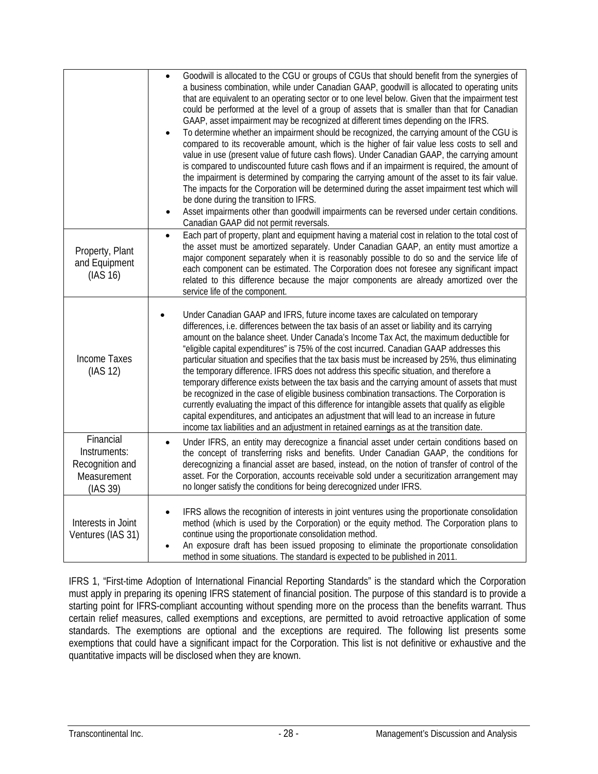|                                                                         | Goodwill is allocated to the CGU or groups of CGUs that should benefit from the synergies of<br>a business combination, while under Canadian GAAP, goodwill is allocated to operating units<br>that are equivalent to an operating sector or to one level below. Given that the impairment test<br>could be performed at the level of a group of assets that is smaller than that for Canadian<br>GAAP, asset impairment may be recognized at different times depending on the IFRS.<br>To determine whether an impairment should be recognized, the carrying amount of the CGU is<br>compared to its recoverable amount, which is the higher of fair value less costs to sell and<br>value in use (present value of future cash flows). Under Canadian GAAP, the carrying amount<br>is compared to undiscounted future cash flows and if an impairment is required, the amount of<br>the impairment is determined by comparing the carrying amount of the asset to its fair value.<br>The impacts for the Corporation will be determined during the asset impairment test which will<br>be done during the transition to IFRS.<br>Asset impairments other than goodwill impairments can be reversed under certain conditions.<br>Canadian GAAP did not permit reversals. |
|-------------------------------------------------------------------------|---------------------------------------------------------------------------------------------------------------------------------------------------------------------------------------------------------------------------------------------------------------------------------------------------------------------------------------------------------------------------------------------------------------------------------------------------------------------------------------------------------------------------------------------------------------------------------------------------------------------------------------------------------------------------------------------------------------------------------------------------------------------------------------------------------------------------------------------------------------------------------------------------------------------------------------------------------------------------------------------------------------------------------------------------------------------------------------------------------------------------------------------------------------------------------------------------------------------------------------------------------------------------|
| Property, Plant<br>and Equipment<br>(IAS 16)                            | Each part of property, plant and equipment having a material cost in relation to the total cost of<br>$\bullet$<br>the asset must be amortized separately. Under Canadian GAAP, an entity must amortize a<br>major component separately when it is reasonably possible to do so and the service life of<br>each component can be estimated. The Corporation does not foresee any significant impact<br>related to this difference because the major components are already amortized over the<br>service life of the component.                                                                                                                                                                                                                                                                                                                                                                                                                                                                                                                                                                                                                                                                                                                                           |
| <b>Income Taxes</b><br>(IAS 12)                                         | Under Canadian GAAP and IFRS, future income taxes are calculated on temporary<br>differences, i.e. differences between the tax basis of an asset or liability and its carrying<br>amount on the balance sheet. Under Canada's Income Tax Act, the maximum deductible for<br>"eligible capital expenditures" is 75% of the cost incurred. Canadian GAAP addresses this<br>particular situation and specifies that the tax basis must be increased by 25%, thus eliminating<br>the temporary difference. IFRS does not address this specific situation, and therefore a<br>temporary difference exists between the tax basis and the carrying amount of assets that must<br>be recognized in the case of eligible business combination transactions. The Corporation is<br>currently evaluating the impact of this difference for intangible assets that qualify as eligible<br>capital expenditures, and anticipates an adjustment that will lead to an increase in future<br>income tax liabilities and an adjustment in retained earnings as at the transition date.                                                                                                                                                                                                     |
| Financial<br>Instruments:<br>Recognition and<br>Measurement<br>(IAS 39) | Under IFRS, an entity may derecognize a financial asset under certain conditions based on<br>$\bullet$<br>the concept of transferring risks and benefits. Under Canadian GAAP, the conditions for<br>derecognizing a financial asset are based, instead, on the notion of transfer of control of the<br>asset. For the Corporation, accounts receivable sold under a securitization arrangement may<br>no longer satisfy the conditions for being derecognized under IFRS.                                                                                                                                                                                                                                                                                                                                                                                                                                                                                                                                                                                                                                                                                                                                                                                                |
| Interests in Joint<br>Ventures (IAS 31)                                 | IFRS allows the recognition of interests in joint ventures using the proportionate consolidation<br>method (which is used by the Corporation) or the equity method. The Corporation plans to<br>continue using the proportionate consolidation method.<br>An exposure draft has been issued proposing to eliminate the proportionate consolidation<br>method in some situations. The standard is expected to be published in 2011.                                                                                                                                                                                                                                                                                                                                                                                                                                                                                                                                                                                                                                                                                                                                                                                                                                        |

IFRS 1, "First-time Adoption of International Financial Reporting Standards" is the standard which the Corporation must apply in preparing its opening IFRS statement of financial position. The purpose of this standard is to provide a starting point for IFRS-compliant accounting without spending more on the process than the benefits warrant. Thus certain relief measures, called exemptions and exceptions, are permitted to avoid retroactive application of some standards. The exemptions are optional and the exceptions are required. The following list presents some exemptions that could have a significant impact for the Corporation. This list is not definitive or exhaustive and the quantitative impacts will be disclosed when they are known.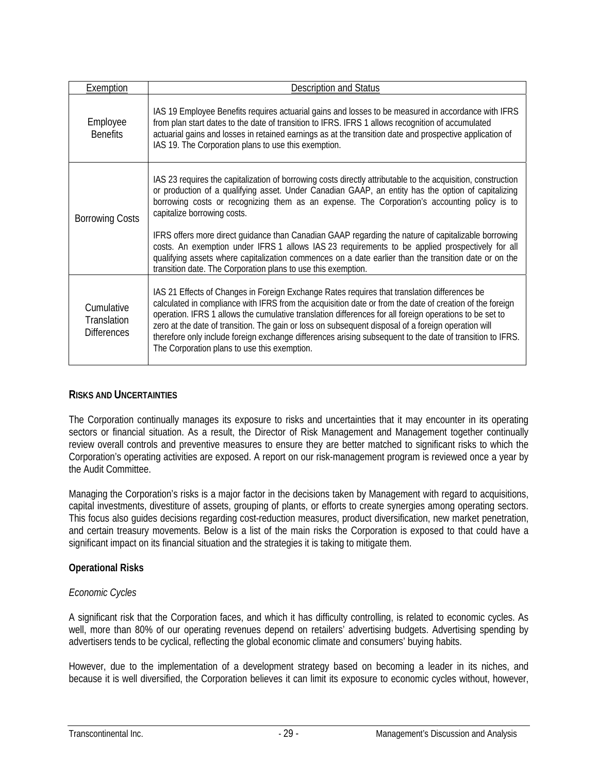| Exemption                                       | <b>Description and Status</b>                                                                                                                                                                                                                                                                                                                                                                                                                                                                                                                                                           |
|-------------------------------------------------|-----------------------------------------------------------------------------------------------------------------------------------------------------------------------------------------------------------------------------------------------------------------------------------------------------------------------------------------------------------------------------------------------------------------------------------------------------------------------------------------------------------------------------------------------------------------------------------------|
| Employee<br><b>Benefits</b>                     | IAS 19 Employee Benefits requires actuarial gains and losses to be measured in accordance with IFRS<br>from plan start dates to the date of transition to IFRS. IFRS 1 allows recognition of accumulated<br>actuarial gains and losses in retained earnings as at the transition date and prospective application of<br>IAS 19. The Corporation plans to use this exemption.                                                                                                                                                                                                            |
| <b>Borrowing Costs</b>                          | IAS 23 requires the capitalization of borrowing costs directly attributable to the acquisition, construction<br>or production of a qualifying asset. Under Canadian GAAP, an entity has the option of capitalizing<br>borrowing costs or recognizing them as an expense. The Corporation's accounting policy is to<br>capitalize borrowing costs.                                                                                                                                                                                                                                       |
|                                                 | IFRS offers more direct guidance than Canadian GAAP regarding the nature of capitalizable borrowing<br>costs. An exemption under IFRS 1 allows IAS 23 requirements to be applied prospectively for all<br>qualifying assets where capitalization commences on a date earlier than the transition date or on the<br>transition date. The Corporation plans to use this exemption.                                                                                                                                                                                                        |
| Cumulative<br>Translation<br><b>Differences</b> | IAS 21 Effects of Changes in Foreign Exchange Rates requires that translation differences be<br>calculated in compliance with IFRS from the acquisition date or from the date of creation of the foreign<br>operation. IFRS 1 allows the cumulative translation differences for all foreign operations to be set to<br>zero at the date of transition. The gain or loss on subsequent disposal of a foreign operation will<br>therefore only include foreign exchange differences arising subsequent to the date of transition to IFRS.<br>The Corporation plans to use this exemption. |

## **RISKS AND UNCERTAINTIES**

The Corporation continually manages its exposure to risks and uncertainties that it may encounter in its operating sectors or financial situation. As a result, the Director of Risk Management and Management together continually review overall controls and preventive measures to ensure they are better matched to significant risks to which the Corporation's operating activities are exposed. A report on our risk-management program is reviewed once a year by the Audit Committee.

Managing the Corporation's risks is a major factor in the decisions taken by Management with regard to acquisitions, capital investments, divestiture of assets, grouping of plants, or efforts to create synergies among operating sectors. This focus also guides decisions regarding cost-reduction measures, product diversification, new market penetration, and certain treasury movements. Below is a list of the main risks the Corporation is exposed to that could have a significant impact on its financial situation and the strategies it is taking to mitigate them.

## **Operational Risks**

## *Economic Cycles*

A significant risk that the Corporation faces, and which it has difficulty controlling, is related to economic cycles. As well, more than 80% of our operating revenues depend on retailers' advertising budgets. Advertising spending by advertisers tends to be cyclical, reflecting the global economic climate and consumers' buying habits.

However, due to the implementation of a development strategy based on becoming a leader in its niches, and because it is well diversified, the Corporation believes it can limit its exposure to economic cycles without, however,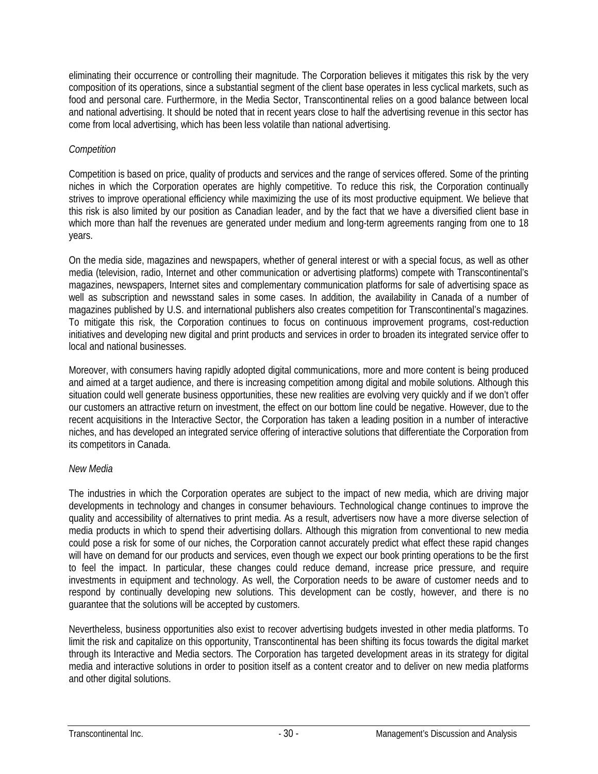eliminating their occurrence or controlling their magnitude. The Corporation believes it mitigates this risk by the very composition of its operations, since a substantial segment of the client base operates in less cyclical markets, such as food and personal care. Furthermore, in the Media Sector, Transcontinental relies on a good balance between local and national advertising. It should be noted that in recent years close to half the advertising revenue in this sector has come from local advertising, which has been less volatile than national advertising.

## *Competition*

Competition is based on price, quality of products and services and the range of services offered. Some of the printing niches in which the Corporation operates are highly competitive. To reduce this risk, the Corporation continually strives to improve operational efficiency while maximizing the use of its most productive equipment. We believe that this risk is also limited by our position as Canadian leader, and by the fact that we have a diversified client base in which more than half the revenues are generated under medium and long-term agreements ranging from one to 18 years.

On the media side, magazines and newspapers, whether of general interest or with a special focus, as well as other media (television, radio, Internet and other communication or advertising platforms) compete with Transcontinental's magazines, newspapers, Internet sites and complementary communication platforms for sale of advertising space as well as subscription and newsstand sales in some cases. In addition, the availability in Canada of a number of magazines published by U.S. and international publishers also creates competition for Transcontinental's magazines. To mitigate this risk, the Corporation continues to focus on continuous improvement programs, cost-reduction initiatives and developing new digital and print products and services in order to broaden its integrated service offer to local and national businesses.

Moreover, with consumers having rapidly adopted digital communications, more and more content is being produced and aimed at a target audience, and there is increasing competition among digital and mobile solutions. Although this situation could well generate business opportunities, these new realities are evolving very quickly and if we don't offer our customers an attractive return on investment, the effect on our bottom line could be negative. However, due to the recent acquisitions in the Interactive Sector, the Corporation has taken a leading position in a number of interactive niches, and has developed an integrated service offering of interactive solutions that differentiate the Corporation from its competitors in Canada.

## *New Media*

The industries in which the Corporation operates are subject to the impact of new media, which are driving major developments in technology and changes in consumer behaviours. Technological change continues to improve the quality and accessibility of alternatives to print media. As a result, advertisers now have a more diverse selection of media products in which to spend their advertising dollars. Although this migration from conventional to new media could pose a risk for some of our niches, the Corporation cannot accurately predict what effect these rapid changes will have on demand for our products and services, even though we expect our book printing operations to be the first to feel the impact. In particular, these changes could reduce demand, increase price pressure, and require investments in equipment and technology. As well, the Corporation needs to be aware of customer needs and to respond by continually developing new solutions. This development can be costly, however, and there is no guarantee that the solutions will be accepted by customers.

Nevertheless, business opportunities also exist to recover advertising budgets invested in other media platforms. To limit the risk and capitalize on this opportunity, Transcontinental has been shifting its focus towards the digital market through its Interactive and Media sectors. The Corporation has targeted development areas in its strategy for digital media and interactive solutions in order to position itself as a content creator and to deliver on new media platforms and other digital solutions.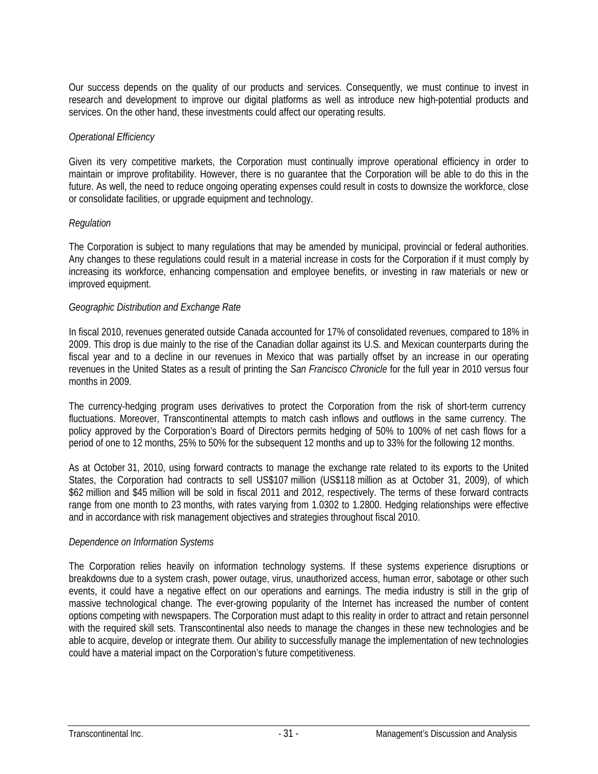Our success depends on the quality of our products and services. Consequently, we must continue to invest in research and development to improve our digital platforms as well as introduce new high-potential products and services. On the other hand, these investments could affect our operating results.

## *Operational Efficiency*

Given its very competitive markets, the Corporation must continually improve operational efficiency in order to maintain or improve profitability. However, there is no guarantee that the Corporation will be able to do this in the future. As well, the need to reduce ongoing operating expenses could result in costs to downsize the workforce, close or consolidate facilities, or upgrade equipment and technology.

## *Regulation*

The Corporation is subject to many regulations that may be amended by municipal, provincial or federal authorities. Any changes to these regulations could result in a material increase in costs for the Corporation if it must comply by increasing its workforce, enhancing compensation and employee benefits, or investing in raw materials or new or improved equipment.

## *Geographic Distribution and Exchange Rate*

In fiscal 2010, revenues generated outside Canada accounted for 17% of consolidated revenues, compared to 18% in 2009. This drop is due mainly to the rise of the Canadian dollar against its U.S. and Mexican counterparts during the fiscal year and to a decline in our revenues in Mexico that was partially offset by an increase in our operating revenues in the United States as a result of printing the *San Francisco Chronicle* for the full year in 2010 versus four months in 2009.

The currency-hedging program uses derivatives to protect the Corporation from the risk of short-term currency fluctuations. Moreover, Transcontinental attempts to match cash inflows and outflows in the same currency. The policy approved by the Corporation's Board of Directors permits hedging of 50% to 100% of net cash flows for a period of one to 12 months, 25% to 50% for the subsequent 12 months and up to 33% for the following 12 months.

As at October 31, 2010, using forward contracts to manage the exchange rate related to its exports to the United States, the Corporation had contracts to sell US\$107 million (US\$118 million as at October 31, 2009), of which \$62 million and \$45 million will be sold in fiscal 2011 and 2012, respectively. The terms of these forward contracts range from one month to 23 months, with rates varying from 1.0302 to 1.2800. Hedging relationships were effective and in accordance with risk management objectives and strategies throughout fiscal 2010.

### *Dependence on Information Systems*

The Corporation relies heavily on information technology systems. If these systems experience disruptions or breakdowns due to a system crash, power outage, virus, unauthorized access, human error, sabotage or other such events, it could have a negative effect on our operations and earnings. The media industry is still in the grip of massive technological change. The ever-growing popularity of the Internet has increased the number of content options competing with newspapers. The Corporation must adapt to this reality in order to attract and retain personnel with the required skill sets. Transcontinental also needs to manage the changes in these new technologies and be able to acquire, develop or integrate them. Our ability to successfully manage the implementation of new technologies could have a material impact on the Corporation's future competitiveness.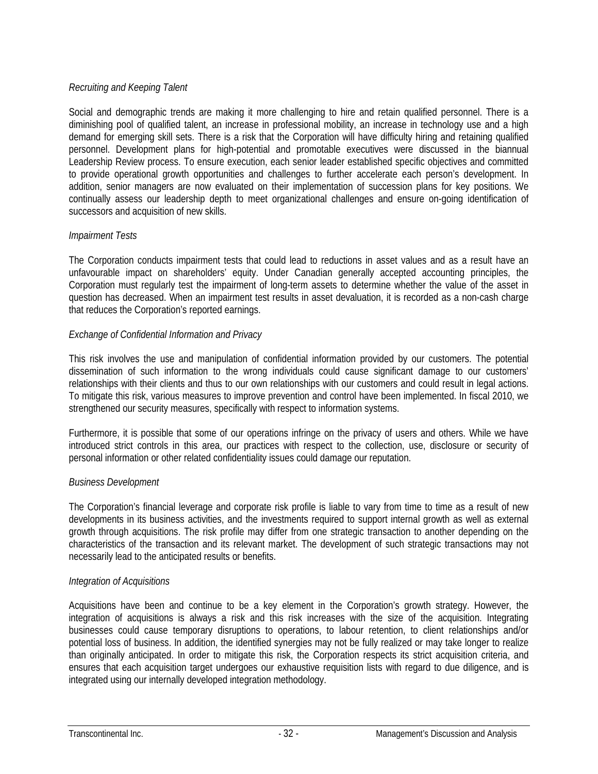## *Recruiting and Keeping Talent*

Social and demographic trends are making it more challenging to hire and retain qualified personnel. There is a diminishing pool of qualified talent, an increase in professional mobility, an increase in technology use and a high demand for emerging skill sets. There is a risk that the Corporation will have difficulty hiring and retaining qualified personnel. Development plans for high-potential and promotable executives were discussed in the biannual Leadership Review process. To ensure execution, each senior leader established specific objectives and committed to provide operational growth opportunities and challenges to further accelerate each person's development. In addition, senior managers are now evaluated on their implementation of succession plans for key positions. We continually assess our leadership depth to meet organizational challenges and ensure on-going identification of successors and acquisition of new skills.

## *Impairment Tests*

The Corporation conducts impairment tests that could lead to reductions in asset values and as a result have an unfavourable impact on shareholders' equity. Under Canadian generally accepted accounting principles, the Corporation must regularly test the impairment of long-term assets to determine whether the value of the asset in question has decreased. When an impairment test results in asset devaluation, it is recorded as a non-cash charge that reduces the Corporation's reported earnings.

## *Exchange of Confidential Information and Privacy*

This risk involves the use and manipulation of confidential information provided by our customers. The potential dissemination of such information to the wrong individuals could cause significant damage to our customers' relationships with their clients and thus to our own relationships with our customers and could result in legal actions. To mitigate this risk, various measures to improve prevention and control have been implemented. In fiscal 2010, we strengthened our security measures, specifically with respect to information systems.

Furthermore, it is possible that some of our operations infringe on the privacy of users and others. While we have introduced strict controls in this area, our practices with respect to the collection, use, disclosure or security of personal information or other related confidentiality issues could damage our reputation.

## *Business Development*

The Corporation's financial leverage and corporate risk profile is liable to vary from time to time as a result of new developments in its business activities, and the investments required to support internal growth as well as external growth through acquisitions. The risk profile may differ from one strategic transaction to another depending on the characteristics of the transaction and its relevant market. The development of such strategic transactions may not necessarily lead to the anticipated results or benefits.

## *Integration of Acquisitions*

Acquisitions have been and continue to be a key element in the Corporation's growth strategy. However, the integration of acquisitions is always a risk and this risk increases with the size of the acquisition. Integrating businesses could cause temporary disruptions to operations, to labour retention, to client relationships and/or potential loss of business. In addition, the identified synergies may not be fully realized or may take longer to realize than originally anticipated. In order to mitigate this risk, the Corporation respects its strict acquisition criteria, and ensures that each acquisition target undergoes our exhaustive requisition lists with regard to due diligence, and is integrated using our internally developed integration methodology.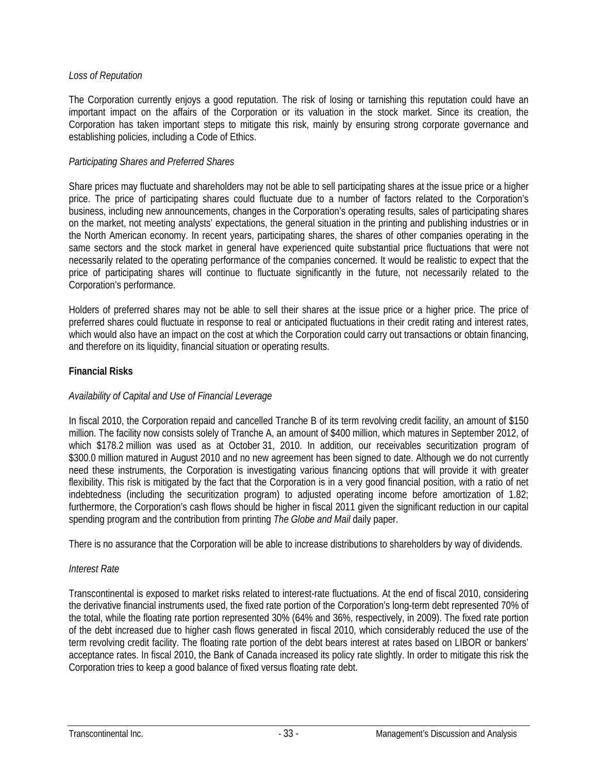## *Loss of Reputation*

The Corporation currently enjoys a good reputation. The risk of losing or tarnishing this reputation could have an important impact on the affairs of the Corporation or its valuation in the stock market. Since its creation, the Corporation has taken important steps to mitigate this risk, mainly by ensuring strong corporate governance and establishing policies, including a Code of Ethics.

## *Participating Shares and Preferred Shares*

Share prices may fluctuate and shareholders may not be able to sell participating shares at the issue price or a higher price. The price of participating shares could fluctuate due to a number of factors related to the Corporation's business, including new announcements, changes in the Corporation's operating results, sales of participating shares on the market, not meeting analysts' expectations, the general situation in the printing and publishing industries or in the North American economy. In recent years, participating shares, the shares of other companies operating in the same sectors and the stock market in general have experienced quite substantial price fluctuations that were not necessarily related to the operating performance of the companies concerned. It would be realistic to expect that the price of participating shares will continue to fluctuate significantly in the future, not necessarily related to the Corporation's performance.

Holders of preferred shares may not be able to sell their shares at the issue price or a higher price. The price of preferred shares could fluctuate in response to real or anticipated fluctuations in their credit rating and interest rates, which would also have an impact on the cost at which the Corporation could carry out transactions or obtain financing, and therefore on its liquidity, financial situation or operating results.

## **Financial Risks**

## *Availability of Capital and Use of Financial Leverage*

In fiscal 2010, the Corporation repaid and cancelled Tranche B of its term revolving credit facility, an amount of \$150 million. The facility now consists solely of Tranche A, an amount of \$400 million, which matures in September 2012, of which \$178.2 million was used as at October 31, 2010. In addition, our receivables securitization program of \$300.0 million matured in August 2010 and no new agreement has been signed to date. Although we do not currently need these instruments, the Corporation is investigating various financing options that will provide it with greater flexibility. This risk is mitigated by the fact that the Corporation is in a very good financial position, with a ratio of net indebtedness (including the securitization program) to adjusted operating income before amortization of 1.82; furthermore, the Corporation's cash flows should be higher in fiscal 2011 given the significant reduction in our capital spending program and the contribution from printing *The Globe and Mail* daily paper.

There is no assurance that the Corporation will be able to increase distributions to shareholders by way of dividends.

## *Interest Rate*

Transcontinental is exposed to market risks related to interest-rate fluctuations. At the end of fiscal 2010, considering the derivative financial instruments used, the fixed rate portion of the Corporation's long-term debt represented 70% of the total, while the floating rate portion represented 30% (64% and 36%, respectively, in 2009). The fixed rate portion of the debt increased due to higher cash flows generated in fiscal 2010, which considerably reduced the use of the term revolving credit facility. The floating rate portion of the debt bears interest at rates based on LIBOR or bankers' acceptance rates. In fiscal 2010, the Bank of Canada increased its policy rate slightly. In order to mitigate this risk the Corporation tries to keep a good balance of fixed versus floating rate debt.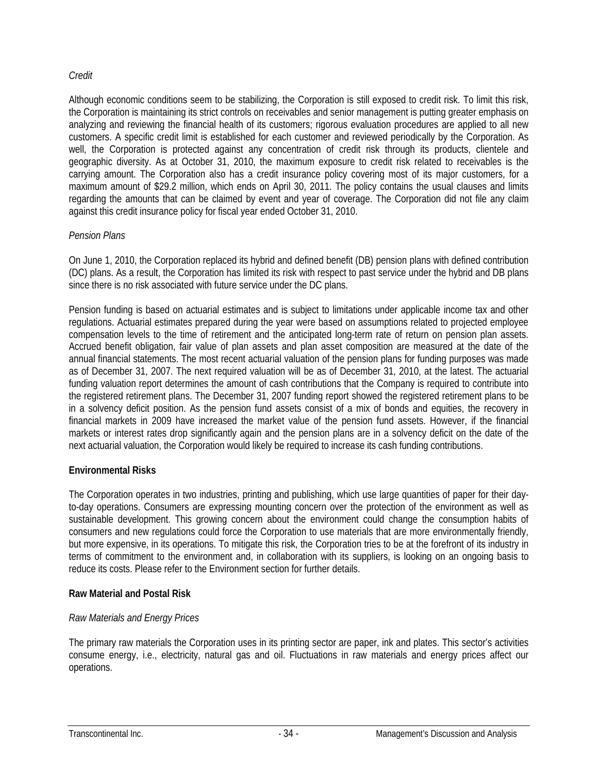## *Credit*

Although economic conditions seem to be stabilizing, the Corporation is still exposed to credit risk. To limit this risk, the Corporation is maintaining its strict controls on receivables and senior management is putting greater emphasis on analyzing and reviewing the financial health of its customers; rigorous evaluation procedures are applied to all new customers. A specific credit limit is established for each customer and reviewed periodically by the Corporation. As well, the Corporation is protected against any concentration of credit risk through its products, clientele and geographic diversity. As at October 31, 2010, the maximum exposure to credit risk related to receivables is the carrying amount. The Corporation also has a credit insurance policy covering most of its major customers, for a maximum amount of \$29.2 million, which ends on April 30, 2011. The policy contains the usual clauses and limits regarding the amounts that can be claimed by event and year of coverage. The Corporation did not file any claim against this credit insurance policy for fiscal year ended October 31, 2010.

## *Pension Plans*

On June 1, 2010, the Corporation replaced its hybrid and defined benefit (DB) pension plans with defined contribution (DC) plans. As a result, the Corporation has limited its risk with respect to past service under the hybrid and DB plans since there is no risk associated with future service under the DC plans.

Pension funding is based on actuarial estimates and is subject to limitations under applicable income tax and other regulations. Actuarial estimates prepared during the year were based on assumptions related to projected employee compensation levels to the time of retirement and the anticipated long-term rate of return on pension plan assets. Accrued benefit obligation, fair value of plan assets and plan asset composition are measured at the date of the annual financial statements. The most recent actuarial valuation of the pension plans for funding purposes was made as of December 31, 2007. The next required valuation will be as of December 31, 2010, at the latest. The actuarial funding valuation report determines the amount of cash contributions that the Company is required to contribute into the registered retirement plans. The December 31, 2007 funding report showed the registered retirement plans to be in a solvency deficit position. As the pension fund assets consist of a mix of bonds and equities, the recovery in financial markets in 2009 have increased the market value of the pension fund assets. However, if the financial markets or interest rates drop significantly again and the pension plans are in a solvency deficit on the date of the next actuarial valuation, the Corporation would likely be required to increase its cash funding contributions.

## **Environmental Risks**

The Corporation operates in two industries, printing and publishing, which use large quantities of paper for their dayto-day operations. Consumers are expressing mounting concern over the protection of the environment as well as sustainable development. This growing concern about the environment could change the consumption habits of consumers and new regulations could force the Corporation to use materials that are more environmentally friendly, but more expensive, in its operations. To mitigate this risk, the Corporation tries to be at the forefront of its industry in terms of commitment to the environment and, in collaboration with its suppliers, is looking on an ongoing basis to reduce its costs. Please refer to the Environment section for further details.

## **Raw Material and Postal Risk**

## *Raw Materials and Energy Prices*

The primary raw materials the Corporation uses in its printing sector are paper, ink and plates. This sector's activities consume energy, i.e., electricity, natural gas and oil. Fluctuations in raw materials and energy prices affect our operations.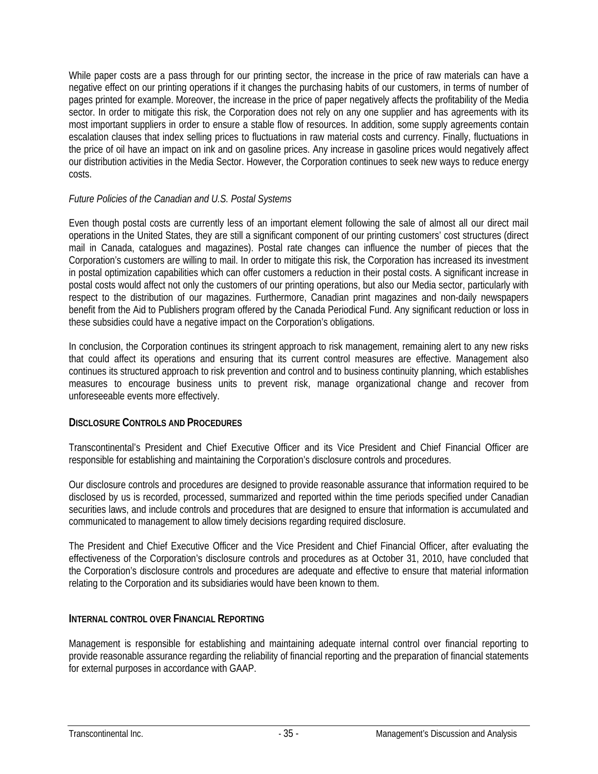While paper costs are a pass through for our printing sector, the increase in the price of raw materials can have a negative effect on our printing operations if it changes the purchasing habits of our customers, in terms of number of pages printed for example. Moreover, the increase in the price of paper negatively affects the profitability of the Media sector. In order to mitigate this risk, the Corporation does not rely on any one supplier and has agreements with its most important suppliers in order to ensure a stable flow of resources. In addition, some supply agreements contain escalation clauses that index selling prices to fluctuations in raw material costs and currency. Finally, fluctuations in the price of oil have an impact on ink and on gasoline prices. Any increase in gasoline prices would negatively affect our distribution activities in the Media Sector. However, the Corporation continues to seek new ways to reduce energy costs.

## *Future Policies of the Canadian and U.S. Postal Systems*

Even though postal costs are currently less of an important element following the sale of almost all our direct mail operations in the United States, they are still a significant component of our printing customers' cost structures (direct mail in Canada, catalogues and magazines). Postal rate changes can influence the number of pieces that the Corporation's customers are willing to mail. In order to mitigate this risk, the Corporation has increased its investment in postal optimization capabilities which can offer customers a reduction in their postal costs. A significant increase in postal costs would affect not only the customers of our printing operations, but also our Media sector, particularly with respect to the distribution of our magazines. Furthermore, Canadian print magazines and non-daily newspapers benefit from the Aid to Publishers program offered by the Canada Periodical Fund. Any significant reduction or loss in these subsidies could have a negative impact on the Corporation's obligations.

In conclusion, the Corporation continues its stringent approach to risk management, remaining alert to any new risks that could affect its operations and ensuring that its current control measures are effective. Management also continues its structured approach to risk prevention and control and to business continuity planning, which establishes measures to encourage business units to prevent risk, manage organizational change and recover from unforeseeable events more effectively.

## **DISCLOSURE CONTROLS AND PROCEDURES**

Transcontinental's President and Chief Executive Officer and its Vice President and Chief Financial Officer are responsible for establishing and maintaining the Corporation's disclosure controls and procedures.

Our disclosure controls and procedures are designed to provide reasonable assurance that information required to be disclosed by us is recorded, processed, summarized and reported within the time periods specified under Canadian securities laws, and include controls and procedures that are designed to ensure that information is accumulated and communicated to management to allow timely decisions regarding required disclosure.

The President and Chief Executive Officer and the Vice President and Chief Financial Officer, after evaluating the effectiveness of the Corporation's disclosure controls and procedures as at October 31, 2010, have concluded that the Corporation's disclosure controls and procedures are adequate and effective to ensure that material information relating to the Corporation and its subsidiaries would have been known to them.

## **INTERNAL CONTROL OVER FINANCIAL REPORTING**

Management is responsible for establishing and maintaining adequate internal control over financial reporting to provide reasonable assurance regarding the reliability of financial reporting and the preparation of financial statements for external purposes in accordance with GAAP.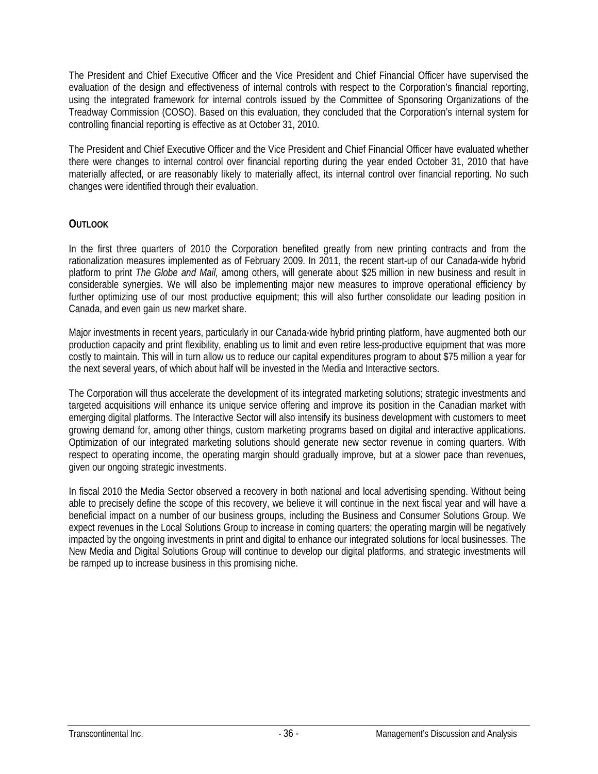The President and Chief Executive Officer and the Vice President and Chief Financial Officer have supervised the evaluation of the design and effectiveness of internal controls with respect to the Corporation's financial reporting, using the integrated framework for internal controls issued by the Committee of Sponsoring Organizations of the Treadway Commission (COSO). Based on this evaluation, they concluded that the Corporation's internal system for controlling financial reporting is effective as at October 31, 2010.

The President and Chief Executive Officer and the Vice President and Chief Financial Officer have evaluated whether there were changes to internal control over financial reporting during the year ended October 31, 2010 that have materially affected, or are reasonably likely to materially affect, its internal control over financial reporting. No such changes were identified through their evaluation.

## **OUTLOOK**

In the first three quarters of 2010 the Corporation benefited greatly from new printing contracts and from the rationalization measures implemented as of February 2009. In 2011, the recent start-up of our Canada-wide hybrid platform to print *The Globe and Mail,* among others, will generate about \$25 million in new business and result in considerable synergies. We will also be implementing major new measures to improve operational efficiency by further optimizing use of our most productive equipment; this will also further consolidate our leading position in Canada, and even gain us new market share.

Major investments in recent years, particularly in our Canada-wide hybrid printing platform, have augmented both our production capacity and print flexibility, enabling us to limit and even retire less-productive equipment that was more costly to maintain. This will in turn allow us to reduce our capital expenditures program to about \$75 million a year for the next several years, of which about half will be invested in the Media and Interactive sectors.

The Corporation will thus accelerate the development of its integrated marketing solutions; strategic investments and targeted acquisitions will enhance its unique service offering and improve its position in the Canadian market with emerging digital platforms. The Interactive Sector will also intensify its business development with customers to meet growing demand for, among other things, custom marketing programs based on digital and interactive applications. Optimization of our integrated marketing solutions should generate new sector revenue in coming quarters. With respect to operating income, the operating margin should gradually improve, but at a slower pace than revenues, given our ongoing strategic investments.

In fiscal 2010 the Media Sector observed a recovery in both national and local advertising spending. Without being able to precisely define the scope of this recovery, we believe it will continue in the next fiscal year and will have a beneficial impact on a number of our business groups, including the Business and Consumer Solutions Group. We expect revenues in the Local Solutions Group to increase in coming quarters; the operating margin will be negatively impacted by the ongoing investments in print and digital to enhance our integrated solutions for local businesses. The New Media and Digital Solutions Group will continue to develop our digital platforms, and strategic investments will be ramped up to increase business in this promising niche.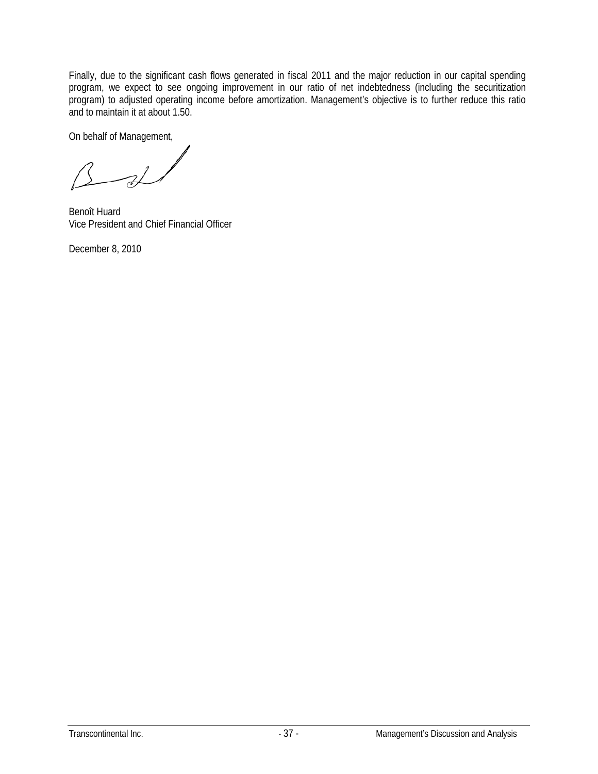Finally, due to the significant cash flows generated in fiscal 2011 and the major reduction in our capital spending program, we expect to see ongoing improvement in our ratio of net indebtedness (including the securitization program) to adjusted operating income before amortization. Management's objective is to further reduce this ratio and to maintain it at about 1.50.

On behalf of Management,

 $\overrightarrow{v}$ 

Benoît Huard Vice President and Chief Financial Officer

December 8, 2010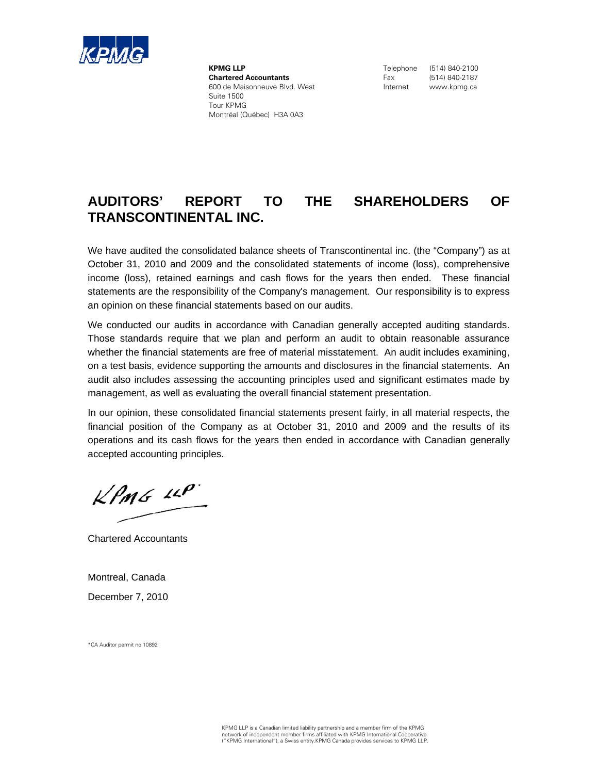

**KPMG LLP Chartered Accountants** 600 de Maisonneuve Blvd. West Suite 1500 Tour KPMG Montréal (Québec) H3A 0A3

Telephone (514) 840-2100 Fax (514) 840-2187 Internet www.kpmg.ca

# **AUDITORS' REPORT TO THE SHAREHOLDERS OF TRANSCONTINENTAL INC.**

We have audited the consolidated balance sheets of Transcontinental inc. (the "Company") as at October 31, 2010 and 2009 and the consolidated statements of income (loss), comprehensive income (loss), retained earnings and cash flows for the years then ended. These financial statements are the responsibility of the Company's management. Our responsibility is to express an opinion on these financial statements based on our audits.

We conducted our audits in accordance with Canadian generally accepted auditing standards. Those standards require that we plan and perform an audit to obtain reasonable assurance whether the financial statements are free of material misstatement. An audit includes examining, on a test basis, evidence supporting the amounts and disclosures in the financial statements. An audit also includes assessing the accounting principles used and significant estimates made by management, as well as evaluating the overall financial statement presentation.

In our opinion, these consolidated financial statements present fairly, in all material respects, the financial position of the Company as at October 31, 2010 and 2009 and the results of its operations and its cash flows for the years then ended in accordance with Canadian generally accepted accounting principles.

 $k$ *PMG 14P* 

Chartered Accountants

Montreal, Canada December 7, 2010

\*CA Auditor permit no 10892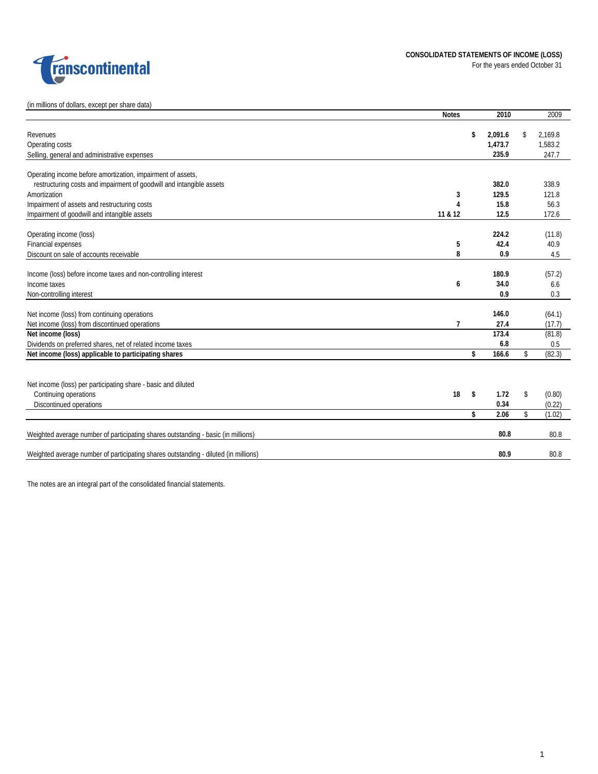

(in millions of dollars, except per share data)

|                                                                                     | <b>Notes</b>   | 2010          | 2009          |
|-------------------------------------------------------------------------------------|----------------|---------------|---------------|
| Revenues                                                                            |                | \$<br>2,091.6 | \$<br>2,169.8 |
| Operating costs                                                                     |                | 1,473.7       | 1,583.2       |
| Selling, general and administrative expenses                                        |                | 235.9         | 247.7         |
|                                                                                     |                |               |               |
| Operating income before amortization, impairment of assets,                         |                |               |               |
| restructuring costs and impairment of goodwill and intangible assets                |                | 382.0         | 338.9         |
| Amortization                                                                        | 3              | 129.5         | 121.8         |
| Impairment of assets and restructuring costs                                        | 4              | 15.8          | 56.3          |
| Impairment of goodwill and intangible assets                                        | 11 & 12        | 12.5          | 172.6         |
|                                                                                     |                |               |               |
| Operating income (loss)                                                             |                | 224.2         | (11.8)        |
| Financial expenses                                                                  | 5              | 42.4          | 40.9          |
| Discount on sale of accounts receivable                                             | 8              | 0.9           | 4.5           |
|                                                                                     |                |               |               |
| Income (loss) before income taxes and non-controlling interest                      |                | 180.9         | (57.2)        |
| Income taxes                                                                        | 6              | 34.0          | 6.6           |
| Non-controlling interest                                                            |                | 0.9           | 0.3           |
|                                                                                     |                |               |               |
| Net income (loss) from continuing operations                                        |                | 146.0         | (64.1)        |
| Net income (loss) from discontinued operations                                      | $\overline{1}$ | 27.4          | (17.7)        |
| Net income (loss)                                                                   |                | 173.4         | (81.8)        |
| Dividends on preferred shares, net of related income taxes                          |                | 6.8           | 0.5           |
| Net income (loss) applicable to participating shares                                |                | \$<br>166.6   | \$<br>(82.3)  |
|                                                                                     |                |               |               |
| Net income (loss) per participating share - basic and diluted                       |                |               |               |
| Continuing operations                                                               | 18             | \$<br>1.72    | \$<br>(0.80)  |
| Discontinued operations                                                             |                | 0.34          | (0.22)        |
|                                                                                     |                | \$<br>2.06    | \$<br>(1.02)  |
|                                                                                     |                |               |               |
| Weighted average number of participating shares outstanding - basic (in millions)   |                | 80.8          | 80.8          |
| Weighted average number of participating shares outstanding - diluted (in millions) |                | 80.9          | 80.8          |
|                                                                                     |                |               |               |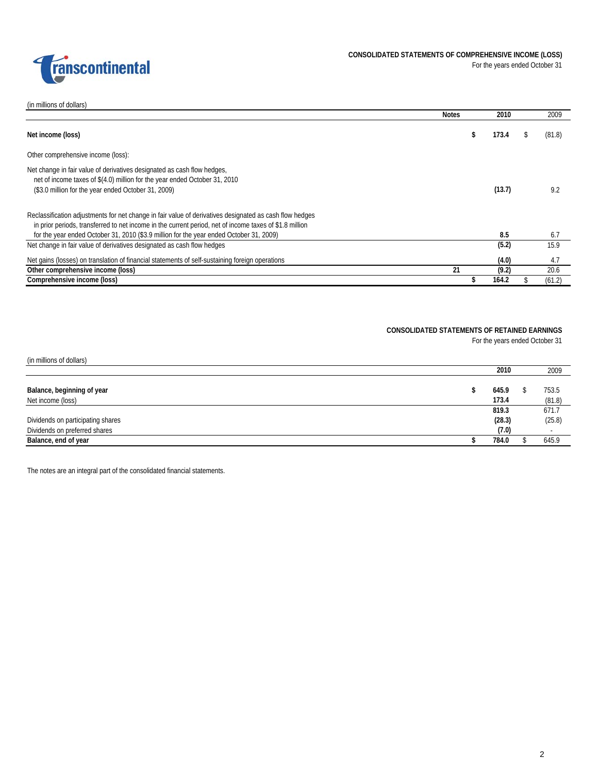

(in millions of dollars)

|                                                                                                                                                                                                                    | <b>Notes</b> | 2010   | 2009   |
|--------------------------------------------------------------------------------------------------------------------------------------------------------------------------------------------------------------------|--------------|--------|--------|
| Net income (loss)                                                                                                                                                                                                  | ж            | 173.4  | (81.8) |
| Other comprehensive income (loss):                                                                                                                                                                                 |              |        |        |
| Net change in fair value of derivatives designated as cash flow hedges,<br>net of income taxes of \$(4.0) million for the year ended October 31, 2010<br>(\$3.0 million for the year ended October 31, 2009)       |              | (13.7) | 9.2    |
| Reclassification adjustments for net change in fair value of derivatives designated as cash flow hedges<br>in prior periods, transferred to net income in the current period, net of income taxes of \$1.8 million |              |        |        |
| for the year ended October 31, 2010 (\$3.9 million for the year ended October 31, 2009)                                                                                                                            |              | 8.5    | 6.7    |
| Net change in fair value of derivatives designated as cash flow hedges                                                                                                                                             |              | (5.2)  | 15.9   |
| Net gains (losses) on translation of financial statements of self-sustaining foreign operations                                                                                                                    |              | (4.0)  | 4.7    |
| Other comprehensive income (loss)                                                                                                                                                                                  | 21           | (9.2)  | 20.6   |
| Comprehensive income (loss)                                                                                                                                                                                        |              | 164.2  | (61.2) |

### **CONSOLIDATED STATEMENTS OF RETAINED EARNINGS**

For the years ended October 31

| (in millions of dollars)                        |                |                 |
|-------------------------------------------------|----------------|-----------------|
|                                                 | 2010           | 2009            |
| Balance, beginning of year<br>Net income (loss) | 645.9<br>173.4 | 753.5<br>(81.8) |
|                                                 | 819.3          | 671.7           |
| Dividends on participating shares               | (28.3)         | (25.8)          |
| Dividends on preferred shares                   | (7.0)          |                 |
| Balance, end of year                            | 784.0          | 645.9           |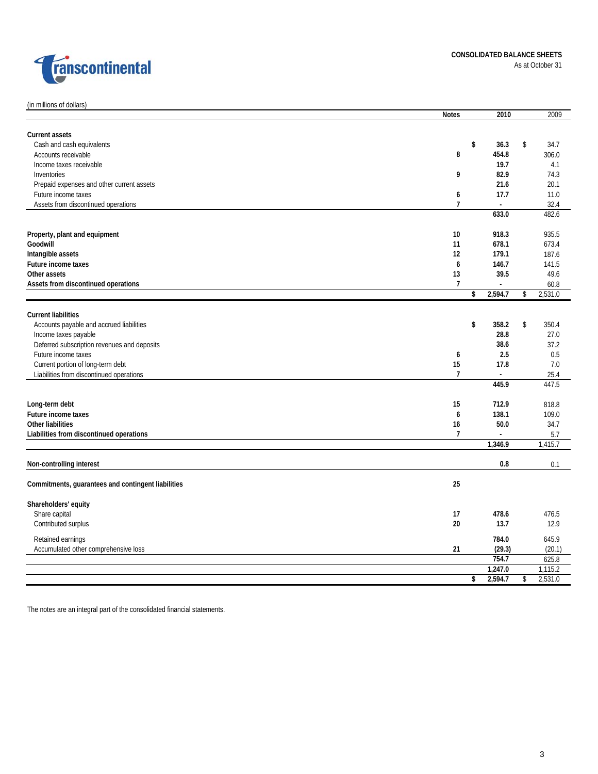

|  |  | (in millions of dollars) |
|--|--|--------------------------|
|  |  |                          |

|                                                    | <b>Notes</b>   | 2010           | 2009          |
|----------------------------------------------------|----------------|----------------|---------------|
| <b>Current assets</b>                              |                |                |               |
| Cash and cash equivalents                          |                | \$<br>36.3     | \$<br>34.7    |
| Accounts receivable                                | 8              | 454.8          | 306.0         |
| Income taxes receivable                            |                | 19.7           | 4.1           |
| Inventories                                        | 9              | 82.9           | 74.3          |
| Prepaid expenses and other current assets          |                | 21.6           | 20.1          |
| Future income taxes                                | 6              | 17.7           | 11.0          |
| Assets from discontinued operations                | $\overline{1}$ | $\sim$         | 32.4          |
|                                                    |                | 633.0          | 482.6         |
| Property, plant and equipment                      | 10             | 918.3          | 935.5         |
| Goodwill                                           | 11             | 678.1          | 673.4         |
| Intangible assets                                  | 12             | 179.1          | 187.6         |
| Future income taxes                                | 6              | 146.7          | 141.5         |
| Other assets                                       | 13             | 39.5           | 49.6          |
| Assets from discontinued operations                | $\overline{1}$ | $\overline{a}$ | 60.8          |
|                                                    |                | \$<br>2,594.7  | \$<br>2,531.0 |
| <b>Current liabilities</b>                         |                |                |               |
| Accounts payable and accrued liabilities           |                | \$<br>358.2    | \$<br>350.4   |
| Income taxes payable                               |                | 28.8           | 27.0          |
| Deferred subscription revenues and deposits        |                | 38.6           | 37.2          |
| Future income taxes                                | 6              | 2.5            | 0.5           |
| Current portion of long-term debt                  | 15             | 17.8           | 7.0           |
| Liabilities from discontinued operations           | $\overline{1}$ | $\overline{a}$ | 25.4          |
|                                                    |                | 445.9          | 447.5         |
| Long-term debt                                     | 15             | 712.9          | 818.8         |
| Future income taxes                                | 6              | 138.1          | 109.0         |
| <b>Other liabilities</b>                           | 16             | 50.0           | 34.7          |
| Liabilities from discontinued operations           | $\overline{1}$ | $\blacksquare$ | 5.7           |
|                                                    |                | 1,346.9        | 1,415.7       |
| Non-controlling interest                           |                | 0.8            | 0.1           |
| Commitments, guarantees and contingent liabilities | 25             |                |               |
| Shareholders' equity                               |                |                |               |
| Share capital                                      | 17             | 478.6          | 476.5         |
| Contributed surplus                                | 20             | 13.7           | 12.9          |
|                                                    |                |                |               |
| Retained earnings                                  |                | 784.0          | 645.9         |
| Accumulated other comprehensive loss               | 21             | (29.3)         | (20.1)        |
|                                                    |                | 754.7          | 625.8         |
|                                                    |                | 1,247.0        | 1,115.2       |
|                                                    |                | \$<br>2,594.7  | \$<br>2,531.0 |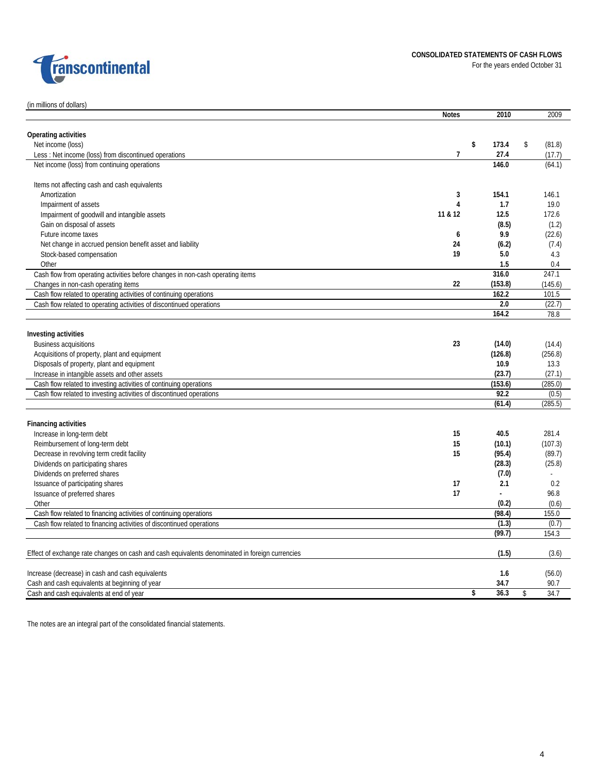

### (in millions of dollars)

|                                                                                                | <b>Notes</b> | 2010  |                                                                                                                                                                                                                                                                                                                                                                                                                                                                                  | 2009   |
|------------------------------------------------------------------------------------------------|--------------|-------|----------------------------------------------------------------------------------------------------------------------------------------------------------------------------------------------------------------------------------------------------------------------------------------------------------------------------------------------------------------------------------------------------------------------------------------------------------------------------------|--------|
| Operating activities                                                                           |              |       |                                                                                                                                                                                                                                                                                                                                                                                                                                                                                  |        |
| Net income (loss)                                                                              |              | \$    |                                                                                                                                                                                                                                                                                                                                                                                                                                                                                  |        |
| Less: Net income (loss) from discontinued operations                                           | 7            |       |                                                                                                                                                                                                                                                                                                                                                                                                                                                                                  |        |
| Net income (loss) from continuing operations                                                   |              | 146.0 |                                                                                                                                                                                                                                                                                                                                                                                                                                                                                  | (64.1) |
|                                                                                                |              |       |                                                                                                                                                                                                                                                                                                                                                                                                                                                                                  |        |
| Items not affecting cash and cash equivalents                                                  |              |       |                                                                                                                                                                                                                                                                                                                                                                                                                                                                                  |        |
| Amortization                                                                                   | 3            | 154.1 |                                                                                                                                                                                                                                                                                                                                                                                                                                                                                  | 146.1  |
| Impairment of assets                                                                           | 4            | 1.7   |                                                                                                                                                                                                                                                                                                                                                                                                                                                                                  | 19.0   |
| Impairment of goodwill and intangible assets                                                   | 11 & 12      | 12.5  |                                                                                                                                                                                                                                                                                                                                                                                                                                                                                  | 172.6  |
| Gain on disposal of assets                                                                     |              | (8.5) |                                                                                                                                                                                                                                                                                                                                                                                                                                                                                  | (1.2)  |
| Future income taxes                                                                            | 6            | 9.9   |                                                                                                                                                                                                                                                                                                                                                                                                                                                                                  | (22.6) |
| Net change in accrued pension benefit asset and liability                                      | 24           | (6.2) |                                                                                                                                                                                                                                                                                                                                                                                                                                                                                  | (7.4)  |
| Stock-based compensation                                                                       | 19           | 5.0   |                                                                                                                                                                                                                                                                                                                                                                                                                                                                                  | 4.3    |
| Other                                                                                          |              | 1.5   |                                                                                                                                                                                                                                                                                                                                                                                                                                                                                  | 0.4    |
| Cash flow from operating activities before changes in non-cash operating items                 |              |       |                                                                                                                                                                                                                                                                                                                                                                                                                                                                                  | 247.1  |
| Changes in non-cash operating items                                                            | 22           |       |                                                                                                                                                                                                                                                                                                                                                                                                                                                                                  |        |
| Cash flow related to operating activities of continuing operations                             |              | 162.2 |                                                                                                                                                                                                                                                                                                                                                                                                                                                                                  | 101.5  |
| Cash flow related to operating activities of discontinued operations                           |              |       |                                                                                                                                                                                                                                                                                                                                                                                                                                                                                  |        |
|                                                                                                |              | 164.2 |                                                                                                                                                                                                                                                                                                                                                                                                                                                                                  | 78.8   |
|                                                                                                |              |       |                                                                                                                                                                                                                                                                                                                                                                                                                                                                                  |        |
| Investing activities                                                                           |              |       |                                                                                                                                                                                                                                                                                                                                                                                                                                                                                  |        |
| <b>Business acquisitions</b>                                                                   | 23           |       |                                                                                                                                                                                                                                                                                                                                                                                                                                                                                  |        |
| Acquisitions of property, plant and equipment                                                  |              |       |                                                                                                                                                                                                                                                                                                                                                                                                                                                                                  |        |
| Disposals of property, plant and equipment                                                     |              |       |                                                                                                                                                                                                                                                                                                                                                                                                                                                                                  |        |
| Increase in intangible assets and other assets                                                 |              |       |                                                                                                                                                                                                                                                                                                                                                                                                                                                                                  |        |
| Cash flow related to investing activities of continuing operations                             |              |       |                                                                                                                                                                                                                                                                                                                                                                                                                                                                                  |        |
| Cash flow related to investing activities of discontinued operations                           |              |       |                                                                                                                                                                                                                                                                                                                                                                                                                                                                                  |        |
|                                                                                                |              |       |                                                                                                                                                                                                                                                                                                                                                                                                                                                                                  |        |
|                                                                                                |              |       |                                                                                                                                                                                                                                                                                                                                                                                                                                                                                  |        |
| <b>Financing activities</b>                                                                    |              |       |                                                                                                                                                                                                                                                                                                                                                                                                                                                                                  |        |
| Increase in long-term debt                                                                     | 15           | 40.5  |                                                                                                                                                                                                                                                                                                                                                                                                                                                                                  | 281.4  |
| Reimbursement of long-term debt                                                                | 15           |       |                                                                                                                                                                                                                                                                                                                                                                                                                                                                                  |        |
| Decrease in revolving term credit facility                                                     | 15           |       |                                                                                                                                                                                                                                                                                                                                                                                                                                                                                  |        |
| Dividends on participating shares                                                              |              |       |                                                                                                                                                                                                                                                                                                                                                                                                                                                                                  |        |
| Dividends on preferred shares                                                                  |              |       |                                                                                                                                                                                                                                                                                                                                                                                                                                                                                  |        |
| Issuance of participating shares                                                               | 17           |       |                                                                                                                                                                                                                                                                                                                                                                                                                                                                                  |        |
| Issuance of preferred shares                                                                   | 17           |       |                                                                                                                                                                                                                                                                                                                                                                                                                                                                                  |        |
| Other                                                                                          |              |       |                                                                                                                                                                                                                                                                                                                                                                                                                                                                                  |        |
| Cash flow related to financing activities of continuing operations                             |              |       |                                                                                                                                                                                                                                                                                                                                                                                                                                                                                  |        |
| Cash flow related to financing activities of discontinued operations                           |              |       | 173.4<br>\$<br>(81.8)<br>27.4<br>(17.7)<br>316.0<br>(153.8)<br>(145.6)<br>2.0<br>(22.7)<br>(14.0)<br>(14.4)<br>(256.8)<br>(126.8)<br>10.9<br>13.3<br>(23.7)<br>(27.1)<br>(153.6)<br>(285.0)<br>92.2<br>(0.5)<br>(61.4)<br>(285.5)<br>(10.1)<br>(107.3)<br>(95.4)<br>(89.7)<br>(28.3)<br>(25.8)<br>(7.0)<br>2.1<br>0.2<br>96.8<br>(0.2)<br>(0.6)<br>(98.4)<br>155.0<br>(1.3)<br>(0.7)<br>(99.7)<br>154.3<br>(1.5)<br>(3.6)<br>1.6<br>(56.0)<br>34.7<br>90.7<br>36.3<br>34.7<br>\$ |        |
|                                                                                                |              |       |                                                                                                                                                                                                                                                                                                                                                                                                                                                                                  |        |
|                                                                                                |              |       |                                                                                                                                                                                                                                                                                                                                                                                                                                                                                  |        |
| Effect of exchange rate changes on cash and cash equivalents denominated in foreign currencies |              |       |                                                                                                                                                                                                                                                                                                                                                                                                                                                                                  |        |
| Increase (decrease) in cash and cash equivalents                                               |              |       |                                                                                                                                                                                                                                                                                                                                                                                                                                                                                  |        |
| Cash and cash equivalents at beginning of year                                                 |              |       |                                                                                                                                                                                                                                                                                                                                                                                                                                                                                  |        |
| Cash and cash equivalents at end of year                                                       |              | \$    |                                                                                                                                                                                                                                                                                                                                                                                                                                                                                  |        |
|                                                                                                |              |       |                                                                                                                                                                                                                                                                                                                                                                                                                                                                                  |        |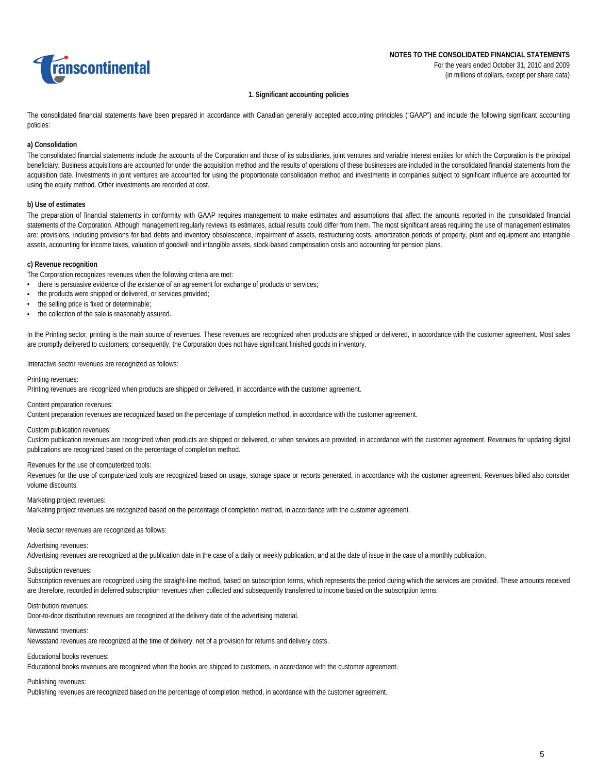

### **1. Significant accounting policies**

The consolidated financial statements have been prepared in accordance with Canadian generally accepted accounting principles ("GAAP") and include the following significant accounting policies:

### **a) Consolidation**

The consolidated financial statements include the accounts of the Corporation and those of its subsidiaries, joint ventures and variable interest entities for which the Corporation is the principal beneficiary. Business acquisitions are accounted for under the acquisition method and the results of operations of these businesses are included in the consolidated financial statements from the acquisition date. Investments in joint ventures are accounted for using the proportionate consolidation method and investments in companies subject to significant influence are accounted for using the equity method. Other investments are recorded at cost.

### **b) Use of estimates**

The preparation of financial statements in conformity with GAAP requires management to make estimates and assumptions that affect the amounts reported in the consolidated financial statements of the Corporation. Although management regularly reviews its estimates, actual results could differ from them. The most significant areas requiring the use of management estimates are: provisions, including provisions for bad debts and inventory obsolescence, impairment of assets, restructuring costs, amortization periods of property, plant and equipment and intangible assets, accounting for income taxes, valuation of goodwill and intangible assets, stock-based compensation costs and accounting for pension plans.

#### **c) Revenue recognition**

The Corporation recognizes revenues when the following criteria are met:

- there is persuasive evidence of the existence of an agreement for exchange of products or services;
- the products were shipped or delivered, or services provided;
- the selling price is fixed or determinable;
- the collection of the sale is reasonably assured.

In the Printing sector, printing is the main source of revenues. These revenues are recognized when products are shipped or delivered, in accordance with the customer agreement. Most sales are promptly delivered to customers; consequently, the Corporation does not have significant finished goods in inventory.

#### Interactive sector revenues are recognized as follows:

Printing revenues:

Printing revenues are recognized when products are shipped or delivered, in accordance with the customer agreement.

Content preparation revenues:

Content preparation revenues are recognized based on the percentage of completion method, in accordance with the customer agreement.

#### Custom publication revenues:

Custom publication revenues are recognized when products are shipped or delivered, or when services are provided, in accordance with the customer agreement. Revenues for updating digital publications are recognized based on the percentage of completion method.

#### Revenues for the use of computerized tools:

Revenues for the use of computerized tools are recognized based on usage, storage space or reports generated, in accordance with the customer agreement. Revenues billed also consider volume discounts.

#### Marketing project revenues:

Marketing project revenues are recognized based on the percentage of completion method, in accordance with the customer agreement.

Media sector revenues are recognized as follows:

#### Advertising revenues:

Advertising revenues are recognized at the publication date in the case of a daily or weekly publication, and at the date of issue in the case of a monthly publication.

## Subscription revenues:

Subscription revenues are recognized using the straight-line method, based on subscription terms, which represents the period during which the services are provided. These amounts received are therefore, recorded in deferred subscription revenues when collected and subsequently transferred to income based on the subscription terms.

#### Distribution revenues:

Door-to-door distribution revenues are recognized at the delivery date of the advertising material.

### Newsstand revenues:

Newsstand revenues are recognized at the time of delivery, net of a provision for returns and delivery costs.

### Educational books revenues:

Educational books revenues are recognized when the books are shipped to customers, in accordance with the customer agreement.

#### Publishing revenues:

Publishing revenues are recognized based on the percentage of completion method, in acordance with the customer agreement.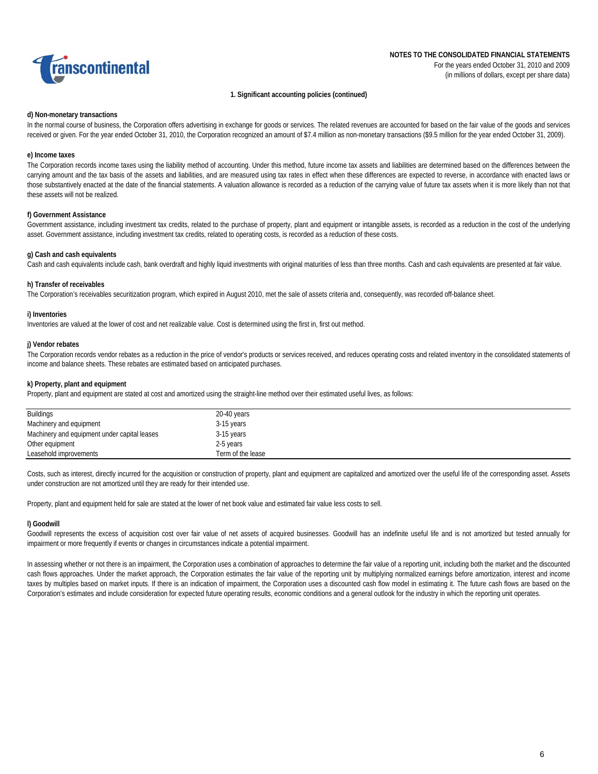

### **1. Significant accounting policies (continued)**

#### **d) Non-monetary transactions**

In the normal course of business, the Corporation offers advertising in exchange for goods or services. The related revenues are accounted for based on the fair value of the goods and services received or given. For the year ended October 31, 2010, the Corporation recognized an amount of \$7.4 million as non-monetary transactions (\$9.5 million for the year ended October 31, 2009).

### **e) Income taxes**

The Corporation records income taxes using the liability method of accounting. Under this method, future income tax assets and liabilities are determined based on the differences between the carrying amount and the tax basis of the assets and liabilities, and are measured using tax rates in effect when these differences are expected to reverse, in accordance with enacted laws or those substantively enacted at the date of the financial statements. A valuation allowance is recorded as a reduction of the carrying value of future tax assets when it is more likely than not that these assets will not be realized.

### **f) Government Assistance**

Government assistance, including investment tax credits, related to the purchase of property, plant and equipment or intangible assets, is recorded as a reduction in the cost of the underlying asset. Government assistance, including investment tax credits, related to operating costs, is recorded as a reduction of these costs.

### **g) Cash and cash equivalents**

Cash and cash equivalents include cash, bank overdraft and highly liquid investments with original maturities of less than three months. Cash and cash equivalents are presented at fair value.

### **h) Transfer of receivables**

The Corporation's receivables securitization program, which expired in August 2010, met the sale of assets criteria and, consequently, was recorded off-balance sheet.

#### **i) Inventories**

Inventories are valued at the lower of cost and net realizable value. Cost is determined using the first in, first out method.

### **j) Vendor rebates**

The Corporation records vendor rebates as a reduction in the price of vendor's products or services received, and reduces operating costs and related inventory in the consolidated statements of income and balance sheets. These rebates are estimated based on anticipated purchases.

### **k) Property, plant and equipment**

Property, plant and equipment are stated at cost and amortized using the straight-line method over their estimated useful lives, as follows:

| <b>Buildings</b>                             | 20-40 years       |
|----------------------------------------------|-------------------|
| Machinery and equipment                      | 3-15 years        |
| Machinery and equipment under capital leases | 3-15 years        |
| Other equipment                              | 2-5 years         |
| Leasehold improvements                       | Term of the lease |

Costs, such as interest, directly incurred for the acquisition or construction of property, plant and equipment are capitalized and amortized over the useful life of the corresponding asset. Assets under construction are not amortized until they are ready for their intended use.

Property, plant and equipment held for sale are stated at the lower of net book value and estimated fair value less costs to sell.

#### **l) Goodwill**

Goodwill represents the excess of acquisition cost over fair value of net assets of acquired businesses. Goodwill has an indefinite useful life and is not amortized but tested annually for impairment or more frequently if events or changes in circumstances indicate a potential impairment.

In assessing whether or not there is an impairment, the Corporation uses a combination of approaches to determine the fair value of a reporting unit, including both the market and the discounted cash flows approaches. Under the market approach, the Corporation estimates the fair value of the reporting unit by multiplying normalized earnings before amortization, interest and income taxes by multiples based on market inputs. If there is an indication of impairment, the Corporation uses a discounted cash flow model in estimating it. The future cash flows are based on the Corporation's estimates and include consideration for expected future operating results, economic conditions and a general outlook for the industry in which the reporting unit operates.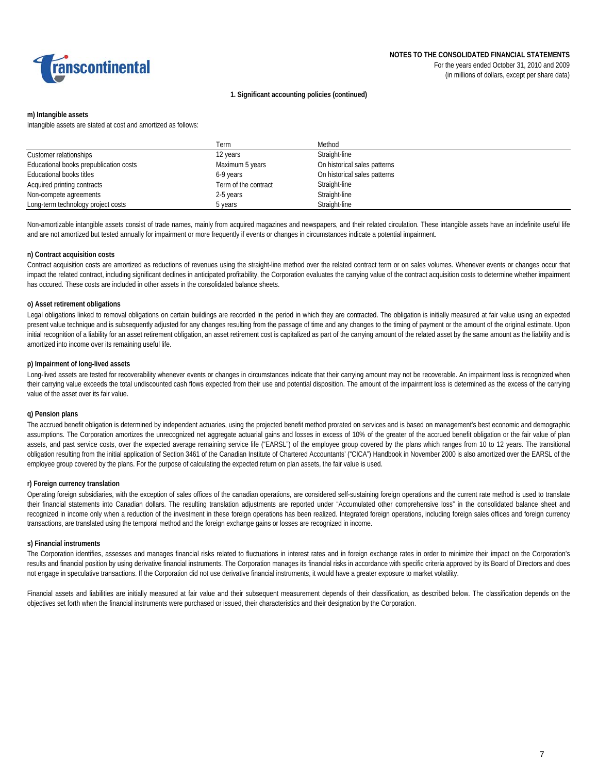

#### **1. Significant accounting policies (continued)**

#### **m) Intangible assets**

Intangible assets are stated at cost and amortized as follows:

|                                        | Term                 | Method                       |
|----------------------------------------|----------------------|------------------------------|
| Customer relationships                 | 12 years             | Straight-line                |
| Educational books prepublication costs | Maximum 5 years      | On historical sales patterns |
| Educational books titles               | 6-9 years            | On historical sales patterns |
| Acquired printing contracts            | Term of the contract | Straight-line                |
| Non-compete agreements                 | 2-5 years            | Straight-line                |
| Long-term technology project costs     | 5 years              | Straight-line                |

Non-amortizable intangible assets consist of trade names, mainly from acquired magazines and newspapers, and their related circulation. These intangible assets have an indefinite useful life and are not amortized but tested annually for impairment or more frequently if events or changes in circumstances indicate a potential impairment.

#### **n) Contract acquisition costs**

Contract acquisition costs are amortized as reductions of revenues using the straight-line method over the related contract term or on sales volumes. Whenever events or changes occur that impact the related contract, including significant declines in anticipated profitability, the Corporation evaluates the carrying value of the contract acquisition costs to determine whether impairment has occured. These costs are included in other assets in the consolidated balance sheets.

#### **o) Asset retirement obligations**

Legal obligations linked to removal obligations on certain buildings are recorded in the period in which they are contracted. The obligation is initially measured at fair value using an expected present value technique and is subsequently adjusted for any changes resulting from the passage of time and any changes to the timing of payment or the amount of the original estimate. Upon initial recognition of a liability for an asset retirement obligation, an asset retirement cost is capitalized as part of the carrying amount of the related asset by the same amount as the liability and is amortized into income over its remaining useful life.

#### **p) Impairment of long-lived assets**

Long-lived assets are tested for recoverability whenever events or changes in circumstances indicate that their carrying amount may not be recoverable. An impairment loss is recognized when their carrying value exceeds the total undiscounted cash flows expected from their use and potential disposition. The amount of the impairment loss is determined as the excess of the carrying value of the asset over its fair value.

#### **q) Pension plans**

The accrued benefit obligation is determined by independent actuaries, using the projected benefit method prorated on services and is based on management's best economic and demographic assumptions. The Corporation amortizes the unrecognized net aggregate actuarial gains and losses in excess of 10% of the greater of the accrued benefit obligation or the fair value of plan assets, and past service costs, over the expected average remaining service life ("EARSL") of the employee group covered by the plans which ranges from 10 to 12 years. The transitional obligation resulting from the initial application of Section 3461 of the Canadian Institute of Chartered Accountants' ("CICA") Handbook in November 2000 is also amortized over the EARSL of the employee group covered by the plans. For the purpose of calculating the expected return on plan assets, the fair value is used.

#### **r) Foreign currency translation**

Operating foreign subsidiaries, with the exception of sales offices of the canadian operations, are considered self-sustaining foreign operations and the current rate method is used to translate their financial statements into Canadian dollars. The resulting translation adjustments are reported under "Accumulated other comprehensive loss" in the consolidated balance sheet and recognized in income only when a reduction of the investment in these foreign operations has been realized. Integrated foreign operations, including foreign sales offices and foreign currency transactions, are translated using the temporal method and the foreign exchange gains or losses are recognized in income.

#### **s) Financial instruments**

The Corporation identifies, assesses and manages financial risks related to fluctuations in interest rates and in foreign exchange rates in order to minimize their impact on the Corporation's results and financial position by using derivative financial instruments. The Corporation manages its financial risks in accordance with specific criteria approved by its Board of Directors and does not engage in speculative transactions. If the Corporation did not use derivative financial instruments, it would have a greater exposure to market volatility.

Financial assets and liabilities are initially measured at fair value and their subsequent measurement depends of their classification, as described below. The classification depends on the objectives set forth when the financial instruments were purchased or issued, their characteristics and their designation by the Corporation.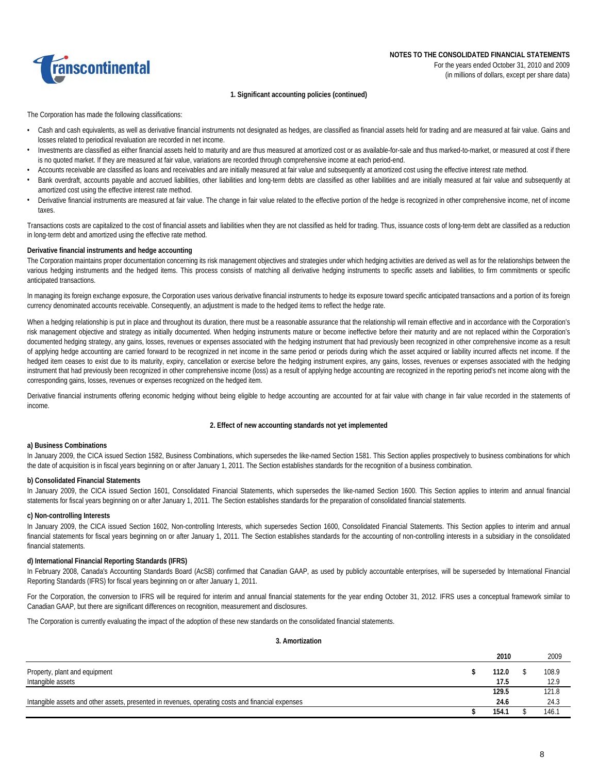

#### **1. Significant accounting policies (continued)**

The Corporation has made the following classifications:

- Cash and cash equivalents, as well as derivative financial instruments not designated as hedges, are classified as financial assets held for trading and are measured at fair value. Gains and losses related to periodical revaluation are recorded in net income.
- Investments are classified as either financial assets held to maturity and are thus measured at amortized cost or as available-for-sale and thus marked-to-market, or measured at cost if there is no quoted market. If they are measured at fair value, variations are recorded through comprehensive income at each period-end.
- Accounts receivable are classified as loans and receivables and are initially measured at fair value and subsequently at amortized cost using the effective interest rate method.
- Bank overdraft, accounts payable and accrued liabilities, other liabilities and long-term debts are classified as other liabilities and are initially measured at fair value and subsequently at amortized cost using the effective interest rate method.
- Derivative financial instruments are measured at fair value. The change in fair value related to the effective portion of the hedge is recognized in other comprehensive income, net of income taxes.

Transactions costs are capitalized to the cost of financial assets and liabilities when they are not classified as held for trading. Thus, issuance costs of long-term debt are classified as a reduction in long-term debt and amortized using the effective rate method.

#### **Derivative financial instruments and hedge accounting**

The Corporation maintains proper documentation concerning its risk management objectives and strategies under which hedging activities are derived as well as for the relationships between the various hedging instruments and the hedged items. This process consists of matching all derivative hedging instruments to specific assets and liabilities, to firm commitments or specific anticipated transactions.

In managing its foreign exchange exposure, the Corporation uses various derivative financial instruments to hedge its exposure toward specific anticipated transactions and a portion of its foreign currency denominated accounts receivable. Consequently, an adjustment is made to the hedged items to reflect the hedge rate.

When a hedging relationship is put in place and throughout its duration, there must be a reasonable assurance that the relationship will remain effective and in accordance with the Corporation's risk management objective and strategy as initially documented. When hedging instruments mature or become ineffective before their maturity and are not replaced within the Corporation's documented hedging strategy, any gains, losses, revenues or expenses associated with the hedging instrument that had previously been recognized in other comprehensive income as a result of applying hedge accounting are carried forward to be recognized in net income in the same period or periods during which the asset acquired or liability incurred affects net income. If the hedged item ceases to exist due to its maturity, expiry, cancellation or exercise before the hedging instrument expires, any gains, losses, revenues or expenses associated with the hedging instrument that had previously been recognized in other comprehensive income (loss) as a result of applying hedge accounting are recognized in the reporting period's net income along with the corresponding gains, losses, revenues or expenses recognized on the hedged item.

Derivative financial instruments offering economic hedging without being eligible to hedge accounting are accounted for at fair value with change in fair value recorded in the statements of income.

#### **2. Effect of new accounting standards not yet implemented**

### **a) Business Combinations**

In January 2009, the CICA issued Section 1582, Business Combinations, which supersedes the like-named Section 1581. This Section applies prospectively to business combinations for which the date of acquisition is in fiscal years beginning on or after January 1, 2011. The Section establishes standards for the recognition of a business combination.

#### **b) Consolidated Financial Statements**

In January 2009, the CICA issued Section 1601, Consolidated Financial Statements, which supersedes the like-named Section 1600. This Section applies to interim and annual financial statements for fiscal years beginning on or after January 1, 2011. The Section establishes standards for the preparation of consolidated financial statements.

#### **c) Non-controlling Interests**

In January 2009, the CICA issued Section 1602, Non-controlling Interests, which supersedes Section 1600, Consolidated Financial Statements. This Section applies to interim and annual financial statements for fiscal years beginning on or after January 1, 2011. The Section establishes standards for the accounting of non-controlling interests in a subsidiary in the consolidated financial statements.

#### **d) International Financial Reporting Standards (IFRS)**

In February 2008, Canada's Accounting Standards Board (AcSB) confirmed that Canadian GAAP, as used by publicly accountable enterprises, will be superseded by International Financial Reporting Standards (IFRS) for fiscal years beginning on or after January 1, 2011.

For the Corporation, the conversion to IFRS will be required for interim and annual financial statements for the year ending October 31, 2012. IFRS uses a conceptual framework similar to Canadian GAAP, but there are significant differences on recognition, measurement and disclosures.

The Corporation is currently evaluating the impact of the adoption of these new standards on the consolidated financial statements.

#### **3. Amortization**

|                                                                                                   | 2010  | 2009  |
|---------------------------------------------------------------------------------------------------|-------|-------|
| Property, plant and equipment                                                                     | 112.0 | 108.9 |
| Intangible assets                                                                                 | 17.5  | 12.9  |
|                                                                                                   | 129.5 | 121.8 |
| Intangible assets and other assets, presented in revenues, operating costs and financial expenses | 24.6  | 24.3  |
|                                                                                                   | 154.7 | 146.1 |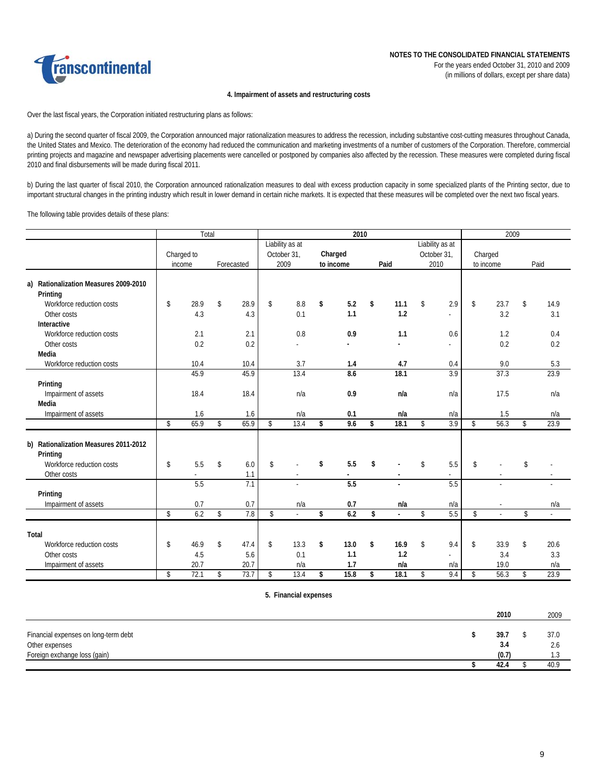

#### **4. Impairment of assets and restructuring costs**

Over the last fiscal years, the Corporation initiated restructuring plans as follows:

a) During the second quarter of fiscal 2009, the Corporation announced major rationalization measures to address the recession, including substantive cost-cutting measures throughout Canada, the United States and Mexico. The deterioration of the economy had reduced the communication and marketing investments of a number of customers of the Corporation. Therefore, commercial printing projects and magazine and newspaper advertising placements were cancelled or postponed by companies also affected by the recession. These measures were completed during fiscal 2010 and final disbursements will be made during fiscal 2011.

b) During the last quarter of fiscal 2010, the Corporation announced rationalization measures to deal with excess production capacity in some specialized plants of the Printing sector, due to important structural changes in the printing industry which result in lower demand in certain niche markets. It is expected that these measures will be completed over the next two fiscal years.

The following table provides details of these plans:

|                                       | Total      |            | 2010 |                 |    |           |    |                | 2009            |    |           |    |          |
|---------------------------------------|------------|------------|------|-----------------|----|-----------|----|----------------|-----------------|----|-----------|----|----------|
|                                       |            |            |      | Liability as at |    |           |    |                | Liability as at |    |           |    |          |
|                                       | Charged to |            |      | October 31,     |    | Charged   |    |                | October 31,     |    | Charged   |    |          |
|                                       | income     | Forecasted |      | 2009            |    | to income |    | Paid           | 2010            |    | to income |    | Paid     |
| a) Rationalization Measures 2009-2010 |            |            |      |                 |    |           |    |                |                 |    |           |    |          |
| Printing                              |            |            |      |                 |    |           |    |                |                 |    |           |    |          |
| Workforce reduction costs             | \$<br>28.9 | \$<br>28.9 | \$   | 8.8             | \$ | 5.2       | \$ | 11.1           | \$<br>2.9       | \$ | 23.7      | \$ | 14.9     |
| Other costs                           | 4.3        | 4.3        |      | 0.1             |    | 1.1       |    | 1.2            | $\sim$          |    | 3.2       |    | 3.1      |
| Interactive                           |            |            |      |                 |    |           |    |                |                 |    |           |    |          |
| Workforce reduction costs             | 2.1        | 2.1        |      | 0.8             |    | 0.9       |    | 1.1            | 0.6             |    | 1.2       |    | 0.4      |
| Other costs                           | 0.2        | 0.2        |      |                 |    |           |    |                | ÷.              |    | 0.2       |    | 0.2      |
| Media                                 |            |            |      |                 |    |           |    |                |                 |    |           |    |          |
| Workforce reduction costs             | 10.4       | 10.4       |      | 3.7             |    | 1.4       |    | 4.7            | 0.4             |    | 9.0       |    | 5.3      |
|                                       | 45.9       | 45.9       |      | 13.4            |    | 8.6       |    | 18.1           | 3.9             |    | 37.3      |    | 23.9     |
| Printing                              |            |            |      |                 |    |           |    |                |                 |    |           |    |          |
| Impairment of assets                  | 18.4       | 18.4       |      | n/a             |    | 0.9       |    | n/a            | n/a             |    | 17.5      |    | n/a      |
| Media                                 |            |            |      |                 |    |           |    |                |                 |    |           |    |          |
| Impairment of assets                  | 1.6        | 1.6        |      | n/a             |    | 0.1       |    | n/a            | n/a             |    | 1.5       |    | n/a      |
|                                       | \$<br>65.9 | \$<br>65.9 | \$   | 13.4            | \$ | 9.6       | \$ | 18.1           | \$<br>3.9       | \$ | 56.3      | \$ | 23.9     |
|                                       |            |            |      |                 |    |           |    |                |                 |    |           |    |          |
| b) Rationalization Measures 2011-2012 |            |            |      |                 |    |           |    |                |                 |    |           |    |          |
| Printing                              |            |            |      |                 |    |           |    |                |                 |    |           |    |          |
| Workforce reduction costs             | \$<br>5.5  | \$<br>6.0  | \$   |                 | \$ | 5.5       | \$ |                | \$<br>5.5       | \$ |           | \$ |          |
| Other costs                           |            | 1.1        |      |                 |    |           |    | $\blacksquare$ | $\overline{a}$  |    |           |    |          |
|                                       | 5.5        | 7.1        |      |                 |    | 5.5       |    |                | 5.5             |    |           |    |          |
| Printing                              |            |            |      |                 |    |           |    |                |                 |    |           |    |          |
| Impairment of assets                  | 0.7        | 0.7        |      | n/a             |    | 0.7       |    | n/a            | n/a             |    |           |    | n/a      |
|                                       | \$<br>6.2  | \$<br>7.8  | \$   | $\mathbf{r}$    | \$ | 6.2       | \$ | $\mathbf{r}$   | \$<br>5.5       | \$ | ÷.        | \$ | $\omega$ |
|                                       |            |            |      |                 |    |           |    |                |                 |    |           |    |          |
| Total                                 |            |            |      |                 |    |           |    |                |                 |    |           |    |          |
| Workforce reduction costs             | \$<br>46.9 | \$<br>47.4 | \$   | 13.3            | \$ | 13.0      | \$ | 16.9           | \$<br>9.4       | \$ | 33.9      | \$ | 20.6     |
| Other costs                           | 4.5        | 5.6        |      | 0.1             |    | 1.1       |    | 1.2            |                 |    | 3.4       |    | 3.3      |
| Impairment of assets                  | 20.7       | 20.7       |      | n/a             |    | 1.7       |    | n/a            | n/a             |    | 19.0      |    | n/a      |
|                                       | \$<br>72.1 | \$<br>73.7 | \$   | 13.4            | \$ | 15.8      | \$ | 18.1           | \$<br>9.4       | \$ | 56.3      | \$ | 23.9     |
|                                       |            |            |      |                 |    |           |    |                |                 |    |           |    |          |

**5. Financial expenses**

|                                      | 2010  | 2009 |
|--------------------------------------|-------|------|
|                                      |       |      |
| Financial expenses on long-term debt | 39.7  | 37.0 |
| Other expenses                       | 3.4   | 2.6  |
| Foreign exchange loss (gain)         | (0.7) | ن. ا |
|                                      | 42.4  | 40.9 |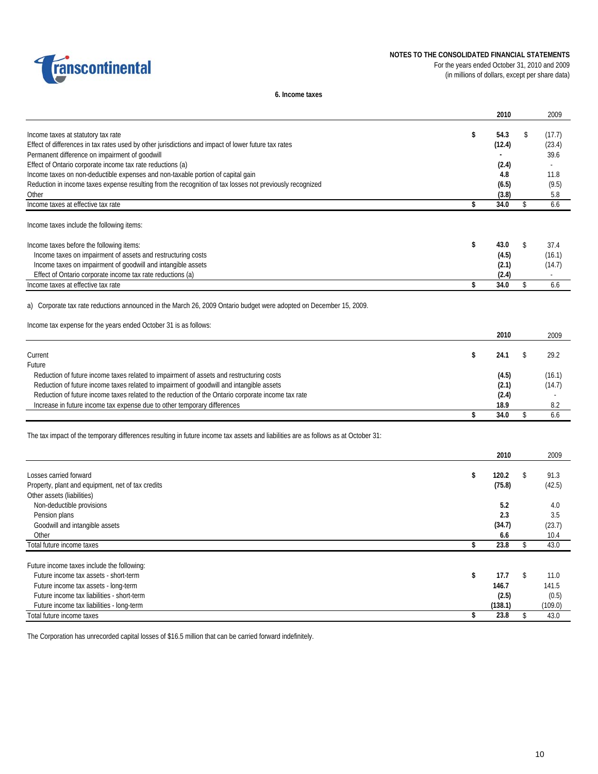



For the years ended October 31, 2010 and 2009 (in millions of dollars, except per share data)

**6. Income taxes**

|                                                                                                                                    | 2010        | 2009                     |
|------------------------------------------------------------------------------------------------------------------------------------|-------------|--------------------------|
| Income taxes at statutory tax rate                                                                                                 | \$<br>54.3  | \$<br>(17.7)             |
| Effect of differences in tax rates used by other jurisdictions and impact of lower future tax rates                                | (12.4)      | (23.4)                   |
| Permanent difference on impairment of goodwill                                                                                     |             | 39.6                     |
| Effect of Ontario corporate income tax rate reductions (a)                                                                         | (2.4)       | ÷.                       |
| Income taxes on non-deductible expenses and non-taxable portion of capital gain                                                    | 4.8         | 11.8                     |
| Reduction in income taxes expense resulting from the recognition of tax losses not previously recognized                           | (6.5)       | (9.5)                    |
| Other                                                                                                                              | (3.8)       | 5.8                      |
| Income taxes at effective tax rate                                                                                                 | \$<br>34.0  | \$<br>6.6                |
| Income taxes include the following items:                                                                                          |             |                          |
| Income taxes before the following items:                                                                                           | \$<br>43.0  | \$<br>37.4               |
| Income taxes on impairment of assets and restructuring costs                                                                       | (4.5)       | (16.1)                   |
| Income taxes on impairment of goodwill and intangible assets                                                                       | (2.1)       | (14.7)                   |
| Effect of Ontario corporate income tax rate reductions (a)                                                                         | (2.4)       | $\overline{\phantom{a}}$ |
| Income taxes at effective tax rate                                                                                                 | \$<br>34.0  | \$<br>6.6                |
| a) Corporate tax rate reductions announced in the March 26, 2009 Ontario budget were adopted on December 15, 2009.                 |             |                          |
| Income tax expense for the years ended October 31 is as follows:                                                                   |             |                          |
|                                                                                                                                    | 2010        | 2009                     |
| Current                                                                                                                            | \$<br>24.1  | \$<br>29.2               |
| Future                                                                                                                             |             |                          |
| Reduction of future income taxes related to impairment of assets and restructuring costs                                           | (4.5)       | (16.1)                   |
| Reduction of future income taxes related to impairment of goodwill and intangible assets                                           | (2.1)       | (14.7)                   |
| Reduction of future income taxes related to the reduction of the Ontario corporate income tax rate                                 | (2.4)       |                          |
| Increase in future income tax expense due to other temporary differences                                                           | 18.9        | 8.2                      |
|                                                                                                                                    | \$<br>34.0  | \$<br>6.6                |
| The tax impact of the temporary differences resulting in future income tax assets and liabilities are as follows as at October 31: |             |                          |
|                                                                                                                                    | 2010        | 2009                     |
| Losses carried forward                                                                                                             | \$<br>120.2 | \$<br>91.3               |
| Property, plant and equipment, net of tax credits                                                                                  | (75.8)      | (42.5)                   |
| Other assets (liabilities)                                                                                                         |             |                          |
| Non-deductible provisions                                                                                                          | 5.2         | 4.0                      |
| Pension plans                                                                                                                      | 2.3         | 3.5                      |
| Goodwill and intangible assets                                                                                                     | (34.7)      | (23.7)                   |
| Other                                                                                                                              | 6.6         | 10.4                     |
| Total future income taxes                                                                                                          | \$<br>23.8  | \$<br>43.0               |
| Future income taxes include the following:                                                                                         |             |                          |
| Future income tax assets - short-term                                                                                              | \$<br>17.7  | \$<br>11.0               |
| Future income tax assets - long-term                                                                                               | 146.7       | 141.5                    |
| Future income tax liabilities - short-term                                                                                         | (2.5)       | (0.5)                    |
| Future income tax liabilities - long-term                                                                                          | (138.1)     | (109.0)                  |
| Total future income taxes                                                                                                          | \$<br>23.8  | \$<br>43.0               |

The Corporation has unrecorded capital losses of \$16.5 million that can be carried forward indefinitely.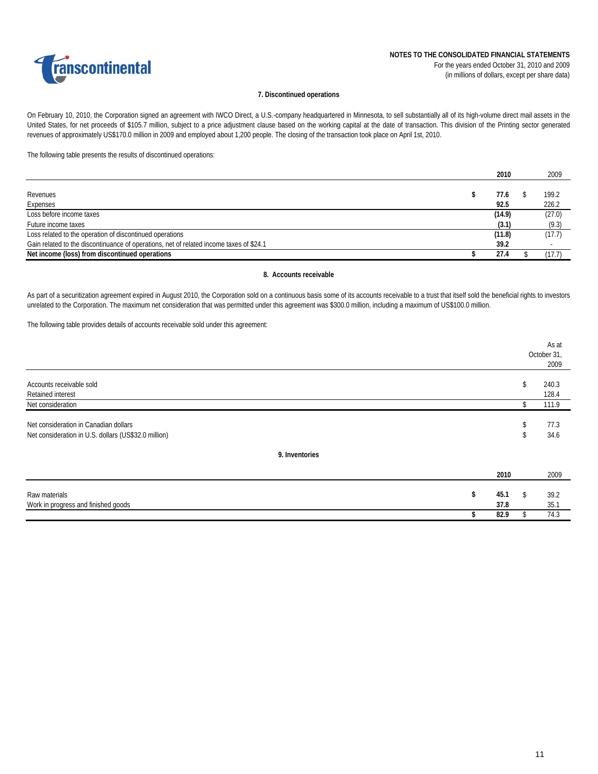

#### **7. Discontinued operations**

On February 10, 2010, the Corporation signed an agreement with IWCO Direct, a U.S.-company headquartered in Minnesota, to sell substantially all of its high-volume direct mail assets in the United States, for net proceeds of \$105.7 million, subject to a price adjustment clause based on the working capital at the date of transaction. This division of the Printing sector generated revenues of approximately US\$170.0 million in 2009 and employed about 1,200 people. The closing of the transaction took place on April 1st, 2010.

The following table presents the results of discontinued operations:

|                                                                                         | 2010   | 2009   |
|-----------------------------------------------------------------------------------------|--------|--------|
|                                                                                         |        |        |
| Revenues                                                                                | 77.6   | 199.2  |
| Expenses                                                                                | 92.5   | 226.2  |
| Loss before income taxes                                                                | (14.9) | (27.0) |
| Future income taxes                                                                     | (3.1)  | (9.3)  |
| Loss related to the operation of discontinued operations                                | (11.8) | (17.7) |
| Gain related to the discontinuance of operations, net of related income taxes of \$24.1 | 39.2   |        |
| Net income (loss) from discontinued operations                                          | 27.4   | (17.7) |

### **8. Accounts receivable**

As part of a securitization agreement expired in August 2010, the Corporation sold on a continuous basis some of its accounts receivable to a trust that itself sold the beneficial rights to investors unrelated to the Corporation. The maximum net consideration that was permitted under this agreement was \$300.0 million, including a maximum of US\$100.0 million.

The following table provides details of accounts receivable sold under this agreement:

|                                                                                               |                    |          | As at<br>October 31,<br>2009 |
|-----------------------------------------------------------------------------------------------|--------------------|----------|------------------------------|
| Accounts receivable sold<br><b>Retained interest</b>                                          |                    | \$       | 240.3<br>128.4               |
| Net consideration                                                                             |                    | \$       | 111.9                        |
| Net consideration in Canadian dollars<br>Net consideration in U.S. dollars (US\$32.0 million) |                    | \$<br>\$ | 77.3<br>34.6                 |
| 9. Inventories                                                                                |                    |          |                              |
|                                                                                               | 2010               |          | 2009                         |
| Raw materials<br>Work in progress and finished goods                                          | 45.1<br>\$<br>37.8 | \$       | 39.2<br>35.1                 |
|                                                                                               | 82.9               | P.       | 74.3                         |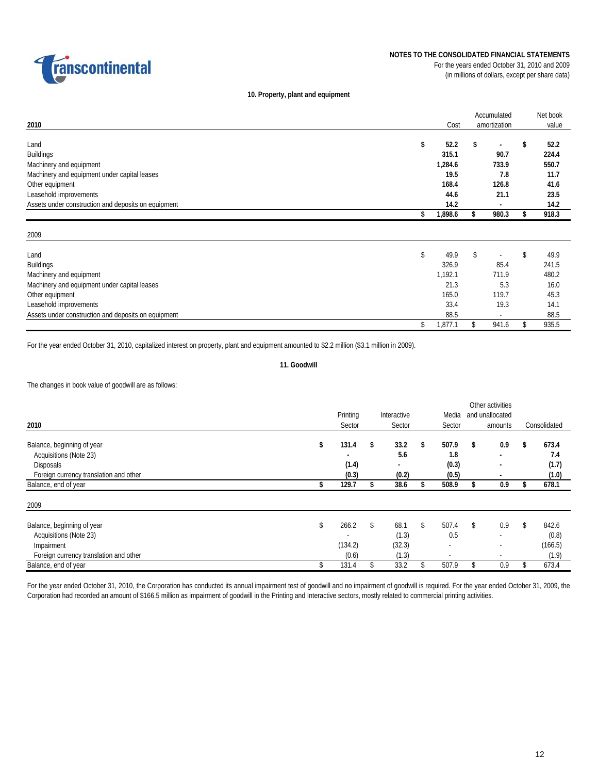

### **NOTES TO THE CONSOLIDATED FINANCIAL STATEMENTS** For the years ended October 31, 2010 and 2009

(in millions of dollars, except per share data)

### **10. Property, plant and equipment**

|                                                     |    |         | Accumulated              | Net book |       |  |
|-----------------------------------------------------|----|---------|--------------------------|----------|-------|--|
| 2010                                                |    | Cost    | amortization             |          | value |  |
|                                                     |    |         |                          |          |       |  |
| Land                                                | \$ | 52.2    | \$                       | \$       | 52.2  |  |
| <b>Buildings</b>                                    |    | 315.1   | 90.7                     |          | 224.4 |  |
| Machinery and equipment                             |    | 1,284.6 | 733.9                    |          | 550.7 |  |
| Machinery and equipment under capital leases        |    | 19.5    | 7.8                      |          | 11.7  |  |
| Other equipment                                     |    | 168.4   | 126.8                    |          | 41.6  |  |
| Leasehold improvements                              |    | 44.6    | 21.1                     |          | 23.5  |  |
| Assets under construction and deposits on equipment |    | 14.2    | $\overline{\phantom{a}}$ |          | 14.2  |  |
|                                                     | \$ | 1,898.6 | \$<br>980.3              | S        | 918.3 |  |
|                                                     |    |         |                          |          |       |  |
| 2009                                                |    |         |                          |          |       |  |
|                                                     |    |         |                          |          |       |  |
| Land                                                | \$ | 49.9    | \$                       | \$       | 49.9  |  |
| <b>Buildings</b>                                    |    | 326.9   | 85.4                     |          | 241.5 |  |
| Machinery and equipment                             |    | 1,192.1 | 711.9                    |          | 480.2 |  |
| Machinery and equipment under capital leases        |    | 21.3    | 5.3                      |          | 16.0  |  |
| Other equipment                                     |    | 165.0   | 119.7                    |          | 45.3  |  |
| Leasehold improvements                              |    | 33.4    | 19.3                     |          | 14.1  |  |
| Assets under construction and deposits on equipment |    | 88.5    | $\overline{\phantom{a}}$ |          | 88.5  |  |
|                                                     | \$ | 1,877.1 | \$<br>941.6              | \$       | 935.5 |  |

For the year ended October 31, 2010, capitalized interest on property, plant and equipment amounted to \$2.2 million (\$3.1 million in 2009).

### **11. Goodwill**

The changes in book value of goodwill are as follows:

|                                        |    | Printing |    | Interactive    |    | Media  | and unallocated          |              |
|----------------------------------------|----|----------|----|----------------|----|--------|--------------------------|--------------|
| 2010                                   |    | Sector   |    | Sector         |    | Sector | amounts                  | Consolidated |
|                                        |    |          |    |                |    |        |                          |              |
| Balance, beginning of year             | \$ | 131.4    | \$ | 33.2           | \$ | 507.9  | \$<br>0.9                | \$<br>673.4  |
| Acquisitions (Note 23)                 |    |          |    | 5.6            |    | 1.8    | $\overline{\phantom{a}}$ | 7.4          |
| Disposals                              |    | (1.4)    |    | $\blacksquare$ |    | (0.3)  |                          | (1.7)        |
| Foreign currency translation and other |    | (0.3)    |    | (0.2)          |    | (0.5)  | $\overline{\phantom{a}}$ | (1.0)        |
| Balance, end of year                   | \$ | 129.7    |    | 38.6           |    | 508.9  | 0.9                      | 678.1        |
| 2009                                   |    |          |    |                |    |        |                          |              |
| Balance, beginning of year             | \$ | 266.2    | \$ | 68.1           | \$ | 507.4  | \$<br>0.9                | \$<br>842.6  |
| Acquisitions (Note 23)                 |    |          |    | (1.3)          |    | 0.5    | $\overline{\phantom{a}}$ | (0.8)        |
| Impairment                             |    | (134.2)  |    | (32.3)         |    |        |                          | (166.5)      |
| Foreign currency translation and other |    | (0.6)    |    | (1.3)          |    |        | $\overline{\phantom{a}}$ | (1.9)        |
| Balance, end of year                   | \$ | 131.4    |    | 33.2           |    | 507.9  | 0.9                      | 673.4        |

For the year ended October 31, 2010, the Corporation has conducted its annual impairment test of goodwill and no impairment of goodwill is required. For the year ended October 31, 2009, the Corporation had recorded an amount of \$166.5 million as impairment of goodwill in the Printing and Interactive sectors, mostly related to commercial printing activities.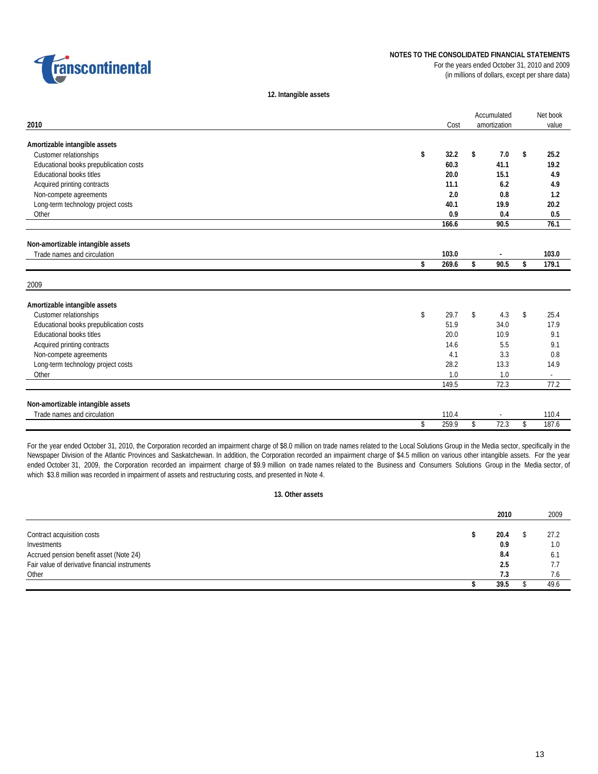

### **NOTES TO THE CONSOLIDATED FINANCIAL STATEMENTS**

For the years ended October 31, 2010 and 2009 (in millions of dollars, except per share data)

**12. Intangible assets**

| 2010                                   |    | Cost  | Accumulated<br>amortization | Net book<br>value        |
|----------------------------------------|----|-------|-----------------------------|--------------------------|
|                                        |    |       |                             |                          |
| Amortizable intangible assets          |    |       |                             |                          |
| Customer relationships                 | \$ | 32.2  | \$<br>7.0                   | \$<br>25.2               |
| Educational books prepublication costs |    | 60.3  | 41.1                        | 19.2                     |
| <b>Educational books titles</b>        |    | 20.0  | 15.1                        | 4.9                      |
| Acquired printing contracts            |    | 11.1  | 6.2                         | 4.9                      |
| Non-compete agreements                 |    | 2.0   | 0.8                         | 1.2                      |
| Long-term technology project costs     |    | 40.1  | 19.9                        | 20.2                     |
| Other                                  |    | 0.9   | 0.4                         | 0.5                      |
|                                        |    | 166.6 | 90.5                        | 76.1                     |
| Non-amortizable intangible assets      |    |       |                             |                          |
| Trade names and circulation            |    | 103.0 |                             | 103.0                    |
|                                        | \$ | 269.6 | \$<br>90.5                  | \$<br>179.1              |
|                                        |    |       |                             |                          |
| 2009                                   |    |       |                             |                          |
| Amortizable intangible assets          |    |       |                             |                          |
| Customer relationships                 | \$ | 29.7  | \$<br>4.3                   | \$<br>25.4               |
| Educational books prepublication costs |    | 51.9  | 34.0                        | 17.9                     |
| <b>Educational books titles</b>        |    | 20.0  | 10.9                        | 9.1                      |
| Acquired printing contracts            |    | 14.6  | 5.5                         | 9.1                      |
| Non-compete agreements                 |    | 4.1   | 3.3                         | 0.8                      |
| Long-term technology project costs     |    | 28.2  | 13.3                        | 14.9                     |
| Other                                  |    | 1.0   | 1.0                         | $\overline{\phantom{a}}$ |
|                                        |    | 149.5 | 72.3                        | 77.2                     |
| Non-amortizable intangible assets      |    |       |                             |                          |
| Trade names and circulation            |    | 110.4 |                             | 110.4                    |
|                                        | \$ | 259.9 | \$<br>72.3                  | \$<br>187.6              |

For the year ended October 31, 2010, the Corporation recorded an impairment charge of \$8.0 million on trade names related to the Local Solutions Group in the Media sector, specifically in the Newspaper Division of the Atlantic Provinces and Saskatchewan. In addition, the Corporation recorded an impairment charge of \$4.5 million on various other intangible assets. For the year ended October 31, 2009, the Corporation recorded an impairment charge of \$9.9 million on trade names related to the Business and Consumers Solutions Group in the Media sector, of which \$3.8 million was recorded in impairment of assets and restructuring costs, and presented in Note 4.

### **13. Other assets**

|                                                | 2010 | 2009 |
|------------------------------------------------|------|------|
| Contract acquisition costs                     | 20.4 | 27.2 |
| Investments                                    | 0.9  | 1.0  |
| Accrued pension benefit asset (Note 24)        | 8.4  | 6.   |
| Fair value of derivative financial instruments | 2.5  |      |
| Other                                          | 7.3  | 1.6  |
|                                                | 39.5 | 49.6 |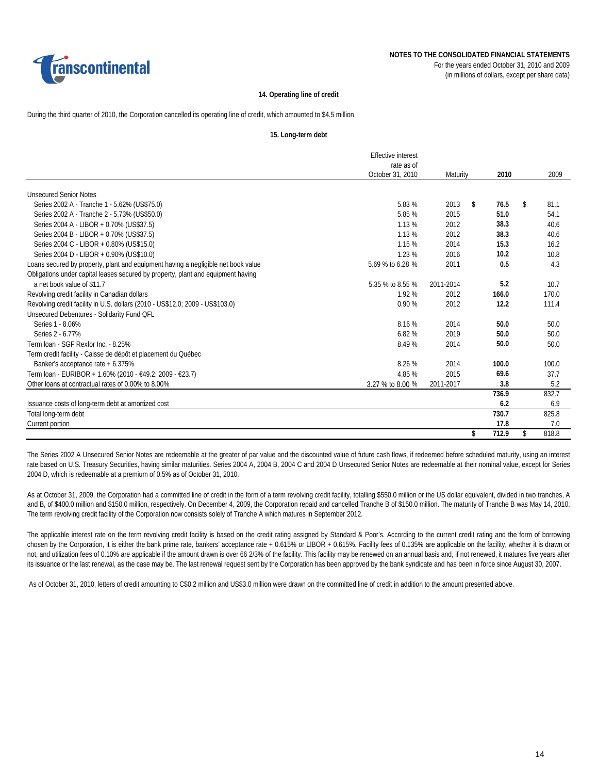

### **14. Operating line of credit**

During the third quarter of 2010, the Corporation cancelled its operating line of credit, which amounted to \$4.5 million.

#### **15. Long-term debt**

|                                                                                   | <b>Effective interest</b> |           |             |             |
|-----------------------------------------------------------------------------------|---------------------------|-----------|-------------|-------------|
|                                                                                   | rate as of                |           |             |             |
|                                                                                   | October 31, 2010          | Maturity  | 2010        | 2009        |
| <b>Unsecured Senior Notes</b>                                                     |                           |           |             |             |
| Series 2002 A - Tranche 1 - 5.62% (US\$75.0)                                      | 5.83 %                    | 2013      | \$<br>76.5  | \$<br>81.1  |
| Series 2002 A - Tranche 2 - 5.73% (US\$50.0)                                      | 5.85 %                    | 2015      | 51.0        | 54.1        |
| Series 2004 A - LIBOR + 0.70% (US\$37.5)                                          | 1.13 %                    | 2012      | 38.3        | 40.6        |
| Series 2004 B - LIBOR + 0.70% (US\$37.5)                                          | 1.13 %                    | 2012      | 38.3        | 40.6        |
| Series 2004 C - LIBOR + 0.80% (US\$15.0)                                          | 1.15 %                    | 2014      | 15.3        | 16.2        |
| Series 2004 D - LIBOR + 0.90% (US\$10.0)                                          | 1.23 %                    | 2016      | 10.2        | 10.8        |
| Loans secured by property, plant and equipment having a negligible net book value | 5.69 % to 6.28 %          | 2011      | 0.5         | 4.3         |
| Obligations under capital leases secured by property, plant and equipment having  |                           |           |             |             |
| a net book value of \$11.7                                                        | 5.35 % to 8.55 %          | 2011-2014 | 5.2         | 10.7        |
| Revolving credit facility in Canadian dollars                                     | 1.92 %                    | 2012      | 166.0       | 170.0       |
| Revolving credit facility in U.S. dollars (2010 - US\$12.0; 2009 - US\$103.0)     | 0.90%                     | 2012      | 12.2        | 111.4       |
| Unsecured Debentures - Solidarity Fund QFL                                        |                           |           |             |             |
| Series 1 - 8.06%                                                                  | 8.16 %                    | 2014      | 50.0        | 50.0        |
| Series 2 - 6.77%                                                                  | 6.82%                     | 2019      | 50.0        | 50.0        |
| Term Joan - SGF Rexfor Inc. - 8.25%                                               | 8.49 %                    | 2014      | 50.0        | 50.0        |
| Term credit facility - Caisse de dépôt et placement du Québec                     |                           |           |             |             |
| Banker's acceptance rate + 6.375%                                                 | 8.26 %                    | 2014      | 100.0       | 100.0       |
| Term loan - EURIBOR + 1.60% (2010 - €49.2; 2009 - €23.7)                          | 4.85 %                    | 2015      | 69.6        | 37.7        |
| Other loans at contractual rates of 0.00% to 8.00%                                | 3.27 % to 8.00 %          | 2011-2017 | 3.8         | 5.2         |
|                                                                                   |                           |           | 736.9       | 832.7       |
| Issuance costs of long-term debt at amortized cost                                |                           |           | 6.2         | 6.9         |
| Total long-term debt                                                              |                           |           | 730.7       | 825.8       |
| Current portion                                                                   |                           |           | 17.8        | 7.0         |
|                                                                                   |                           |           | \$<br>712.9 | \$<br>818.8 |

The Series 2002 A Unsecured Senior Notes are redeemable at the greater of par value and the discounted value of future cash flows, if redeemed before scheduled maturity, using an interest rate based on U.S. Treasury Securities, having similar maturities. Series 2004 A, 2004 B, 2004 C and 2004 D Unsecured Senior Notes are redeemable at their nominal value, except for Series 2004 D, which is redeemable at a premium of 0.5% as of October 31, 2010.

As at October 31, 2009, the Corporation had a committed line of credit in the form of a term revolving credit facility, totalling \$550.0 million or the US dollar equivalent, divided in two tranches, A and B, of \$400.0 million and \$150.0 million, respectively. On December 4, 2009, the Corporation repaid and cancelled Tranche B of \$150.0 million. The maturity of Tranche B was May 14, 2010. The term revolving credit facility of the Corporation now consists solely of Tranche A which matures in September 2012.

The applicable interest rate on the term revolving credit facility is based on the credit rating assigned by Standard & Poor's. According to the current credit rating and the form of borrowing chosen by the Corporation, it is either the bank prime rate, bankers' acceptance rate + 0.615% or LIBOR + 0.615%. Facility fees of 0.135% are applicable on the facility, whether it is drawn or not, and utilization fees of 0.10% are applicable if the amount drawn is over 66 2/3% of the facility. This facility may be renewed on an annual basis and, if not renewed, it matures five years after its issuance or the last renewal, as the case may be. The last renewal request sent by the Corporation has been approved by the bank syndicate and has been in force since August 30, 2007.

As of October 31, 2010, letters of credit amounting to C\$0.2 million and US\$3.0 million were drawn on the committed line of credit in addition to the amount presented above.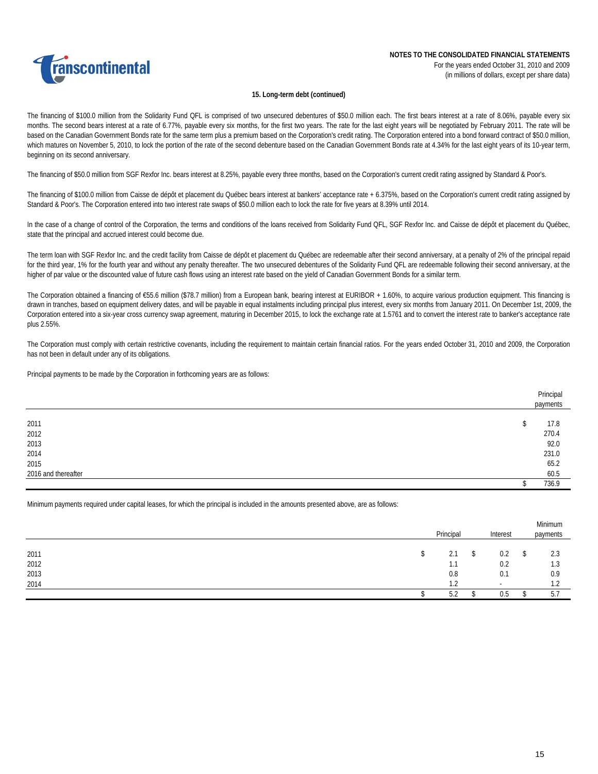

### **15. Long-term debt (continued)**

The financing of \$100.0 million from the Solidarity Fund QFL is comprised of two unsecured debentures of \$50.0 million each. The first bears interest at a rate of 8.06%, payable every six months. The second bears interest at a rate of 6.77%, payable every six months, for the first two years. The rate for the last eight years will be negotiated by February 2011. The rate will be based on the Canadian Government Bonds rate for the same term plus a premium based on the Corporation's credit rating. The Corporation entered into a bond forward contract of \$50.0 million, which matures on November 5, 2010, to lock the portion of the rate of the second debenture based on the Canadian Government Bonds rate at 4.34% for the last eight years of its 10-year term, beginning on its second anniversary.

The financing of \$50.0 million from SGF Rexfor Inc. bears interest at 8.25%, payable every three months, based on the Corporation's current credit rating assigned by Standard & Poor's.

The financing of \$100.0 million from Caisse de dépôt et placement du Québec bears interest at bankers' acceptance rate + 6.375%, based on the Corporation's current credit rating assigned by Standard & Poor's. The Corporation entered into two interest rate swaps of \$50.0 million each to lock the rate for five years at 8.39% until 2014.

In the case of a change of control of the Corporation, the terms and conditions of the loans received from Solidarity Fund QFL, SGF Rexfor Inc. and Caisse de dépôt et placement du Québec, state that the principal and accrued interest could become due.

The term loan with SGF Rexfor Inc. and the credit facility from Caisse de dépôt et placement du Québec are redeemable after their second anniversary, at a penalty of 2% of the principal repaid for the third year, 1% for the fourth year and without any penalty thereafter. The two unsecured debentures of the Solidarity Fund QFL are redeemable following their second anniversary, at the higher of par value or the discounted value of future cash flows using an interest rate based on the yield of Canadian Government Bonds for a similar term.

The Corporation obtained a financing of €55.6 million (\$78.7 million) from a European bank, bearing interest at EURIBOR + 1.60%, to acquire various production equipment. This financing is drawn in tranches, based on equipment delivery dates, and will be payable in equal instalments including principal plus interest, every six months from January 2011. On December 1st, 2009, the Corporation entered into a six-year cross currency swap agreement, maturing in December 2015, to lock the exchange rate at 1.5761 and to convert the interest rate to banker's acceptance rate plus 2.55%.

The Corporation must comply with certain restrictive covenants, including the requirement to maintain certain financial ratios. For the years ended October 31, 2010 and 2009, the Corporation has not been in default under any of its obligations.

Principal payments to be made by the Corporation in forthcoming years are as follows:

|                     | Principal<br>payments |
|---------------------|-----------------------|
|                     |                       |
| 2011                | 17.8                  |
| 2012                | 270.4                 |
| 2013                | 92.0                  |
| 2014                | 231.0                 |
| 2015                | 65.2<br>60.5          |
| 2016 and thereafter |                       |
|                     | 736.9                 |

Minimum payments required under capital leases, for which the principal is included in the amounts presented above, are as follows:

|              |   | Principal         | Interest |        |   | Minimum<br>payments |
|--------------|---|-------------------|----------|--------|---|---------------------|
|              | ъ | 2.1               | S        | 0.2    | S | 2.3                 |
| 2011<br>2012 |   | .                 |          | 0.2    |   | 1.3                 |
| 2013         |   | 0.8               |          | 0.1    |   | 0.9                 |
| 2014         |   | ר ו               |          | $\sim$ |   | 1 <sub>0</sub>      |
|              |   | <b>r</b> 0<br>5.2 |          | 0.5    |   | 5.7                 |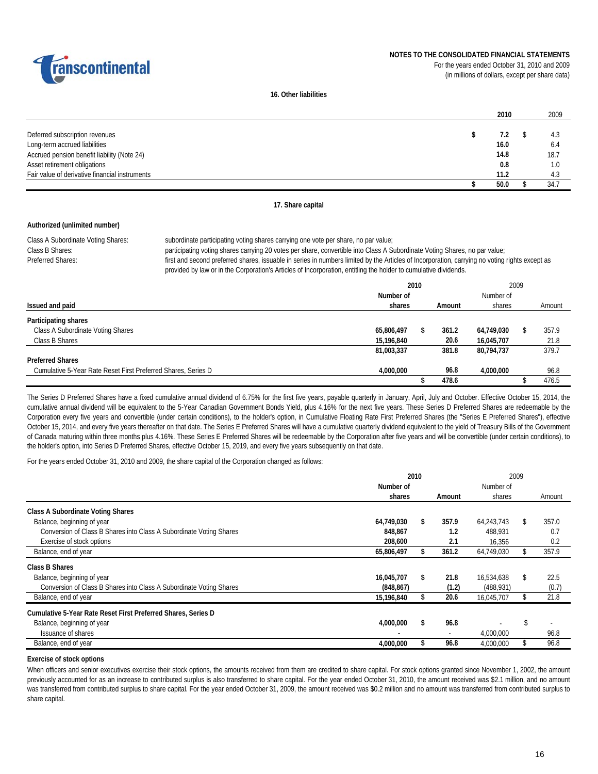

(in millions of dollars, except per share data)



**16. Other liabilities**

|                                                | 2010 | 2009 |
|------------------------------------------------|------|------|
|                                                |      |      |
| Deferred subscription revenues                 | 7.2  | 4.3  |
| Long-term accrued liabilities                  | 16.0 | 6.4  |
| Accrued pension benefit liability (Note 24)    | 14.8 | 18.7 |
| Asset retirement obligations                   | 0.8  |      |
| Fair value of derivative financial instruments | 11.2 | -4.3 |
|                                                | 50.0 | 34.  |

### **17. Share capital**

### **Authorized (unlimited number)**

Class B Shares: Preferred Shares:

Class A Subordinate Voting Shares: subordinate participating voting shares carrying one vote per share, no par value; participating voting shares carrying 20 votes per share, convertible into Class A Subordinate Voting Shares, no par value; first and second preferred shares, issuable in series in numbers limited by the Articles of Incorporation, carrying no voting rights except as provided by law or in the Corporation's Articles of Incorporation, entitling the holder to cumulative dividends.

|                                                               | 2010       |   | 2009   |            |  |        |
|---------------------------------------------------------------|------------|---|--------|------------|--|--------|
|                                                               | Number of  |   |        | Number of  |  |        |
| Issued and paid                                               | shares     |   | Amount | shares     |  | Amount |
| Participating shares                                          |            |   |        |            |  |        |
| Class A Subordinate Voting Shares                             | 65,806,497 | Ъ | 361.2  | 64,749,030 |  | 357.9  |
| Class B Shares                                                | 15,196,840 |   | 20.6   | 16.045.707 |  | 21.8   |
|                                                               | 81,003,337 |   | 381.8  | 80,794,737 |  | 379.7  |
| <b>Preferred Shares</b>                                       |            |   |        |            |  |        |
| Cumulative 5-Year Rate Reset First Preferred Shares, Series D | 4,000,000  |   | 96.8   | 4.000.000  |  | 96.8   |
|                                                               |            |   | 478.6  |            |  | 476.5  |

The Series D Preferred Shares have a fixed cumulative annual dividend of 6.75% for the first five years, payable quarterly in January, April, July and October. Effective October 15, 2014, the cumulative annual dividend will be equivalent to the 5-Year Canadian Government Bonds Yield, plus 4.16% for the next five years. These Series D Preferred Shares are redeemable by the Corporation every five years and convertible (under certain conditions), to the holder's option, in Cumulative Floating Rate First Preferred Shares (the "Series E Preferred Shares"), effective October 15, 2014, and every five years thereafter on that date. The Series E Preferred Shares will have a cumulative quarterly dividend equivalent to the yield of Treasury Bills of the Government of Canada maturing within three months plus 4.16%. These Series E Preferred Shares will be redeemable by the Corporation after five years and will be convertible (under certain conditions), to the holder's option, into Series D Preferred Shares, effective October 15, 2019, and every five years subsequently on that date.

For the years ended October 31, 2010 and 2009, the share capital of the Corporation changed as follows:

|                                                                     | 2010       | 2009       |            |    |        |
|---------------------------------------------------------------------|------------|------------|------------|----|--------|
|                                                                     | Number of  |            | Number of  |    |        |
|                                                                     | shares     | Amount     | shares     |    | Amount |
| <b>Class A Subordinate Voting Shares</b>                            |            |            |            |    |        |
| Balance, beginning of year                                          | 64.749.030 | 357.9      | 64.243.743 |    | 357.0  |
| Conversion of Class B Shares into Class A Subordinate Voting Shares | 848,867    | 1.2        | 488.931    |    | 0.7    |
| Exercise of stock options                                           | 208,600    | 2.1        | 16,356     |    | 0.2    |
| Balance, end of year                                                | 65,806,497 | 361.2      | 64,749,030 |    | 357.9  |
| Class B Shares                                                      |            |            |            |    |        |
| Balance, beginning of year                                          | 16,045,707 | \$<br>21.8 | 16,534,638 | \$ | 22.5   |
| Conversion of Class B Shares into Class A Subordinate Voting Shares | (848, 867) | (1.2)      | (488, 931) |    | (0.7)  |
| Balance, end of year                                                | 15,196,840 | 20.6       | 16,045,707 |    | 21.8   |
| Cumulative 5-Year Rate Reset First Preferred Shares, Series D       |            |            |            |    |        |
| Balance, beginning of year                                          | 4,000,000  | 96.8       |            |    |        |
| <b>Issuance of shares</b>                                           |            | ٠          | 4,000,000  |    | 96.8   |
| Balance, end of year                                                | 4,000,000  | 96.8       | 4,000,000  |    | 96.8   |

#### **Exercise of stock options**

When officers and senior executives exercise their stock options, the amounts received from them are credited to share capital. For stock options granted since November 1, 2002, the amount previously accounted for as an increase to contributed surplus is also transferred to share capital. For the year ended October 31, 2010, the amount received was \$2.1 million, and no amount was transferred from contributed surplus to share capital. For the year ended October 31, 2009, the amount received was \$0.2 million and no amount was transferred from contributed surplus to share capital.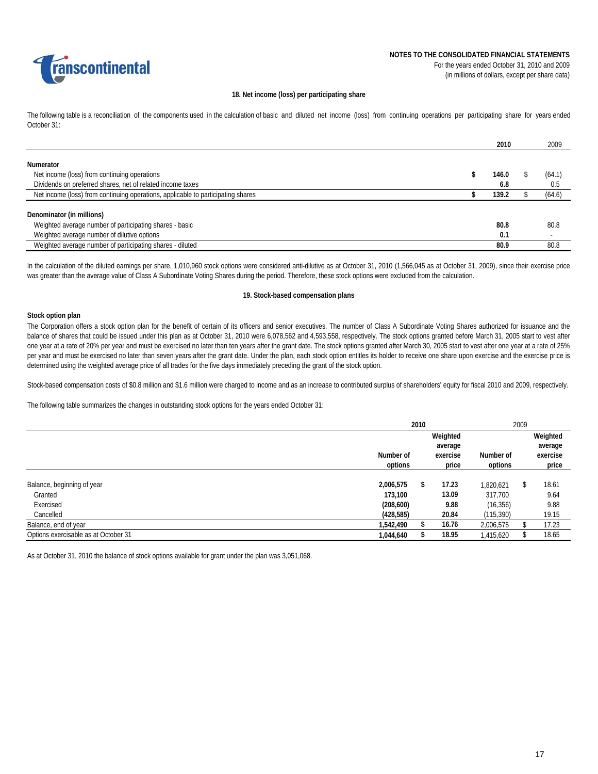

### **18. Net income (loss) per participating share**

The following table is a reconciliation of the components used in the calculation of basic and diluted net income (loss) from continuing operations per participating share for years ended October 31:

|                                                                                  | 2010  | 2009   |
|----------------------------------------------------------------------------------|-------|--------|
| Numerator                                                                        |       |        |
| Net income (loss) from continuing operations                                     | 146.0 | (64.1) |
| Dividends on preferred shares, net of related income taxes                       | 6.8   | 0.5    |
| Net income (loss) from continuing operations, applicable to participating shares | 139.2 | (64.6) |
| Denominator (in millions)                                                        |       |        |
|                                                                                  |       |        |
| Weighted average number of participating shares - basic                          | 80.8  | 80.8   |
| Weighted average number of dilutive options                                      | 0.1   |        |
| Weighted average number of participating shares - diluted                        | 80.9  | 80.8   |

In the calculation of the diluted earnings per share, 1,010,960 stock options were considered anti-dilutive as at October 31, 2010 (1,566,045 as at October 31, 2009), since their exercise price was greater than the average value of Class A Subordinate Voting Shares during the period. Therefore, these stock options were excluded from the calculation.

#### **19. Stock-based compensation plans**

### **Stock option plan**

The Corporation offers a stock option plan for the benefit of certain of its officers and senior executives. The number of Class A Subordinate Voting Shares authorized for issuance and the balance of shares that could be issued under this plan as at October 31, 2010 were 6,078,562 and 4,593,558, respectively. The stock options granted before March 31, 2005 start to vest after one year at a rate of 20% per year and must be exercised no later than ten years after the grant date. The stock options granted after March 30, 2005 start to vest after one year at a rate of 25% per year and must be exercised no later than seven years after the grant date. Under the plan, each stock option entitles its holder to receive one share upon exercise and the exercise price is determined using the weighted average price of all trades for the five days immediately preceding the grant of the stock option.

Stock-based compensation costs of \$0.8 million and \$1.6 million were charged to income and as an increase to contributed surplus of shareholders' equity for fiscal 2010 and 2009, respectively.

The following table summarizes the changes in outstanding stock options for the years ended October 31:

|                                      |            | 2010                | 2009     |            |    |          |
|--------------------------------------|------------|---------------------|----------|------------|----|----------|
|                                      |            | Weighted<br>average |          |            |    | Weighted |
|                                      |            |                     |          |            |    | average  |
|                                      | Number of  |                     | exercise | Number of  |    | exercise |
|                                      | options    |                     | price    | options    |    | price    |
|                                      |            |                     |          |            |    |          |
| Balance, beginning of year           | 2,006,575  | \$                  | 17.23    | 1.820.621  | \$ | 18.61    |
| Granted                              | 173,100    |                     | 13.09    | 317,700    |    | 9.64     |
| Exercised                            | (208, 600) |                     | 9.88     | (16, 356)  |    | 9.88     |
| Cancelled                            | (428, 585) |                     | 20.84    | (115, 390) |    | 19.15    |
| Balance, end of year                 | 1,542,490  |                     | 16.76    | 2,006,575  |    | 17.23    |
| Options exercisable as at October 31 | 1,044,640  |                     | 18.95    | 1,415,620  |    | 18.65    |

As at October 31, 2010 the balance of stock options available for grant under the plan was 3,051,068.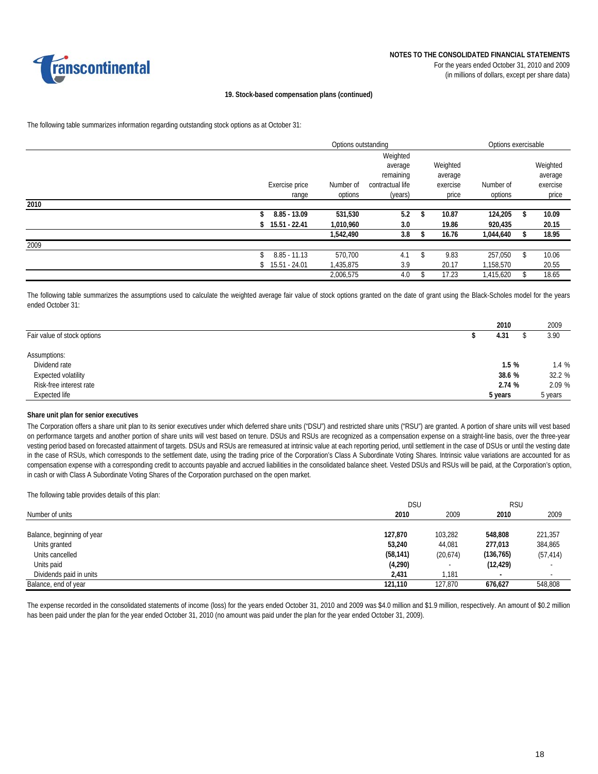

#### **19. Stock-based compensation plans (continued)**

The following table summarizes information regarding outstanding stock options as at October 31:

|      |                | Options outstanding |                  |             | Options exercisable |    |          |
|------|----------------|---------------------|------------------|-------------|---------------------|----|----------|
|      |                |                     | Weighted         |             |                     |    |          |
|      |                |                     | average          | Weighted    |                     |    | Weighted |
|      |                |                     | remaining        | average     |                     |    | average  |
|      | Exercise price | Number of           | contractual life | exercise    | Number of           |    | exercise |
|      | range          | options             | (years)          | price       | options             |    | price    |
| 2010 |                |                     |                  |             |                     |    |          |
|      | $8.85 - 13.09$ | 531,530             | 5.2              | \$<br>10.87 | 124,205             | \$ | 10.09    |
|      | 15.51 - 22.41  | 1,010,960           | 3.0              | 19.86       | 920,435             |    | 20.15    |
|      |                | 1,542,490           | 3.8              | 16.76       | 1,044,640           |    | 18.95    |
| 2009 |                |                     |                  |             |                     |    |          |
|      | $8.85 - 11.13$ | 570,700             | 4.1              | 9.83        | 257,050             | \$ | 10.06    |
|      | 15.51 - 24.01  | 1,435,875           | 3.9              | 20.17       | 1,158,570           |    | 20.55    |
|      |                | 2.006.575           | 4.0              | 17.23       | 1,415,620           | ዩ  | 18.65    |

The following table summarizes the assumptions used to calculate the weighted average fair value of stock options granted on the date of grant using the Black-Scholes model for the years ended October 31:

|                             | 2010    | 2009    |
|-----------------------------|---------|---------|
| Fair value of stock options | 4.31    | 3.90    |
| Assumptions:                |         |         |
| Dividend rate               | 1.5%    | 1.4 %   |
| Expected volatility         | 38.6 %  | 32.2 %  |
| Risk-free interest rate     | 2.74 %  | 2.09 %  |
| Expected life               | 5 years | 5 years |

#### **Share unit plan for senior executives**

The Corporation offers a share unit plan to its senior executives under which deferred share units ("DSU") and restricted share units ("RSU") are granted. A portion of share units will vest based on performance targets and another portion of share units will vest based on tenure. DSUs and RSUs are recognized as a compensation expense on a straight-line basis, over the three-year vesting period based on forecasted attainment of targets. DSUs and RSUs are remeasured at intrinsic value at each reporting period, until settlement in the case of DSUs or until the vesting date in the case of RSUs, which corresponds to the settlement date, using the trading price of the Corporation's Class A Subordinate Voting Shares. Intrinsic value variations are accounted for as compensation expense with a corresponding credit to accounts payable and accrued liabilities in the consolidated balance sheet. Vested DSUs and RSUs will be paid, at the Corporation's option, in cash or with Class A Subordinate Voting Shares of the Corporation purchased on the open market.

The following table provides details of this plan:

|                            | <b>DSU</b> | <b>RSU</b> |            |           |
|----------------------------|------------|------------|------------|-----------|
| Number of units            | 2010       | 2009       | 2010       | 2009      |
|                            |            |            |            |           |
| Balance, beginning of year | 127,870    | 103,282    | 548.808    | 221,357   |
| Units granted              | 53,240     | 44,081     | 277,013    | 384,865   |
| Units cancelled            | (58, 141)  | (20,674)   | (136, 765) | (57, 414) |
| Units paid                 | (4,290)    |            | (12, 429)  |           |
| Dividends paid in units    | 2,431      | 1,181      |            |           |
| Balance, end of year       | 121,110    | 127,870    | 676.627    | 548,808   |

The expense recorded in the consolidated statements of income (loss) for the years ended October 31, 2010 and 2009 was \$4.0 million and \$1.9 million, respectively. An amount of \$0.2 million has been paid under the plan for the year ended October 31, 2010 (no amount was paid under the plan for the year ended October 31, 2009).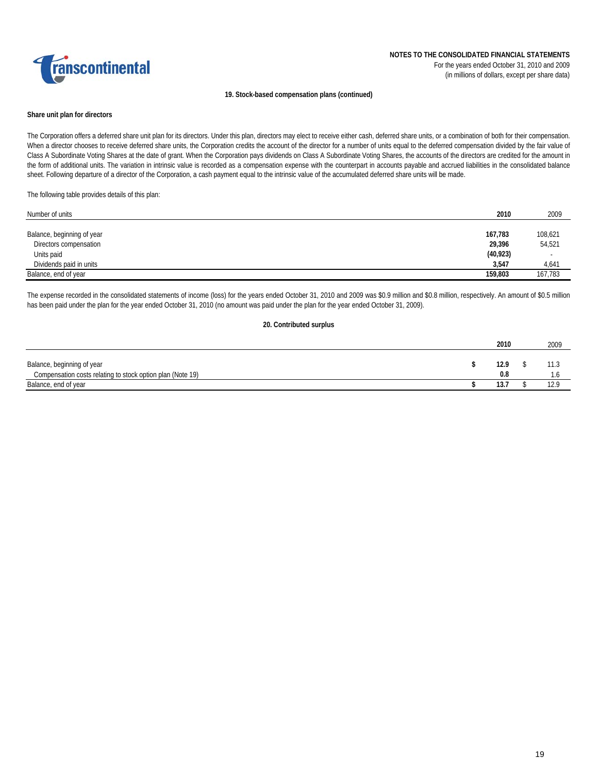

#### **19. Stock-based compensation plans (continued)**

#### **Share unit plan for directors**

The Corporation offers a deferred share unit plan for its directors. Under this plan, directors may elect to receive either cash, deferred share units, or a combination of both for their compensation. When a director chooses to receive deferred share units, the Corporation credits the account of the director for a number of units equal to the deferred compensation divided by the fair value of Class A Subordinate Voting Shares at the date of grant. When the Corporation pays dividends on Class A Subordinate Voting Shares, the accounts of the directors are credited for the amount in the form of additional units. The variation in intrinsic value is recorded as a compensation expense with the counterpart in accounts payable and accrued liabilities in the consolidated balance sheet. Following departure of a director of the Corporation, a cash payment equal to the intrinsic value of the accumulated deferred share units will be made.

#### The following table provides details of this plan:

| Number of units            | 2010      | 2009    |
|----------------------------|-----------|---------|
|                            |           |         |
| Balance, beginning of year | 167,783   | 108,621 |
| Directors compensation     | 29,396    | 54,521  |
| Units paid                 | (40, 923) |         |
| Dividends paid in units    | 3,547     | 4,641   |
| Balance, end of year       | 159,803   | 167,783 |

The expense recorded in the consolidated statements of income (loss) for the years ended October 31, 2010 and 2009 was \$0.9 million and \$0.8 million, respectively. An amount of \$0.5 million has been paid under the plan for the year ended October 31, 2010 (no amount was paid under the plan for the year ended October 31, 2009).

#### **20. Contributed surplus**

|                                                            | 2010 | 2009 |
|------------------------------------------------------------|------|------|
| Balance, beginning of year                                 | 12.9 | 11.3 |
| Compensation costs relating to stock option plan (Note 19) | 0.8  |      |
| Balance, end of year                                       | 13.7 | 12.9 |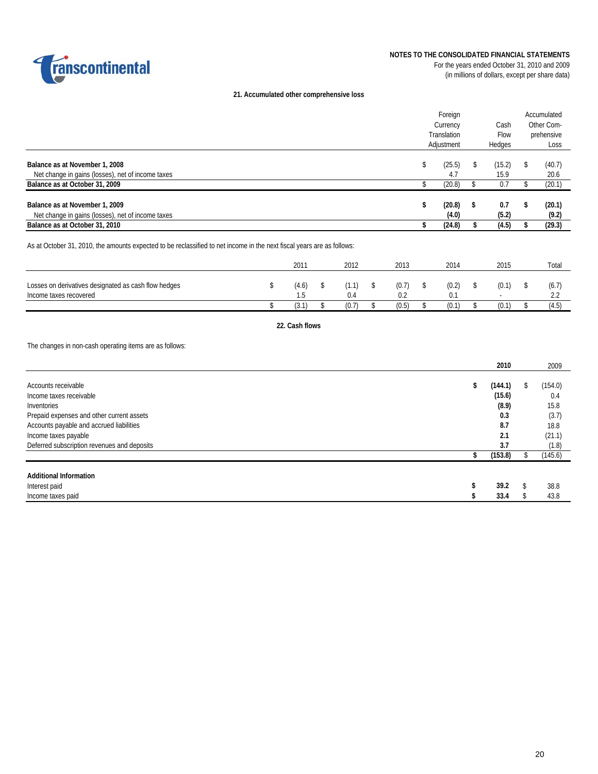

### **NOTES TO THE CONSOLIDATED FINANCIAL STATEMENTS**

For the years ended October 31, 2010 and 2009 (in millions of dollars, except per share data)

### **21. Accumulated other comprehensive loss**

|                                                   | Foreign     |   |        | Accumulated |
|---------------------------------------------------|-------------|---|--------|-------------|
|                                                   | Currency    |   | Cash   | Other Com-  |
|                                                   | Translation |   | Flow   | prehensive  |
|                                                   | Adjustment  |   | Hedges | Loss        |
|                                                   |             |   |        |             |
| Balance as at November 1, 2008                    | (25.5)      |   | (15.2) | (40.7)      |
| Net change in gains (losses), net of income taxes | 4.7         |   | 15.9   | 20.6        |
| Balance as at October 31, 2009                    | (20.8)      |   | 0.7    | (20.1)      |
|                                                   |             |   |        |             |
| Balance as at November 1, 2009                    | (20.8)      | S | 0.7    | (20.1)      |
| Net change in gains (losses), net of income taxes | (4.0)       |   | (5.2)  | (9.2)       |
| Balance as at October 31, 2010                    | (24.8)      |   | (4.5)  | (29.3)      |

As at October 31, 2010, the amounts expected to be reclassified to net income in the next fiscal years are as follows:

|                                                                                | 201 <sup>°</sup> | 2012  | 2013  | 2014  | 2015                              | Total                  |
|--------------------------------------------------------------------------------|------------------|-------|-------|-------|-----------------------------------|------------------------|
| Losses on derivatives designated as cash flow hedges<br>Income taxes recovered | (4.6)            |       | (0.7) | (0.2) | (0.1)<br>$\overline{\phantom{a}}$ | (6.7)<br>$\sim$ $\sim$ |
|                                                                                | (3.1             | (0.7) | (0.5) | (0.1) | (0.1)                             | 14.D,                  |

### **22. Cash flows**

The changes in non-cash operating items are as follows:

|                                             | 2010          |   | 2009    |
|---------------------------------------------|---------------|---|---------|
|                                             |               |   |         |
| Accounts receivable                         | \$<br>(144.1) | S | (154.0) |
| Income taxes receivable                     | (15.6)        |   | 0.4     |
| Inventories                                 | (8.9)         |   | 15.8    |
| Prepaid expenses and other current assets   | 0.3           |   | (3.7)   |
| Accounts payable and accrued liabilities    | 8.7           |   | 18.8    |
| Income taxes payable                        | 2.1           |   | (21.1)  |
| Deferred subscription revenues and deposits | 3.7           |   | (1.8)   |
|                                             | (153.8)       |   | (145.6) |
| <b>Additional Information</b>               |               |   |         |
| Interest paid                               | 39.2          |   | 38.8    |
| Income taxes paid                           | 33.4          |   | 43.8    |
|                                             |               |   |         |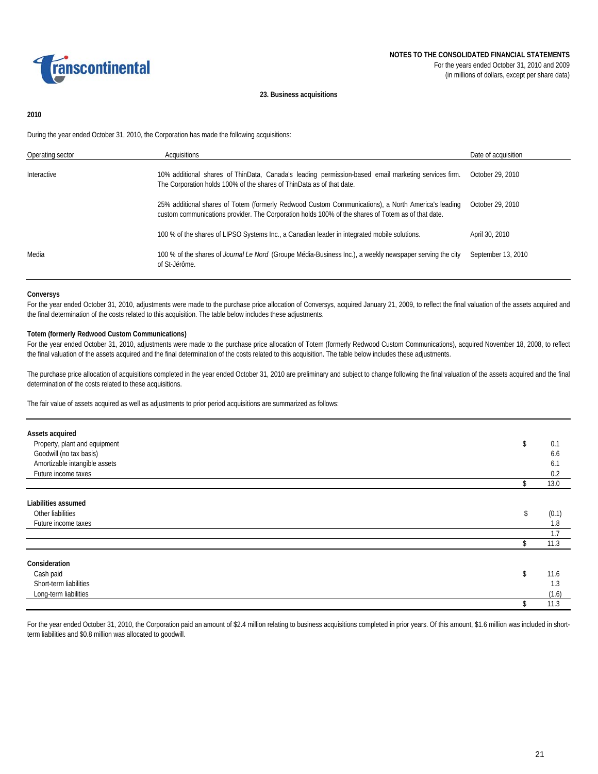

#### **23. Business acquisitions**

### **2010**

During the year ended October 31, 2010, the Corporation has made the following acquisitions:

| Operating sector | Acquisitions                                                                                                                                                                                             | Date of acquisition |
|------------------|----------------------------------------------------------------------------------------------------------------------------------------------------------------------------------------------------------|---------------------|
| Interactive      | 10% additional shares of ThinData, Canada's leading permission-based email marketing services firm.<br>The Corporation holds 100% of the shares of ThinData as of that date.                             | October 29, 2010    |
|                  | 25% additional shares of Totem (formerly Redwood Custom Communications), a North America's leading<br>custom communications provider. The Corporation holds 100% of the shares of Totem as of that date. | October 29, 2010    |
|                  | 100 % of the shares of LIPSO Systems Inc., a Canadian leader in integrated mobile solutions.                                                                                                             | April 30, 2010      |
| Media            | 100 % of the shares of <i>Journal Le Nord</i> (Groupe Média-Business Inc.), a weekly newspaper serving the city<br>of St-Jérôme.                                                                         | September 13, 2010  |

#### **Conversys**

For the year ended October 31, 2010, adjustments were made to the purchase price allocation of Conversys, acquired January 21, 2009, to reflect the final valuation of the assets acquired and the final determination of the costs related to this acquisition. The table below includes these adjustments.

### **Totem (formerly Redwood Custom Communications)**

For the year ended October 31, 2010, adjustments were made to the purchase price allocation of Totem (formerly Redwood Custom Communications), acquired November 18, 2008, to reflect the final valuation of the assets acquired and the final determination of the costs related to this acquisition. The table below includes these adjustments.

The purchase price allocation of acquisitions completed in the year ended October 31, 2010 are preliminary and subject to change following the final valuation of the assets acquired and the final determination of the costs related to these acquisitions.

The fair value of assets acquired as well as adjustments to prior period acquisitions are summarized as follows:

| Assets acquired               |                    |       |
|-------------------------------|--------------------|-------|
| Property, plant and equipment | \$                 | 0.1   |
| Goodwill (no tax basis)       |                    | 6.6   |
| Amortizable intangible assets |                    | 6.1   |
| Future income taxes           |                    | 0.2   |
|                               | \$                 | 13.0  |
|                               |                    |       |
| Liabilities assumed           |                    |       |
| Other liabilities             | \$                 | (0.1) |
| Future income taxes           |                    | 1.8   |
|                               |                    | 1.7   |
|                               | \$                 | 11.3  |
| Consideration                 |                    |       |
|                               | $\mathbf{\hat{z}}$ | 11.6  |
| Cash paid                     |                    |       |
| Short-term liabilities        |                    | 1.3   |
| Long-term liabilities         |                    | (1.6) |
|                               | \$                 | 11.3  |

For the year ended October 31, 2010, the Corporation paid an amount of \$2.4 million relating to business acquisitions completed in prior years. Of this amount, \$1.6 million was included in shortterm liabilities and \$0.8 million was allocated to goodwill.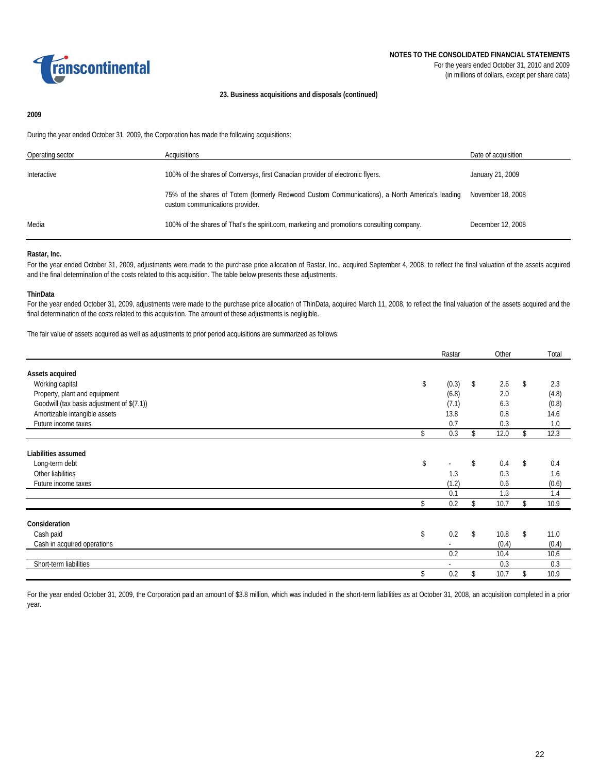

#### **23. Business acquisitions and disposals (continued)**

### **2009**

During the year ended October 31, 2009, the Corporation has made the following acquisitions:

| Operating sector | Acquisitions                                                                                                                      | Date of acquisition |
|------------------|-----------------------------------------------------------------------------------------------------------------------------------|---------------------|
| Interactive      | 100% of the shares of Conversys, first Canadian provider of electronic flyers.                                                    | January 21, 2009    |
|                  | 75% of the shares of Totem (formerly Redwood Custom Communications), a North America's leading<br>custom communications provider. | November 18, 2008   |
| Media            | 100% of the shares of That's the spirit.com, marketing and promotions consulting company.                                         | December 12, 2008   |

#### **Rastar, Inc.**

For the year ended October 31, 2009, adjustments were made to the purchase price allocation of Rastar, Inc., acquired September 4, 2008, to reflect the final valuation of the assets acquired and the final determination of the costs related to this acquisition. The table below presents these adjustments.

#### **ThinData**

For the year ended October 31, 2009, adjustments were made to the purchase price allocation of ThinData, acquired March 11, 2008, to reflect the final valuation of the assets acquired and the final determination of the costs related to this acquisition. The amount of these adjustments is negligible.

The fair value of assets acquired as well as adjustments to prior period acquisitions are summarized as follows:

|                                            | Rastar                   | Other      |               | Total |
|--------------------------------------------|--------------------------|------------|---------------|-------|
| Assets acquired                            |                          |            |               |       |
| Working capital                            | \$<br>(0.3)              | \$<br>2.6  | \$            | 2.3   |
| Property, plant and equipment              | (6.8)                    | 2.0        |               | (4.8) |
| Goodwill (tax basis adjustment of \$(7.1)) | (7.1)                    | 6.3        |               | (0.8) |
|                                            |                          |            |               |       |
| Amortizable intangible assets              | 13.8                     | 0.8        |               | 14.6  |
| Future income taxes                        | 0.7                      | 0.3        |               | 1.0   |
|                                            | \$<br>0.3                | \$<br>12.0 | \$            | 12.3  |
|                                            |                          |            |               |       |
| Liabilities assumed                        |                          |            |               |       |
| Long-term debt                             | \$<br>٠                  | \$<br>0.4  | $\mathsf{\$}$ | 0.4   |
| Other liabilities                          | 1.3                      | 0.3        |               | 1.6   |
| Future income taxes                        | (1.2)                    | 0.6        |               | (0.6) |
|                                            | 0.1                      | 1.3        |               | 1.4   |
|                                            | \$<br>0.2                | \$<br>10.7 | \$            | 10.9  |
|                                            |                          |            |               |       |
| Consideration                              |                          |            |               |       |
| Cash paid                                  | \$<br>0.2                | \$<br>10.8 | \$            | 11.0  |
| Cash in acquired operations                | ٠                        | (0.4)      |               | (0.4) |
|                                            | 0.2                      | 10.4       |               | 10.6  |
| Short-term liabilities                     | $\overline{\phantom{a}}$ | 0.3        |               | 0.3   |
|                                            | \$<br>0.2                | 10.7       |               | 10.9  |

For the year ended October 31, 2009, the Corporation paid an amount of \$3.8 million, which was included in the short-term liabilities as at October 31, 2008, an acquisition completed in a prior year.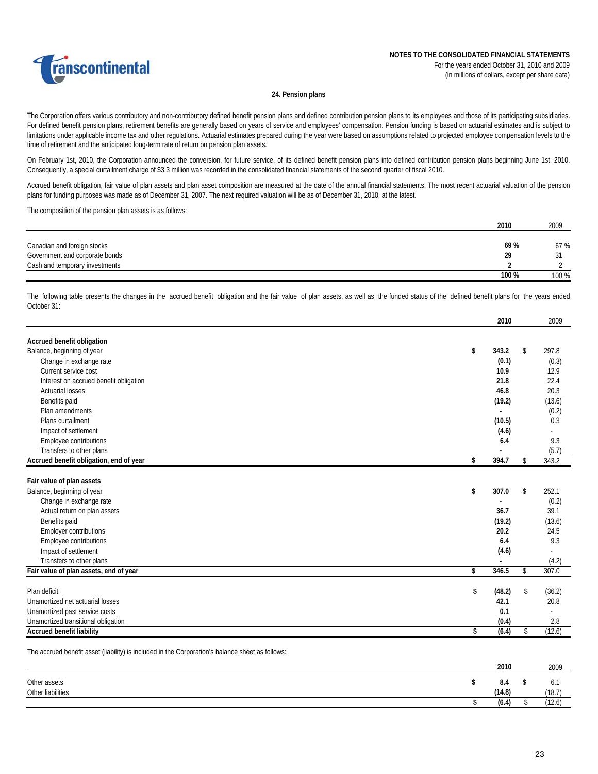

#### **24. Pension plans**

The Corporation offers various contributory and non-contributory defined benefit pension plans and defined contribution pension plans to its employees and those of its participating subsidiaries. For defined benefit pension plans, retirement benefits are generally based on years of service and employees' compensation. Pension funding is based on actuarial estimates and is subject to limitations under applicable income tax and other regulations. Actuarial estimates prepared during the year were based on assumptions related to projected employee compensation levels to the time of retirement and the anticipated long-term rate of return on pension plan assets.

On February 1st, 2010, the Corporation announced the conversion, for future service, of its defined benefit pension plans into defined contribution pension plans beginning June 1st, 2010. Consequently, a special curtailment charge of \$3.3 million was recorded in the consolidated financial statements of the second quarter of fiscal 2010.

Accrued benefit obligation, fair value of plan assets and plan asset composition are measured at the date of the annual financial statements. The most recent actuarial valuation of the pension plans for funding purposes was made as of December 31, 2007. The next required valuation will be as of December 31, 2010, at the latest.

The composition of the pension plan assets is as follows:

|                                | 2010  | 2009  |
|--------------------------------|-------|-------|
|                                |       |       |
| Canadian and foreign stocks    | 69%   | 67 %  |
| Government and corporate bonds | 29    |       |
| Cash and temporary investments |       |       |
|                                | 100 % | 100 % |

The following table presents the changes in the accrued benefit obligation and the fair value of plan assets, as well as the funded status of the defined benefit plans for the years ended October 31:

| Accrued benefit obligation<br>Balance, beginning of year<br>\$<br>343.2<br>Change in exchange rate<br>Current service cost<br>Interest on accrued benefit obligation<br><b>Actuarial losses</b><br>Benefits paid<br>Plan amendments<br>Plans curtailment<br>Impact of settlement<br>Employee contributions<br>Transfers to other plans |        |              |
|----------------------------------------------------------------------------------------------------------------------------------------------------------------------------------------------------------------------------------------------------------------------------------------------------------------------------------------|--------|--------------|
|                                                                                                                                                                                                                                                                                                                                        |        |              |
|                                                                                                                                                                                                                                                                                                                                        |        | \$<br>297.8  |
|                                                                                                                                                                                                                                                                                                                                        | (0.1)  | (0.3)        |
|                                                                                                                                                                                                                                                                                                                                        | 10.9   | 12.9         |
|                                                                                                                                                                                                                                                                                                                                        | 21.8   | 22.4         |
|                                                                                                                                                                                                                                                                                                                                        | 46.8   | 20.3         |
|                                                                                                                                                                                                                                                                                                                                        | (19.2) | (13.6)       |
|                                                                                                                                                                                                                                                                                                                                        |        | (0.2)        |
|                                                                                                                                                                                                                                                                                                                                        | (10.5) | 0.3          |
|                                                                                                                                                                                                                                                                                                                                        | (4.6)  |              |
|                                                                                                                                                                                                                                                                                                                                        | 6.4    | 9.3          |
|                                                                                                                                                                                                                                                                                                                                        |        | (5.7)        |
| Accrued benefit obligation, end of year<br>394.7<br>\$                                                                                                                                                                                                                                                                                 |        | \$<br>343.2  |
|                                                                                                                                                                                                                                                                                                                                        |        |              |
| Fair value of plan assets                                                                                                                                                                                                                                                                                                              |        |              |
| Balance, beginning of year<br>\$<br>307.0                                                                                                                                                                                                                                                                                              |        | \$<br>252.1  |
| Change in exchange rate                                                                                                                                                                                                                                                                                                                |        | (0.2)        |
| Actual return on plan assets                                                                                                                                                                                                                                                                                                           | 36.7   | 39.1         |
| Benefits paid                                                                                                                                                                                                                                                                                                                          | (19.2) | (13.6)       |
| <b>Employer contributions</b>                                                                                                                                                                                                                                                                                                          | 20.2   | 24.5         |
| Employee contributions                                                                                                                                                                                                                                                                                                                 | 6.4    | 9.3          |
| Impact of settlement                                                                                                                                                                                                                                                                                                                   | (4.6)  |              |
| Transfers to other plans                                                                                                                                                                                                                                                                                                               |        | (4.2)        |
| Fair value of plan assets, end of year<br>346.5<br>\$                                                                                                                                                                                                                                                                                  |        | \$<br>307.0  |
| Plan deficit<br>\$                                                                                                                                                                                                                                                                                                                     | (48.2) | \$<br>(36.2) |
| 42.1<br>Unamortized net actuarial losses                                                                                                                                                                                                                                                                                               |        | 20.8         |
| Unamortized past service costs                                                                                                                                                                                                                                                                                                         | 0.1    |              |
| Unamortized transitional obligation                                                                                                                                                                                                                                                                                                    | (0.4)  | 2.8          |
| <b>Accrued benefit liability</b><br>\$                                                                                                                                                                                                                                                                                                 |        | (12.6)       |
|                                                                                                                                                                                                                                                                                                                                        | (6.4)  | \$           |

The accrued benefit asset (liability) is included in the Corporation's balance sheet as follows:

|                   | 2010   | 2009   |
|-------------------|--------|--------|
| Other assets      | 8.4    | 0.1    |
| Other liabilities | (14.8) | (18.7) |
|                   | (6.4)  | (12.6) |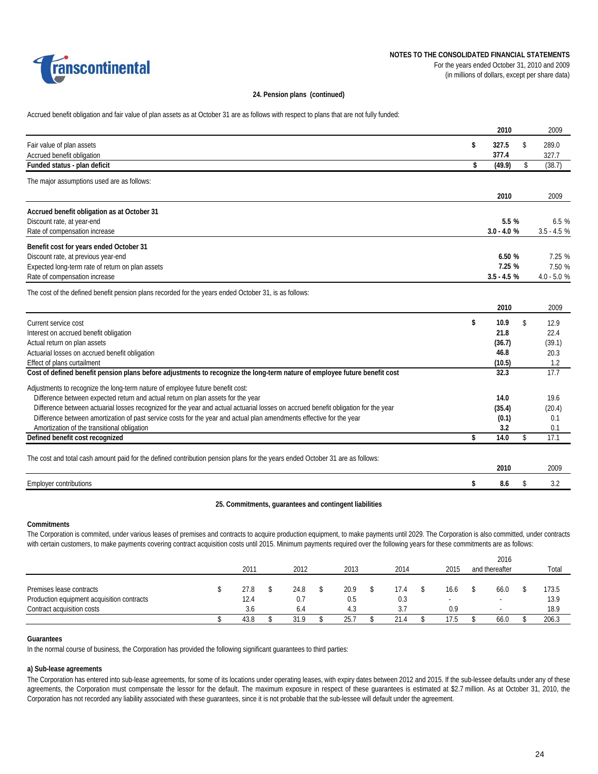

### **24. Pension plans (continued)**

Accrued benefit obligation and fair value of plan assets as at October 31 are as follows with respect to plans that are not fully funded:

|                                                                                                                                    | 2010          | 2009          |
|------------------------------------------------------------------------------------------------------------------------------------|---------------|---------------|
| Fair value of plan assets                                                                                                          | \$<br>327.5   | \$<br>289.0   |
| Accrued benefit obligation                                                                                                         | 377.4         | 327.7         |
| Funded status - plan deficit                                                                                                       | \$<br>(49.9)  | \$<br>(38.7)  |
| The major assumptions used are as follows:                                                                                         |               |               |
|                                                                                                                                    | 2010          | 2009          |
| Accrued benefit obligation as at October 31                                                                                        |               |               |
| Discount rate, at year-end                                                                                                         | 5.5 %         | 6.5%          |
| Rate of compensation increase                                                                                                      | $3.0 - 4.0 %$ | $3.5 - 4.5$ % |
| Benefit cost for years ended October 31                                                                                            |               |               |
| Discount rate, at previous year-end                                                                                                | 6.50 %        | 7.25 %        |
| Expected long-term rate of return on plan assets                                                                                   | 7.25 %        | 7.50 %        |
| Rate of compensation increase                                                                                                      | $3.5 - 4.5 %$ | $4.0 - 5.0 %$ |
| The cost of the defined benefit pension plans recorded for the years ended October 31, is as follows:                              |               |               |
|                                                                                                                                    | 2010          | 2009          |
| Current service cost                                                                                                               | \$<br>10.9    | \$<br>12.9    |
| Interest on accrued benefit obligation                                                                                             | 21.8          | 22.4          |
| Actual return on plan assets                                                                                                       | (36.7)        | (39.1)        |
| Actuarial losses on accrued benefit obligation                                                                                     | 46.8          | 20.3          |
| Effect of plans curtailment                                                                                                        | (10.5)        | 1.2           |
| Cost of defined benefit pension plans before adjustments to recognize the long-term nature of employee future benefit cost         | 32.3          | 17.7          |
| Adjustments to recognize the long-term nature of employee future benefit cost:                                                     |               |               |
| Difference between expected return and actual return on plan assets for the year                                                   | 14.0          | 19.6          |
| Difference between actuarial losses recognized for the year and actual actuarial losses on accrued benefit obligation for the year | (35.4)        | (20.4)        |
| Difference between amortization of past service costs for the year and actual plan amendments effective for the year               | (0.1)         | 0.1           |
| Amortization of the transitional obligation                                                                                        | 3.2           | 0.1           |
| Defined benefit cost recognized                                                                                                    | \$<br>14.0    | \$<br>17.1    |
| The cost and total cash amount paid for the defined contribution pension plans for the years ended October 31 are as follows:      |               |               |
|                                                                                                                                    | 2010          | 2009          |
| <b>Employer contributions</b>                                                                                                      | \$<br>8.6     | \$<br>3.2     |

#### **25. Commitments, guarantees and contingent liabilities**

#### **Commitments**

The Corporation is commited, under various leases of premises and contracts to acquire production equipment, to make payments until 2029. The Corporation is also committed, under contracts with certain customers, to make payments covering contract acquisition costs until 2015. Minimum payments required over the following years for these commitments are as follows:

|                                            |  |      |  |      |  |      |  |      |  |                          | 2016 |                |  |       |
|--------------------------------------------|--|------|--|------|--|------|--|------|--|--------------------------|------|----------------|--|-------|
|                                            |  | 2011 |  | 2012 |  | 2013 |  | 2014 |  | 2015                     |      | and thereafter |  | Total |
|                                            |  |      |  |      |  |      |  |      |  |                          |      |                |  |       |
| Premises lease contracts                   |  | 27.8 |  | 24.8 |  | 20.9 |  | 17.4 |  | 16.6                     |      | 66.0           |  | 173.5 |
| Production equipment acquisition contracts |  | 12.4 |  | 0.7  |  | 0.5  |  | 0.3  |  | $\overline{\phantom{a}}$ |      | -              |  | 13.9  |
| Contract acquisition costs                 |  | 3.6  |  | 6.4  |  | 4.3  |  |      |  | 0.9                      |      |                |  | 18.9  |
|                                            |  | 43.8 |  | 31.9 |  | 25.  |  | 21.4 |  | 17.5                     |      | 66.0           |  | 206.3 |

#### **Guarantees**

In the normal course of business, the Corporation has provided the following significant guarantees to third parties:

### **a) Sub-lease agreements**

The Corporation has entered into sub-lease agreements, for some of its locations under operating leases, with expiry dates between 2012 and 2015. If the sub-lessee defaults under any of these agreements, the Corporation must compensate the lessor for the default. The maximum exposure in respect of these guarantees is estimated at \$2.7 million. As at October 31, 2010, the Corporation has not recorded any liability associated with these guarantees, since it is not probable that the sub-lessee will default under the agreement.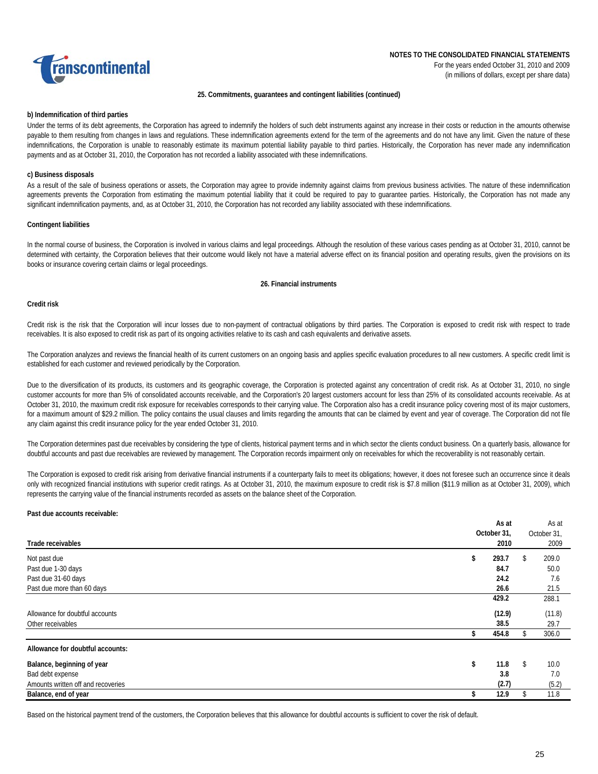

#### **25. Commitments, guarantees and contingent liabilities (continued)**

### **b) Indemnification of third parties**

Under the terms of its debt agreements, the Corporation has agreed to indemnify the holders of such debt instruments against any increase in their costs or reduction in the amounts otherwise payable to them resulting from changes in laws and regulations. These indemnification agreements extend for the term of the agreements and do not have any limit. Given the nature of these indemnifications, the Corporation is unable to reasonably estimate its maximum potential liability payable to third parties. Historically, the Corporation has never made any indemnification payments and as at October 31, 2010, the Corporation has not recorded a liability associated with these indemnifications.

#### **c) Business disposals**

As a result of the sale of business operations or assets, the Corporation may agree to provide indemnity against claims from previous business activities. The nature of these indemnification agreements prevents the Corporation from estimating the maximum potential liability that it could be required to pay to guarantee parties. Historically, the Corporation has not made any significant indemnification payments, and, as at October 31, 2010, the Corporation has not recorded any liability associated with these indemnifications.

### **Contingent liabilities**

In the normal course of business, the Corporation is involved in various claims and legal proceedings. Although the resolution of these various cases pending as at October 31, 2010, cannot be determined with certainty, the Corporation believes that their outcome would likely not have a material adverse effect on its financial position and operating results, given the provisions on its books or insurance covering certain claims or legal proceedings.

#### **26. Financial instruments**

#### **Credit risk**

Credit risk is the risk that the Corporation will incur losses due to non-payment of contractual obligations by third parties. The Corporation is exposed to credit risk with respect to trade receivables. It is also exposed to credit risk as part of its ongoing activities relative to its cash and cash equivalents and derivative assets.

The Corporation analyzes and reviews the financial health of its current customers on an ongoing basis and applies specific evaluation procedures to all new customers. A specific credit limit is established for each customer and reviewed periodically by the Corporation.

Due to the diversification of its products, its customers and its geographic coverage, the Corporation is protected against any concentration of credit risk. As at October 31, 2010, no single customer accounts for more than 5% of consolidated accounts receivable, and the Corporation's 20 largest customers account for less than 25% of its consolidated accounts receivable. As at October 31, 2010, the maximum credit risk exposure for receivables corresponds to their carrying value. The Corporation also has a credit insurance policy covering most of its major customers, for a maximum amount of \$29.2 million. The policy contains the usual clauses and limits regarding the amounts that can be claimed by event and year of coverage. The Corporation did not file any claim against this credit insurance policy for the year ended October 31, 2010.

The Corporation determines past due receivables by considering the type of clients, historical payment terms and in which sector the clients conduct business. On a quarterly basis, allowance for doubtful accounts and past due receivables are reviewed by management. The Corporation records impairment only on receivables for which the recoverability is not reasonably certain.

The Corporation is exposed to credit risk arising from derivative financial instruments if a counterparty fails to meet its obligations; however, it does not foresee such an occurrence since it deals only with recognized financial institutions with superior credit ratings. As at October 31, 2010, the maximum exposure to credit risk is \$7.8 million (\$11.9 million as at October 31, 2009), which represents the carrying value of the financial instruments recorded as assets on the balance sheet of the Corporation.

#### **Past due accounts receivable:**

|                                    | As at       | As at       |
|------------------------------------|-------------|-------------|
|                                    | October 31. | October 31, |
| Trade receivables                  | 2010        | 2009        |
| Not past due                       | 293.7<br>ъ  | 209.0<br>\$ |
| Past due 1-30 days                 | 84.7        | 50.0        |
| Past due 31-60 days                | 24.2        | 7.6         |
| Past due more than 60 days         | 26.6        | 21.5        |
|                                    | 429.2       | 288.1       |
| Allowance for doubtful accounts    | (12.9)      | (11.8)      |
| Other receivables                  | 38.5        | 29.7        |
|                                    | 454.8       | 306.0<br>\$ |
| Allowance for doubtful accounts:   |             |             |
| Balance, beginning of year         | 11.8<br>\$  | \$<br>10.0  |
| Bad debt expense                   | 3.8         | 7.0         |
| Amounts written off and recoveries | (2.7)       | (5.2)       |
| Balance, end of year               | 12.9        | 11.8        |
|                                    |             |             |

Based on the historical payment trend of the customers, the Corporation believes that this allowance for doubtful accounts is sufficient to cover the risk of default.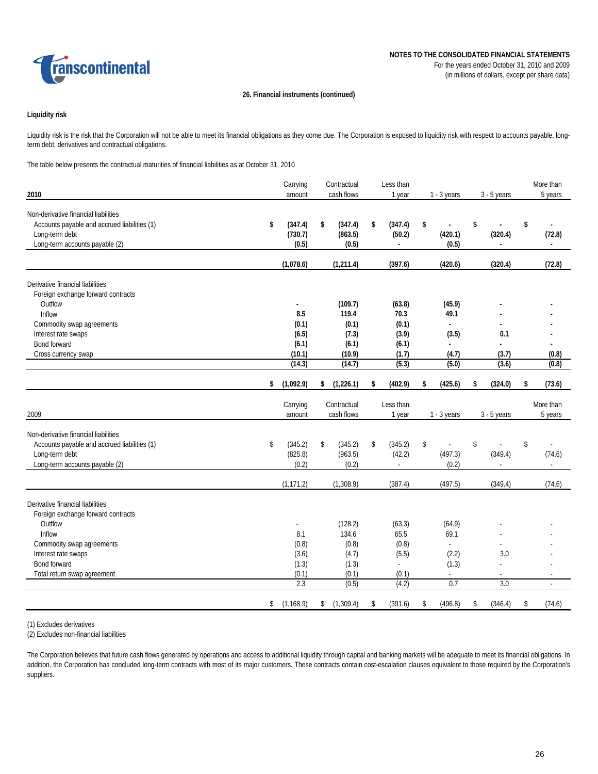

# **26. Financial instruments (continued)**

# **Liquidity risk**

Liquidity risk is the risk that the Corporation will not be able to meet its financial obligations as they come due. The Corporation is exposed to liquidity risk with respect to accounts payable, longterm debt, derivatives and contractual obligations.

The table below presents the contractual maturities of financial liabilities as at October 31, 2010

| 2010                                                                                                                                     | Carrying<br>amount                | Contractual<br>cash flows         | Less than<br>1 year                                 | 1 - 3 years                                        | $3 - 5$ years                                     | More than<br>5 years           |
|------------------------------------------------------------------------------------------------------------------------------------------|-----------------------------------|-----------------------------------|-----------------------------------------------------|----------------------------------------------------|---------------------------------------------------|--------------------------------|
|                                                                                                                                          |                                   |                                   |                                                     |                                                    |                                                   |                                |
| Non-derivative financial liabilities<br>Accounts payable and accrued liabilities (1)<br>Long-term debt<br>Long-term accounts payable (2) | \$<br>(347.4)<br>(730.7)<br>(0.5) | \$<br>(347.4)<br>(863.5)<br>(0.5) | \$<br>(347.4)<br>(50.2)<br>$\overline{\phantom{a}}$ | \$<br>$\overline{\phantom{a}}$<br>(420.1)<br>(0.5) | \$<br>$\overline{a}$<br>(320.4)<br>$\blacksquare$ | \$<br>(72.8)<br>$\blacksquare$ |
|                                                                                                                                          | (1,078.6)                         | (1, 211.4)                        | (397.6)                                             | (420.6)                                            | (320.4)                                           | (72.8)                         |
| Derivative financial liabilities<br>Foreign exchange forward contracts<br>Outflow                                                        | $\blacksquare$                    | (109.7)                           | (63.8)                                              | (45.9)                                             |                                                   |                                |
| Inflow                                                                                                                                   | 8.5                               | 119.4                             | 70.3                                                | 49.1                                               |                                                   |                                |
| Commodity swap agreements                                                                                                                | (0.1)                             | (0.1)                             | (0.1)                                               |                                                    |                                                   |                                |
| Interest rate swaps                                                                                                                      | (6.5)                             | (7.3)                             | (3.9)                                               | (3.5)                                              | 0.1                                               |                                |
| Bond forward                                                                                                                             | (6.1)                             | (6.1)                             | (6.1)                                               | $\overline{a}$                                     |                                                   | ٠                              |
| Cross currency swap                                                                                                                      | (10.1)                            | (10.9)                            | (1.7)                                               | (4.7)                                              | (3.7)                                             | (0.8)                          |
|                                                                                                                                          | (14.3)                            | (14.7)                            | (5.3)                                               | (5.0)                                              | (3.6)                                             | (0.8)                          |
|                                                                                                                                          | \$<br>(1,092.9)                   | \$<br>(1,226.1)                   | \$<br>(402.9)                                       | \$<br>(425.6)                                      | \$<br>(324.0)                                     | \$<br>(73.6)                   |
| 2009                                                                                                                                     | Carrying<br>amount                | Contractual<br>cash flows         | Less than<br>1 year                                 | $1 - 3$ years                                      | $3 - 5$ years                                     | More than<br>5 years           |
| Non-derivative financial liabilities                                                                                                     |                                   |                                   |                                                     |                                                    |                                                   |                                |
| Accounts payable and accrued liabilities (1)                                                                                             | \$<br>(345.2)                     | \$<br>(345.2)                     | \$<br>(345.2)                                       | \$                                                 | \$                                                | \$                             |
| Long-term debt<br>Long-term accounts payable (2)                                                                                         | (825.8)<br>(0.2)                  | (963.5)<br>(0.2)                  | (42.2)<br>$\blacksquare$                            | (497.3)<br>(0.2)                                   | (349.4)<br>÷,                                     | (74.6)<br>$\blacksquare$       |
|                                                                                                                                          | (1, 171.2)                        | (1,308.9)                         | (387.4)                                             | (497.5)                                            | (349.4)                                           | (74.6)                         |
| Derivative financial liabilities                                                                                                         |                                   |                                   |                                                     |                                                    |                                                   |                                |
| Foreign exchange forward contracts<br>Outflow                                                                                            |                                   | (128.2)                           | (63.3)                                              | (64.9)                                             |                                                   |                                |
| Inflow                                                                                                                                   | 8.1                               | 134.6                             | 65.5                                                | 69.1                                               |                                                   |                                |
| Commodity swap agreements                                                                                                                | (0.8)                             | (0.8)                             | (0.8)                                               |                                                    |                                                   |                                |
| Interest rate swaps                                                                                                                      | (3.6)                             | (4.7)                             | (5.5)                                               | (2.2)                                              | 3.0                                               |                                |
| Bond forward                                                                                                                             | (1.3)                             | (1.3)                             |                                                     | (1.3)                                              |                                                   |                                |
| Total return swap agreement                                                                                                              | (0.1)                             | (0.1)                             | (0.1)                                               | $\blacksquare$                                     | $\overline{\phantom{a}}$                          | $\sim$                         |
|                                                                                                                                          | 2.3                               | (0.5)                             | (4.2)                                               | 0.7                                                | 3.0                                               | ÷,                             |

(1) Excludes derivatives

(2) Excludes non-financial liabilities

The Corporation believes that future cash flows generated by operations and access to additional liquidity through capital and banking markets will be adequate to meet its financial obligations. In addition, the Corporation has concluded long-term contracts with most of its major customers. These contracts contain cost-escalation clauses equivalent to those required by the Corporation's suppliers.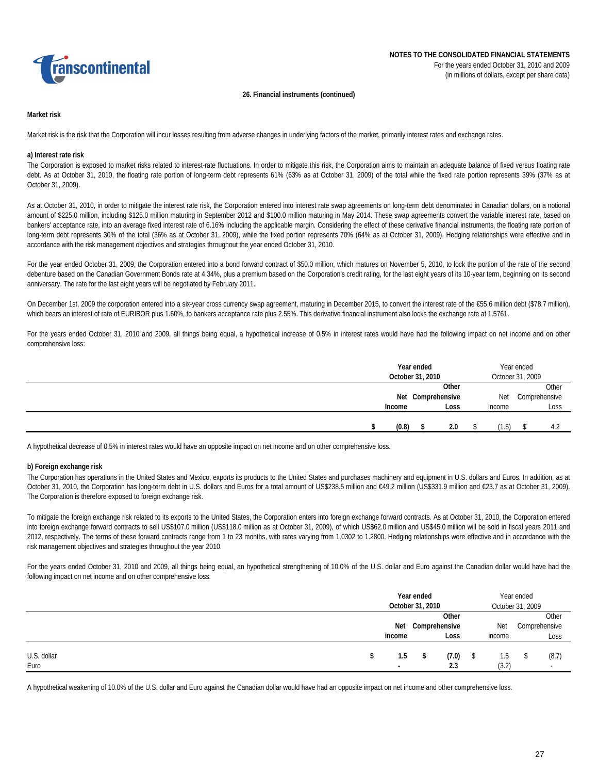

#### **26. Financial instruments (continued)**

## **Market risk**

Market risk is the risk that the Corporation will incur losses resulting from adverse changes in underlying factors of the market, primarily interest rates and exchange rates.

# **a) Interest rate risk**

The Corporation is exposed to market risks related to interest-rate fluctuations. In order to mitigate this risk, the Corporation aims to maintain an adequate balance of fixed versus floating rate debt. As at October 31, 2010, the floating rate portion of long-term debt represents 61% (63% as at October 31, 2009) of the total while the fixed rate portion represents 39% (37% as at October 31, 2009).

As at October 31, 2010, in order to mitigate the interest rate risk, the Corporation entered into interest rate swap agreements on long-term debt denominated in Canadian dollars, on a notional amount of \$225.0 million, including \$125.0 million maturing in September 2012 and \$100.0 million maturing in May 2014. These swap agreements convert the variable interest rate, based on bankers' acceptance rate, into an average fixed interest rate of 6.16% including the applicable margin. Considering the effect of these derivative financial instruments, the floating rate portion of long-term debt represents 30% of the total (36% as at October 31, 2009), while the fixed portion represents 70% (64% as at October 31, 2009). Hedging relationships were effective and in accordance with the risk management objectives and strategies throughout the year ended October 31, 2010.

For the year ended October 31, 2009, the Corporation entered into a bond forward contract of \$50.0 million, which matures on November 5, 2010, to lock the portion of the rate of the second debenture based on the Canadian Government Bonds rate at 4.34%, plus a premium based on the Corporation's credit rating, for the last eight years of its 10-year term, beginning on its second anniversary. The rate for the last eight years will be negotiated by February 2011.

On December 1st, 2009 the corporation entered into a six-year cross currency swap agreement, maturing in December 2015, to convert the interest rate of the €55.6 million debt (\$78.7 million), which bears an interest of rate of EURIBOR plus 1.60%, to bankers acceptance rate plus 2.55%. This derivative financial instrument also locks the exchange rate at 1.5761.

For the years ended October 31, 2010 and 2009, all things being equal, a hypothetical increase of 0.5% in interest rates would have had the following impact on net income and on other comprehensive loss:

|        | Year ended<br>October 31, 2010 |  |        | Year ended<br>October 31, 2009 |               |
|--------|--------------------------------|--|--------|--------------------------------|---------------|
|        | Other                          |  |        |                                | Other         |
|        | Net Comprehensive              |  | Net    |                                | Comprehensive |
| Income | Loss                           |  | Income |                                | Loss          |
|        |                                |  |        |                                |               |
| (0.8)  | 2.0                            |  | 1.5)   |                                | 4.2           |

A hypothetical decrease of 0.5% in interest rates would have an opposite impact on net income and on other comprehensive loss.

#### **b) Foreign exchange risk**

The Corporation has operations in the United States and Mexico, exports its products to the United States and purchases machinery and equipment in U.S. dollars and Euros. In addition, as at October 31, 2010, the Corporation has long-term debt in U.S. dollars and Euros for a total amount of US\$238.5 million and €49.2 million (US\$331.9 million and €23.7 as at October 31, 2009). The Corporation is therefore exposed to foreign exchange risk.

To mitigate the foreign exchange risk related to its exports to the United States, the Corporation enters into foreign exchange forward contracts. As at October 31, 2010, the Corporation entered into foreign exchange forward contracts to sell US\$107.0 million (US\$118.0 million as at October 31, 2009), of which US\$62.0 million and US\$45.0 million will be sold in fiscal years 2011 and 2012, respectively. The terms of these forward contracts range from 1 to 23 months, with rates varying from 1.0302 to 1.2800. Hedging relationships were effective and in accordance with the risk management objectives and strategies throughout the year 2010.

For the years ended October 31, 2010 and 2009, all things being equal, an hypothetical strengthening of 10.0% of the U.S. dollar and Euro against the Canadian dollar would have had the following impact on net income and on other comprehensive loss:

|             | Year ended<br>October 31, 2010 |    |               |  | Year ended<br>October 31, 2009 |  |                          |
|-------------|--------------------------------|----|---------------|--|--------------------------------|--|--------------------------|
|             |                                |    | Other         |  |                                |  | Other                    |
|             | Net                            |    | Comprehensive |  | Net                            |  | Comprehensive            |
|             | income                         |    | Loss          |  | income                         |  | Loss                     |
| U.S. dollar | 1.5                            | -S | (7.0)         |  | 1.5                            |  | (8.7)                    |
| Euro        | $\overline{\phantom{a}}$       |    | 2.3           |  | (3.2)                          |  | $\overline{\phantom{a}}$ |

A hypothetical weakening of 10.0% of the U.S. dollar and Euro against the Canadian dollar would have had an opposite impact on net income and other comprehensive loss.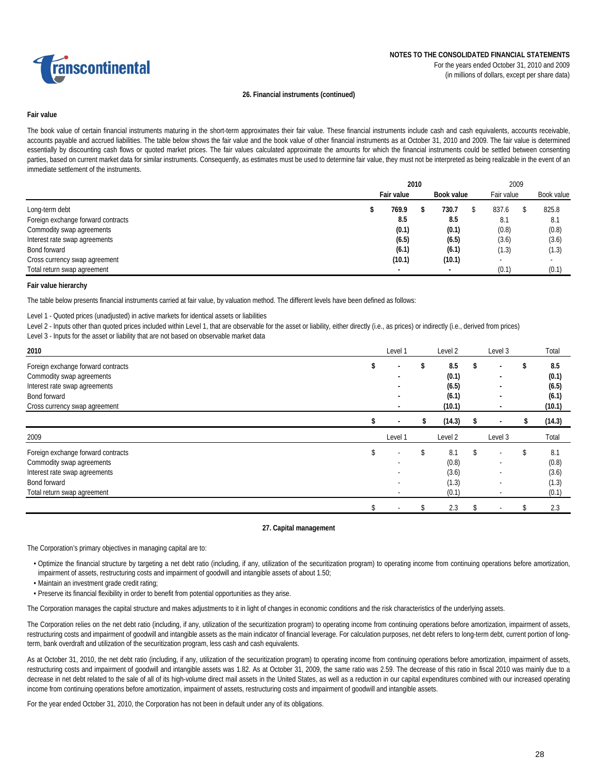

## **26. Financial instruments (continued)**

## **Fair value**

The book value of certain financial instruments maturing in the short-term approximates their fair value. These financial instruments include cash and cash equivalents, accounts receivable, accounts payable and accrued liabilities. The table below shows the fair value and the book value of other financial instruments as at October 31, 2010 and 2009. The fair value is determined essentially by discounting cash flows or quoted market prices. The fair values calculated approximate the amounts for which the financial instruments could be settled between consenting parties, based on current market data for similar instruments. Consequently, as estimates must be used to determine fair value, they must not be interpreted as being realizable in the event of an immediate settlement of the instruments.

|                                    | 2010 |            |  |            | 2009       |  |            |  |  |
|------------------------------------|------|------------|--|------------|------------|--|------------|--|--|
|                                    |      | Fair value |  | Book value | Fair value |  | Book value |  |  |
| Long-term debt                     |      | 769.9      |  | 730.7      | 837.6      |  | 825.8      |  |  |
| Foreign exchange forward contracts |      | 8.5        |  | 8.5        | 8.1        |  | 8.1        |  |  |
| Commodity swap agreements          |      | (0.1)      |  | (0.1)      | (0.8)      |  | (0.8)      |  |  |
| Interest rate swap agreements      |      | (6.5)      |  | (6.5)      | (3.6)      |  | (3.6)      |  |  |
| Bond forward                       |      | (6.1)      |  | (6.1)      | (1.3)      |  | (1.3)      |  |  |
| Cross currency swap agreement      |      | (10.1)     |  | (10.1)     |            |  |            |  |  |
| Total return swap agreement        |      |            |  |            | (0.1)      |  | (0.1)      |  |  |

#### **Fair value hierarchy**

The table below presents financial instruments carried at fair value, by valuation method. The different levels have been defined as follows:

Level 1 - Quoted prices (unadjusted) in active markets for identical assets or liabilities

Level 2 - Inputs other than quoted prices included within Level 1, that are observable for the asset or liability, either directly (i.e., as prices) or indirectly (i.e., derived from prices)

Level 3 - Inputs for the asset or liability that are not based on observable market data

| 2010                               | Level 1                  | Level <sub>2</sub> |    | Level 3                  |    | Total  |
|------------------------------------|--------------------------|--------------------|----|--------------------------|----|--------|
| Foreign exchange forward contracts | \$                       | \$<br>8.5          | \$ |                          |    | 8.5    |
| Commodity swap agreements          |                          | (0.1)              |    |                          |    | (0.1)  |
| Interest rate swap agreements      |                          | (6.5)              |    | ۰                        |    | (6.5)  |
| Bond forward                       |                          | (6.1)              |    | ۰                        |    | (6.1)  |
| Cross currency swap agreement      |                          | (10.1)             |    | ٠                        |    | (10.1) |
|                                    |                          | (14.3)             |    |                          |    | (14.3) |
| 2009                               | Level 1                  | Level 2            |    | Level 3                  |    | Total  |
| Foreign exchange forward contracts | \$                       | \$<br>8.1          | S. | $\overline{\phantom{a}}$ | S. | 8.1    |
| Commodity swap agreements          | $\overline{\phantom{a}}$ | (0.8)              |    | ٠                        |    | (0.8)  |
| Interest rate swap agreements      |                          | (3.6)              |    |                          |    | (3.6)  |
| Bond forward                       |                          |                    |    |                          |    | (1.3)  |
|                                    | ٠                        | (1.3)              |    |                          |    |        |
| Total return swap agreement        | $\overline{a}$           | (0.1)              |    | $\overline{\phantom{a}}$ |    | (0.1)  |

#### **27. Capital management**

The Corporation's primary objectives in managing capital are to:

- Optimize the financial structure by targeting a net debt ratio (including, if any, utilization of the securitization program) to operating income from continuing operations before amortization, impairment of assets, restructuring costs and impairment of goodwill and intangible assets of about 1.50;
- Maintain an investment grade credit rating;
- Preserve its financial flexibility in order to benefit from potential opportunities as they arise.

The Corporation manages the capital structure and makes adjustments to it in light of changes in economic conditions and the risk characteristics of the underlying assets.

The Corporation relies on the net debt ratio (including, if any, utilization of the securitization program) to operating income from continuing operations before amortization, impairment of assets, restructuring costs and impairment of goodwill and intangible assets as the main indicator of financial leverage. For calculation purposes, net debt refers to long-term debt, current portion of longterm, bank overdraft and utilization of the securitization program, less cash and cash equivalents.

As at October 31, 2010, the net debt ratio (including, if any, utilization of the securitization program) to operating income from continuing operations before amortization, impairment of assets, restructuring costs and impairment of goodwill and intangible assets was 1.82. As at October 31, 2009, the same ratio was 2.59. The decrease of this ratio in fiscal 2010 was mainly due to a decrease in net debt related to the sale of all of its high-volume direct mail assets in the United States, as well as a reduction in our capital expenditures combined with our increased operating income from continuing operations before amortization, impairment of assets, restructuring costs and impairment of goodwill and intangible assets.

For the year ended October 31, 2010, the Corporation has not been in default under any of its obligations.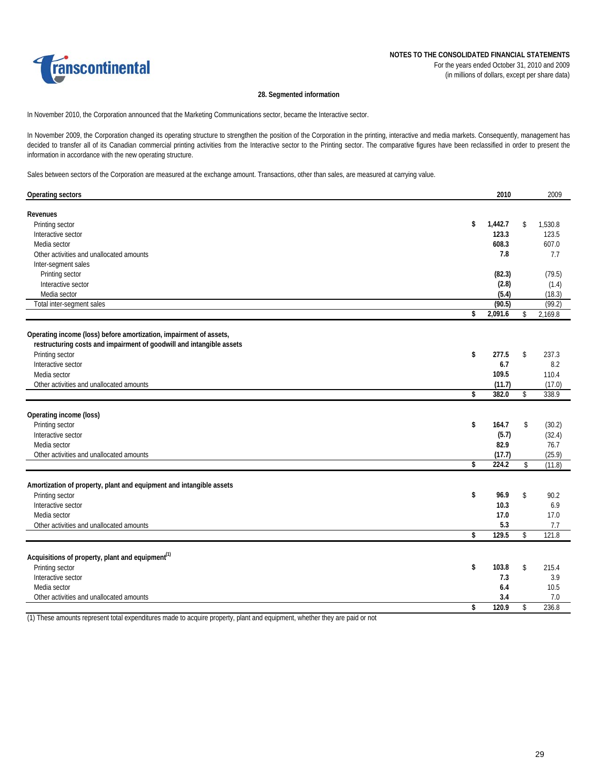

## **28. Segmented information**

In November 2010, the Corporation announced that the Marketing Communications sector, became the Interactive sector.

In November 2009, the Corporation changed its operating structure to strengthen the position of the Corporation in the printing, interactive and media markets. Consequently, management has decided to transfer all of its Canadian commercial printing activities from the Interactive sector to the Printing sector. The comparative figures have been reclassified in order to present the information in accordance with the new operating structure.

Sales between sectors of the Corporation are measured at the exchange amount. Transactions, other than sales, are measured at carrying value.

| <b>Operating sectors</b>                                             | 2010          |               | 2009    |
|----------------------------------------------------------------------|---------------|---------------|---------|
| Revenues<br>Printing sector                                          | \$<br>1,442.7 | \$            | 1,530.8 |
| Interactive sector                                                   | 123.3         |               | 123.5   |
| Media sector                                                         | 608.3         |               | 607.0   |
| Other activities and unallocated amounts                             | 7.8           |               | 7.7     |
| Inter-segment sales                                                  |               |               |         |
| Printing sector                                                      | (82.3)        |               | (79.5)  |
| Interactive sector                                                   | (2.8)         |               | (1.4)   |
| Media sector                                                         | (5.4)         |               | (18.3)  |
| Total inter-segment sales                                            | (90.5)        |               | (99.2)  |
|                                                                      | \$<br>2,091.6 | \$            | 2,169.8 |
| Operating income (loss) before amortization, impairment of assets,   |               |               |         |
| restructuring costs and impairment of goodwill and intangible assets |               |               |         |
| Printing sector                                                      | \$<br>277.5   | \$            | 237.3   |
| Interactive sector                                                   | 6.7           |               | 8.2     |
| Media sector                                                         | 109.5         |               | 110.4   |
| Other activities and unallocated amounts                             | (11.7)        |               | (17.0)  |
|                                                                      | \$<br>382.0   | $\mathsf{\$}$ | 338.9   |
|                                                                      |               |               |         |
| Operating income (loss)                                              |               |               |         |
| Printing sector                                                      | \$<br>164.7   | \$            | (30.2)  |
| Interactive sector                                                   | (5.7)         |               | (32.4)  |
| Media sector                                                         | 82.9          |               | 76.7    |
| Other activities and unallocated amounts                             | (17.7)        |               | (25.9)  |
|                                                                      | \$<br>224.2   | \$            | (11.8)  |
| Amortization of property, plant and equipment and intangible assets  |               |               |         |
| Printing sector                                                      | \$<br>96.9    | \$            | 90.2    |
| Interactive sector                                                   | 10.3          |               | 6.9     |
| Media sector                                                         | 17.0          |               | 17.0    |
| Other activities and unallocated amounts                             | 5.3           |               | 7.7     |
|                                                                      | \$<br>129.5   | \$            | 121.8   |
|                                                                      |               |               |         |
| Acquisitions of property, plant and equipment <sup>(1)</sup>         |               |               |         |
| Printing sector                                                      | \$<br>103.8   | \$            | 215.4   |
| Interactive sector                                                   | 7.3           |               | 3.9     |
| Media sector                                                         | 6.4           |               | 10.5    |
| Other activities and unallocated amounts                             | 3.4           |               | 7.0     |
|                                                                      | \$<br>120.9   | \$            | 236.8   |

(1) These amounts represent total expenditures made to acquire property, plant and equipment, whether they are paid or not